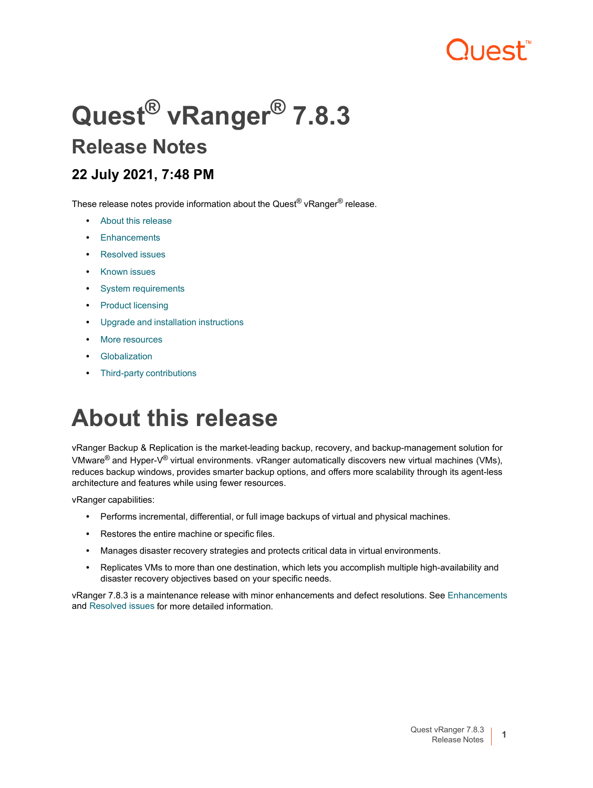# "וAct"

# **Quest® vRanger® 7.8.3 Release Notes**

### **22 July 2021, 7:48 PM**

These release notes provide information about the Quest<sup>®</sup> vRanger<sup>®</sup> release.

- **•** About this [release](#page-0-0)
- **•** [Enhancements](#page-1-0)
- **•** [Resolved](#page-1-1) issues
- **•** [Known](#page-3-0) issues
- **•** System [requirements](#page-12-0)
- **•** Product [licensing](#page-14-0)
- **•** Upgrade and installation [instructions](#page-14-1)
- **•** More [resources](#page-14-2)
- **•** [Globalization](#page-14-3)
- **•** Third-party [contributions](#page-16-0)

# <span id="page-0-0"></span>**About this release**

vRanger Backup & Replication is the market-leading backup, recovery, and backup-management solution for VMware® and Hyper-V® virtual environments. vRanger automatically discovers new virtual machines (VMs), reduces backup windows, provides smarter backup options, and offers more scalability through its agent-less architecture and features while using fewer resources.

vRanger capabilities:

- **•** Performs incremental, differential, or full image backups of virtual and physical machines.
- **•** Restores the entire machine or specific files.
- **•** Manages disaster recovery strategies and protects critical data in virtual environments.
- **•** Replicates VMs to more than one destination, which lets you accomplish multiple high-availability and disaster recovery objectives based on your specific needs.

vRanger 7.8.3 is a maintenance release with minor enhancements and defect resolutions. See [Enhancements](#page-1-0) and [Resolved](#page-1-1) issues for more detailed information.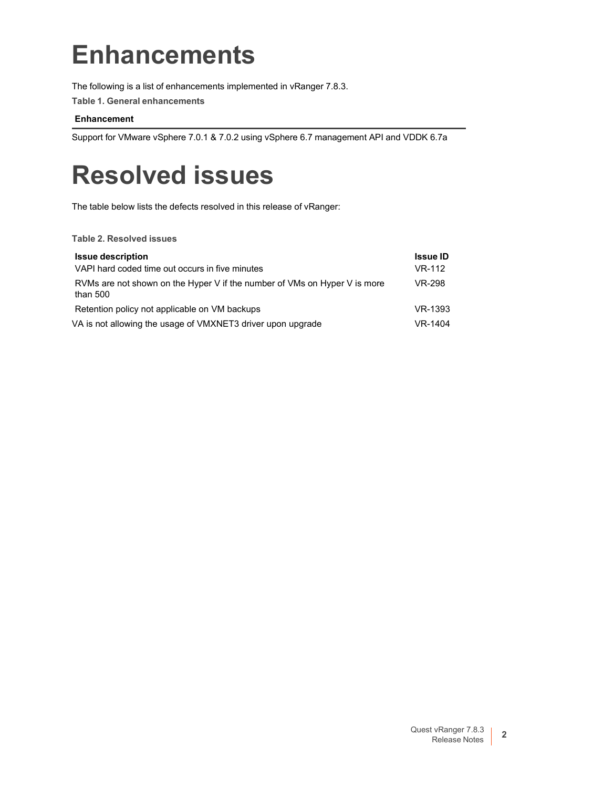# <span id="page-1-0"></span>**Enhancements**

The following is a list of enhancements implemented in vRanger 7.8.3.

**Table 1. General enhancements**

#### **Enhancement**

Support for VMware vSphere 7.0.1 & 7.0.2 using vSphere 6.7 management API and VDDK 6.7a

# <span id="page-1-1"></span>**Resolved issues**

The table below lists the defects resolved in this release of vRanger:

**Table 2. Resolved issues**

| <b>Issue description</b>                                                              | <b>Issue ID</b> |
|---------------------------------------------------------------------------------------|-----------------|
| VAPI hard coded time out occurs in five minutes                                       | VR-112          |
| RVMs are not shown on the Hyper V if the number of VMs on Hyper V is more<br>than 500 | VR-298          |
| Retention policy not applicable on VM backups                                         | VR-1393         |
| VA is not allowing the usage of VMXNET3 driver upon upgrade                           | VR-1404         |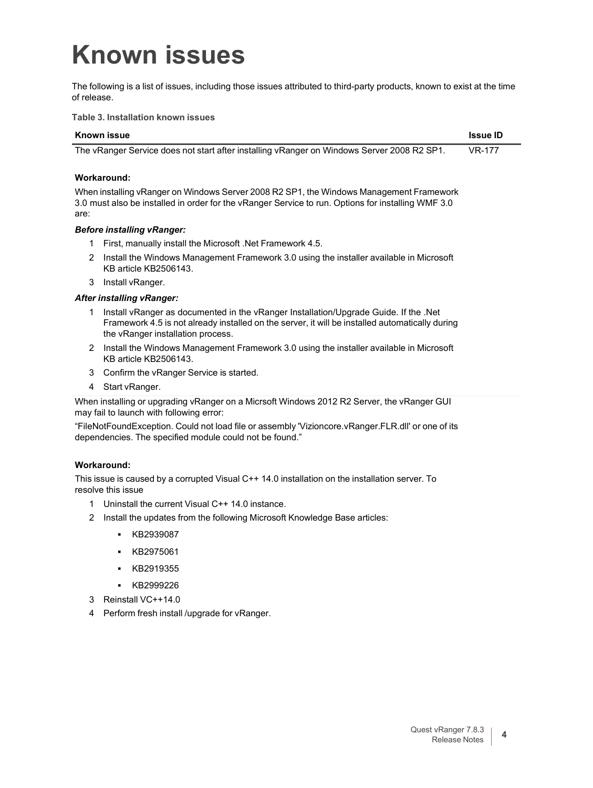# <span id="page-3-0"></span>**Known issues**

The following is a list of issues, including those issues attributed to third-party products, known to exist at the time of release.

**Table 3. Installation known issues**

| <b>Known issue</b>                                                                                                                                                                                                                | <b>Issue ID</b> |
|-----------------------------------------------------------------------------------------------------------------------------------------------------------------------------------------------------------------------------------|-----------------|
| The vRanger Service does not start after installing vRanger on Windows Server 2008 R2 SP1.                                                                                                                                        | <b>VR-177</b>   |
| Workaround:                                                                                                                                                                                                                       |                 |
| When installing vRanger on Windows Server 2008 R2 SP1, the Windows Management Framework<br>3.0 must also be installed in order for the vRanger Service to run. Options for installing WMF 3.0<br>are:                             |                 |
| <b>Before installing vRanger:</b>                                                                                                                                                                                                 |                 |
| First, manually install the Microsoft . Net Framework 4.5.<br>1                                                                                                                                                                   |                 |
| Install the Windows Management Framework 3.0 using the installer available in Microsoft<br>2<br>KB article KB2506143.                                                                                                             |                 |
| Install vRanger.<br>3                                                                                                                                                                                                             |                 |
| <b>After installing vRanger:</b>                                                                                                                                                                                                  |                 |
| Install vRanger as documented in the vRanger Installation/Upgrade Guide. If the .Net<br>1<br>Framework 4.5 is not already installed on the server, it will be installed automatically during<br>the vRanger installation process. |                 |
| Install the Windows Management Framework 3.0 using the installer available in Microsoft<br>2<br>KB article KB2506143.                                                                                                             |                 |
| Confirm the vRanger Service is started.<br>3                                                                                                                                                                                      |                 |
| 4 Start vRanger.                                                                                                                                                                                                                  |                 |
| When installing or upgrading vRanger on a Micrsoft Windows 2012 R2 Server, the vRanger GUI<br>may fail to launch with following error:                                                                                            |                 |
| "FileNotFoundException. Could not load file or assembly 'Vizioncore.vRanger.FLR.dll' or one of its<br>dependencies. The specified module could not be found."                                                                     |                 |
| <b>Workaround:</b>                                                                                                                                                                                                                |                 |
| This issue is caused by a corrupted Visual C++ 14.0 installation on the installation server. To<br>resolve this issue                                                                                                             |                 |
| Uninstall the current Visual C++ 14.0 instance.<br>1                                                                                                                                                                              |                 |
| Install the updates from the following Microsoft Knowledge Base articles:<br>2                                                                                                                                                    |                 |
| KB2939087                                                                                                                                                                                                                         |                 |
| KB2975061                                                                                                                                                                                                                         |                 |

- **▪** KB2919355
- **▪** KB2999226
- 3 Reinstall VC++14.0
- 4 Perform fresh install /upgrade for vRanger.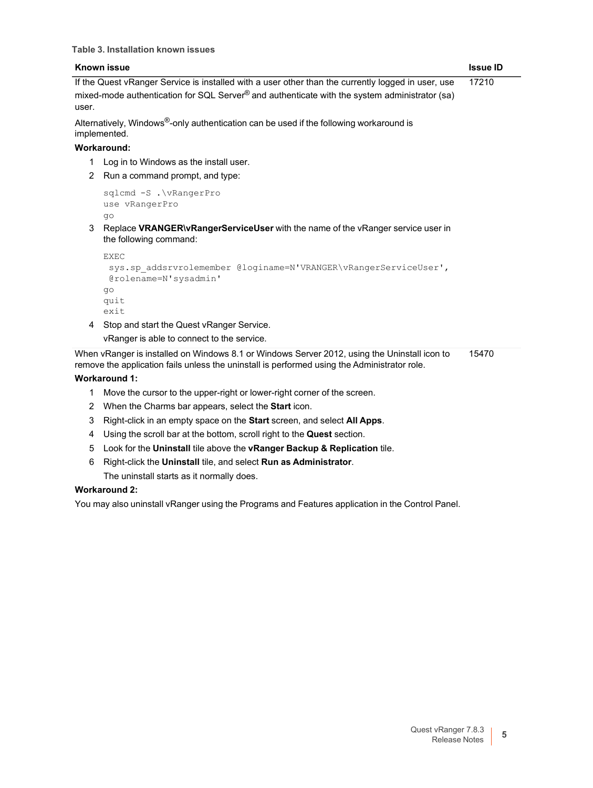|        | <b>Known issue</b>                                                                                                                                                                                                   | <b>Issue ID</b> |
|--------|----------------------------------------------------------------------------------------------------------------------------------------------------------------------------------------------------------------------|-----------------|
| user.  | If the Quest vRanger Service is installed with a user other than the currently logged in user, use<br>mixed-mode authentication for SQL Server® and authenticate with the system administrator (sa)                  | 17210           |
|        | Alternatively, Windows <sup>®</sup> -only authentication can be used if the following workaround is<br>implemented.                                                                                                  |                 |
|        | Workaround:                                                                                                                                                                                                          |                 |
| 1<br>2 | Log in to Windows as the install user.<br>Run a command prompt, and type:                                                                                                                                            |                 |
| 3      | sqlcmd -S . \vRangerPro<br>use vRangerPro<br>qo<br>Replace VRANGER\vRangerServiceUser with the name of the vRanger service user in<br>the following command:                                                         |                 |
|        | <b>EXEC</b><br>sys.sp addsrvrolemember @loginame=N'VRANGER\vRangerServiceUser',<br>@rolename=N'sysadmin'<br>qo<br>quit<br>exit                                                                                       |                 |
| 4      | Stop and start the Quest vRanger Service.                                                                                                                                                                            |                 |
|        | vRanger is able to connect to the service.                                                                                                                                                                           |                 |
|        | When vRanger is installed on Windows 8.1 or Windows Server 2012, using the Uninstall icon to<br>remove the application fails unless the uninstall is performed using the Administrator role.<br><b>Workaround 1:</b> | 15470           |

- 1 Move the cursor to the upper-right or lower-right corner of the screen.
- 2 When the Charms bar appears, select the **Start** icon.
- 3 Right-click in an empty space on the **Start** screen, and select **All Apps**.
- 4 Using the scroll bar at the bottom, scroll right to the **Quest** section.
- 5 Look for the **Uninstall** tile above the **vRanger Backup & Replication** tile.
- 6 Right-click the **Uninstall** tile, and select **Run as Administrator**. The uninstall starts as it normally does.

#### **Workaround 2:**

You may also uninstall vRanger using the Programs and Features application in the Control Panel.

 $\overline{\phantom{0}}$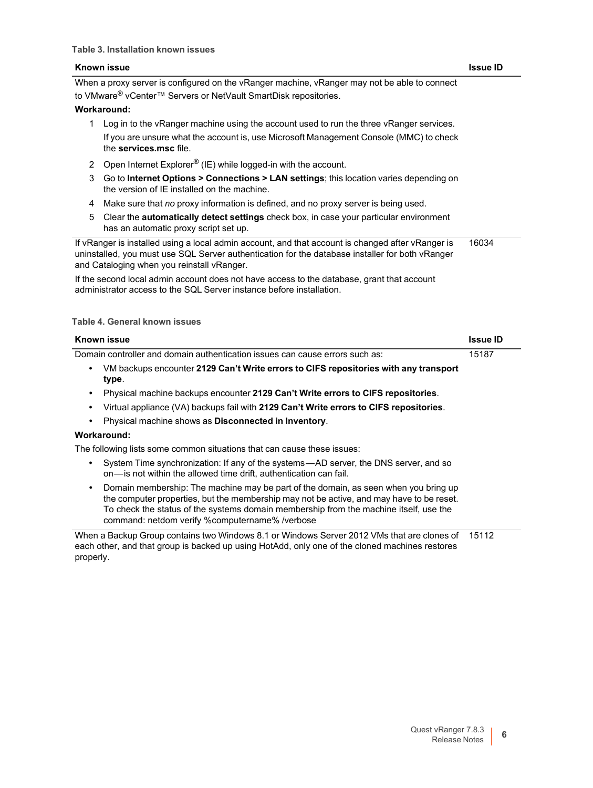When a proxy server is configured on the vRanger machine, vRanger may not be able to connect to VMware<sup>®</sup> vCenter™ Servers or NetVault SmartDisk repositories.

#### **Workaround:**

- 1 Log in to the vRanger machine using the account used to run the three vRanger services. If you are unsure what the account is, use Microsoft Management Console (MMC) to check the **services.msc** file.
- 2 Open Internet Explorer<sup>®</sup> (IE) while logged-in with the account.
- 3 Go to **Internet Options > Connections > LAN settings**; this location varies depending on the version of IE installed on the machine.
- 4 Make sure that *no* proxy information is defined, and no proxy server is being used.
- 5 Clear the **automatically detect settings** check box, in case your particular environment has an automatic proxy script set up.

If vRanger is installed using a local admin account, and that account is changed after vRanger is uninstalled, you must use SQL Server authentication for the database installer for both vRanger and Cataloging when you reinstall vRanger. 16034

If the second local admin account does not have access to the database, grant that account administrator access to the SQL Server instance before installation.

| Known issue                                                                                                                                                                                                                                                                                                                | <b>Issue ID</b> |
|----------------------------------------------------------------------------------------------------------------------------------------------------------------------------------------------------------------------------------------------------------------------------------------------------------------------------|-----------------|
| Domain controller and domain authentication issues can cause errors such as:                                                                                                                                                                                                                                               | 15187           |
| VM backups encounter 2129 Can't Write errors to CIFS repositories with any transport<br>type.                                                                                                                                                                                                                              |                 |
| Physical machine backups encounter 2129 Can't Write errors to CIFS repositories.                                                                                                                                                                                                                                           |                 |
| Virtual appliance (VA) backups fail with 2129 Can't Write errors to CIFS repositories.                                                                                                                                                                                                                                     |                 |
| Physical machine shows as Disconnected in Inventory.                                                                                                                                                                                                                                                                       |                 |
| Workaround:                                                                                                                                                                                                                                                                                                                |                 |
| The following lists some common situations that can cause these issues:                                                                                                                                                                                                                                                    |                 |
| System Time synchronization: If any of the systems—AD server, the DNS server, and so<br>on—is not within the allowed time drift, authentication can fail.                                                                                                                                                                  |                 |
| Domain membership: The machine may be part of the domain, as seen when you bring up<br>the computer properties, but the membership may not be active, and may have to be reset.<br>To check the status of the systems domain membership from the machine itself, use the<br>command: netdom verify %computername% /verbose |                 |
| When a Backup Group contains two Windows 8.1 or Windows Server 2012 VMs that are clones of<br>each other, and that group is backed up using HotAdd, only one of the cloned machines restores<br>properly.                                                                                                                  | 15112           |

#### **Table 4. General known issues**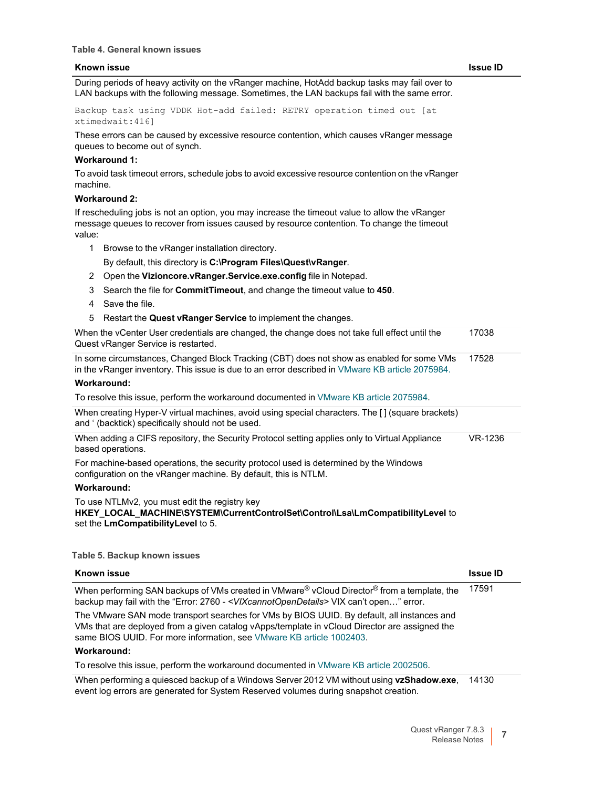During periods of heavy activity on the vRanger machine, HotAdd backup tasks may fail over to LAN backups with the following message. Sometimes, the LAN backups fail with the same error.

Backup task using VDDK Hot-add failed: RETRY operation timed out [at xtimedwait:416]

These errors can be caused by excessive resource contention, which causes vRanger message queues to become out of synch.

#### **Workaround 1:**

To avoid task timeout errors, schedule jobs to avoid excessive resource contention on the vRanger machine.

#### **Workaround 2:**

If rescheduling jobs is not an option, you may increase the timeout value to allow the vRanger message queues to recover from issues caused by resource contention. To change the timeout value:

1 Browse to the vRanger installation directory.

By default, this directory is **C:\Program Files\Quest\vRanger**.

- 2 Open the **Vizioncore.vRanger.Service.exe.config** file in Notepad.
- 3 Search the file for **CommitTimeout**, and change the timeout value to **450**.
- 4 Save the file.
- 5 Restart the **Quest vRanger Service** to implement the changes.

| When the vCenter User credentials are changed, the change does not take full effect until the<br>17038 |  |
|--------------------------------------------------------------------------------------------------------|--|
| Quest vRanger Service is restarted.                                                                    |  |

In some circumstances, Changed Block Tracking (CBT) does not show as enabled for some VMs in the vRanger inventory. This issue is due to an error described in VMware KB article [2075984.](http://kb.vmware.com/selfservice/microsites/search.do?language=en_US&cmd=displayKC&externalId=2075984) 17528

#### **Workaround:**

To resolve this issue, perform the workaround documented in VMware KB article [2075984.](http://kb.vmware.com/selfservice/microsites/search.do?language=en_US&cmd=displayKC&externalId=2075984)

When creating Hyper-V virtual machines, avoid using special characters. The [] (square brackets) and ' (backtick) specifically should not be used.

| When adding a CIFS repository, the Security Protocol setting applies only to Virtual Appliance | VR-1236 |
|------------------------------------------------------------------------------------------------|---------|
| based operations.                                                                              |         |

For machine-based operations, the security protocol used is determined by the Windows configuration on the vRanger machine. By default, this is NTLM.

#### **Workaround:**

To use NTLMv2, you must edit the registry key **HKEY\_LOCAL\_MACHINE\SYSTEM\CurrentControlSet\Control\Lsa\LmCompatibilityLevel** to set the **LmCompatibilityLevel** to 5.

**Table 5. Backup known issues**

| Known issue                                                                                                                                                                                                                                                         | <b>Issue ID</b> |
|---------------------------------------------------------------------------------------------------------------------------------------------------------------------------------------------------------------------------------------------------------------------|-----------------|
| When performing SAN backups of VMs created in VMware® vCloud Director® from a template, the<br>backup may fail with the "Error: 2760 - < VIXcannot OpenDetails> VIX can't open" error.                                                                              | 17591           |
| The VMware SAN mode transport searches for VMs by BIOS UUID. By default, all instances and<br>VMs that are deployed from a given catalog vApps/template in vCloud Director are assigned the<br>same BIOS UUID. For more information, see VMware KB article 1002403. |                 |
| Workaround:                                                                                                                                                                                                                                                         |                 |
| To resolve this issue, perform the workaround documented in VMware KB article 2002506.                                                                                                                                                                              |                 |
| When performing a quiesced backup of a Windows Server 2012 VM without using vzShadow.exe,<br>event log errors are generated for System Reserved volumes during snapshot creation.                                                                                   | 14130           |

Release Notes **7** 

Quest vRanger 7.8.3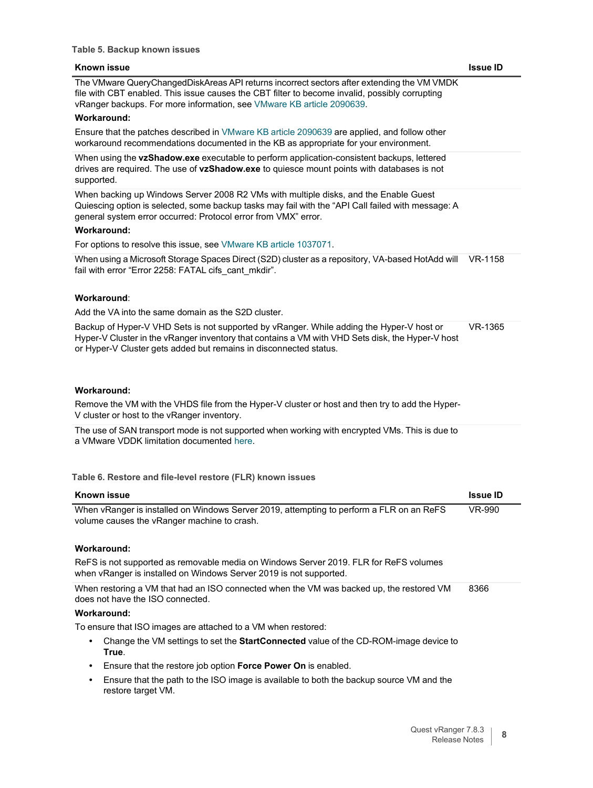| <b>Known issue</b>                                                                                                                                                                                                                                                    | <b>Issue ID</b> |
|-----------------------------------------------------------------------------------------------------------------------------------------------------------------------------------------------------------------------------------------------------------------------|-----------------|
| The VMware QueryChangedDiskAreas API returns incorrect sectors after extending the VM VMDK<br>file with CBT enabled. This issue causes the CBT filter to become invalid, possibly corrupting<br>vRanger backups. For more information, see VMware KB article 2090639. |                 |
| Workaround:                                                                                                                                                                                                                                                           |                 |
| Ensure that the patches described in VMware KB article 2090639 are applied, and follow other<br>workaround recommendations documented in the KB as appropriate for your environment.                                                                                  |                 |
| When using the vzShadow.exe executable to perform application-consistent backups, lettered<br>drives are required. The use of vzShadow.exe to quiesce mount points with databases is not<br>supported.                                                                |                 |
| When backing up Windows Server 2008 R2 VMs with multiple disks, and the Enable Guest<br>Quiescing option is selected, some backup tasks may fail with the "API Call failed with message: A<br>general system error occurred: Protocol error from VMX" error.          |                 |
| <b>Workaround:</b>                                                                                                                                                                                                                                                    |                 |
| For options to resolve this issue, see VMware KB article 1037071.                                                                                                                                                                                                     |                 |
| When using a Microsoft Storage Spaces Direct (S2D) cluster as a repository, VA-based HotAdd will<br>fail with error "Error 2258: FATAL cifs_cant_mkdir".                                                                                                              | VR-1158         |
| Workaround:                                                                                                                                                                                                                                                           |                 |
| Add the VA into the same domain as the S2D cluster.                                                                                                                                                                                                                   |                 |
| Backup of Hyper-V VHD Sets is not supported by vRanger. While adding the Hyper-V host or<br>Hyper-V Cluster in the vRanger inventory that contains a VM with VHD Sets disk, the Hyper-V host<br>or Hyper-V Cluster gets added but remains in disconnected status.     | VR-1365         |
| <b>Workaround:</b>                                                                                                                                                                                                                                                    |                 |
| Remove the VM with the VHDS file from the Hyper-V cluster or host and then try to add the Hyper-<br>V cluster or host to the vRanger inventory.                                                                                                                       |                 |
| The use of SAN transport mode is not supported when working with encrypted VMs. This is due to<br>a VMware VDDK limitation documented here.                                                                                                                           |                 |
| Table 6. Restore and file-level restore (FLR) known issues                                                                                                                                                                                                            |                 |
| Known iccup                                                                                                                                                                                                                                                           | חו منتفعا       |

| Known issue                                                                                                                                                 | <b>Issue ID</b> |
|-------------------------------------------------------------------------------------------------------------------------------------------------------------|-----------------|
| When vRanger is installed on Windows Server 2019, attempting to perform a FLR on an ReFS<br>volume causes the vRanger machine to crash.                     | VR-990          |
| Workaround:                                                                                                                                                 |                 |
| ReFS is not supported as removable media on Windows Server 2019. FLR for ReFS volumes<br>when vRanger is installed on Windows Server 2019 is not supported. |                 |
| When restoring a VM that had an ISO connected when the VM was backed up, the restored VM<br>does not have the ISO connected.                                | 8366            |
| Workaround:                                                                                                                                                 |                 |
| To ensure that ISO images are attached to a VM when restored:                                                                                               |                 |
| Change the VM settings to set the <b>StartConnected</b> value of the CD-ROM-image device to<br>True.                                                        |                 |
| Ensure that the restore job option <b>Force Power On</b> is enabled.<br>٠                                                                                   |                 |
| Ensure that the path to the ISO image is available to both the backup source VM and the<br>٠<br>restore target VM.                                          |                 |
|                                                                                                                                                             |                 |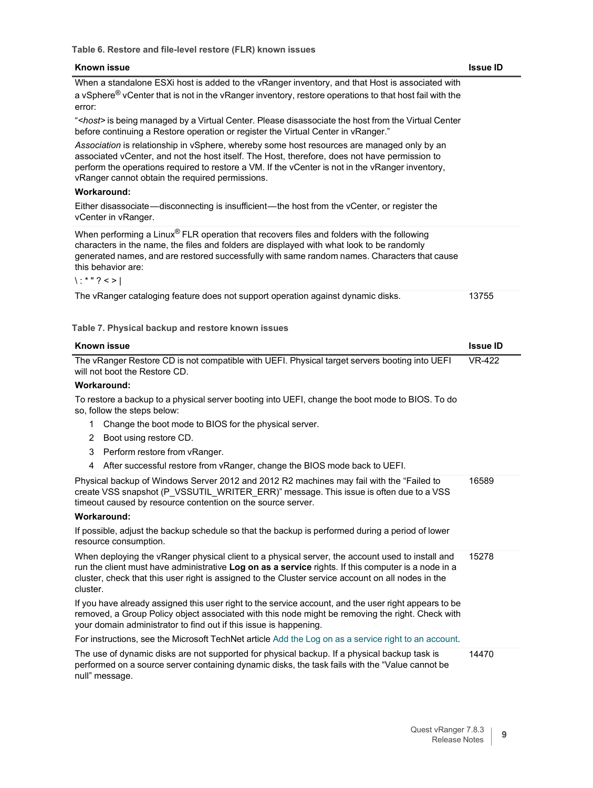**Table 6. Restore and file-level restore (FLR) known issues**

| Known issue                                                                                                                                                                                                                                                                                                                                        | <b>Issue ID</b>             |
|----------------------------------------------------------------------------------------------------------------------------------------------------------------------------------------------------------------------------------------------------------------------------------------------------------------------------------------------------|-----------------------------|
| When a standalone ESXi host is added to the vRanger inventory, and that Host is associated with                                                                                                                                                                                                                                                    |                             |
| a vSphere <sup>®</sup> vCenter that is not in the vRanger inventory, restore operations to that host fail with the<br>error:                                                                                                                                                                                                                       |                             |
| " <host> is being managed by a Virtual Center. Please disassociate the host from the Virtual Center<br/>before continuing a Restore operation or register the Virtual Center in vRanger."</host>                                                                                                                                                   |                             |
| Association is relationship in vSphere, whereby some host resources are managed only by an<br>associated vCenter, and not the host itself. The Host, therefore, does not have permission to<br>perform the operations required to restore a VM. If the vCenter is not in the vRanger inventory,<br>vRanger cannot obtain the required permissions. |                             |
| <b>Workaround:</b>                                                                                                                                                                                                                                                                                                                                 |                             |
| Either disassociate—disconnecting is insufficient—the host from the vCenter, or register the<br>vCenter in vRanger.                                                                                                                                                                                                                                |                             |
| When performing a Linux® FLR operation that recovers files and folders with the following<br>characters in the name, the files and folders are displayed with what look to be randomly<br>generated names, and are restored successfully with same random names. Characters that cause<br>this behavior are:<br>$\vert$ :*"?<>                     |                             |
| The vRanger cataloging feature does not support operation against dynamic disks.                                                                                                                                                                                                                                                                   | 13755                       |
|                                                                                                                                                                                                                                                                                                                                                    |                             |
| Table 7. Physical backup and restore known issues                                                                                                                                                                                                                                                                                                  |                             |
| <b>Known issue</b>                                                                                                                                                                                                                                                                                                                                 | <b>Issue ID</b>             |
| The vRanger Restore CD is not compatible with UEFI. Physical target servers booting into UEFI<br>will not boot the Restore CD.                                                                                                                                                                                                                     | $\overline{\text{VR}}$ -422 |
| <b>Workaround:</b>                                                                                                                                                                                                                                                                                                                                 |                             |
| To restore a backup to a physical server booting into UEFI, change the boot mode to BIOS. To do<br>so, follow the steps below:                                                                                                                                                                                                                     |                             |
| Change the boot mode to BIOS for the physical server.<br>1                                                                                                                                                                                                                                                                                         |                             |
| Boot using restore CD.<br>2                                                                                                                                                                                                                                                                                                                        |                             |
| Perform restore from vRanger.<br>3                                                                                                                                                                                                                                                                                                                 |                             |
| After successful restore from vRanger, change the BIOS mode back to UEFI.<br>4                                                                                                                                                                                                                                                                     |                             |
| Physical backup of Windows Server 2012 and 2012 R2 machines may fail with the "Failed to<br>create VSS snapshot (P_VSSUTIL_WRITER_ERR)" message. This issue is often due to a VSS<br>timeout caused by resource contention on the source server.                                                                                                   | 16589                       |
| Workaround:                                                                                                                                                                                                                                                                                                                                        |                             |
| If possible, adjust the backup schedule so that the backup is performed during a period of lower<br>resource consumption.                                                                                                                                                                                                                          |                             |
| When deploying the vRanger physical client to a physical server, the account used to install and<br>run the client must have administrative Log on as a service rights. If this computer is a node in a<br>cluster, check that this user right is assigned to the Cluster service account on all nodes in the<br>cluster.                          | 15278                       |
| If you have already assigned this user right to the service account, and the user right appears to be<br>removed, a Group Policy object associated with this node might be removing the right. Check with<br>your domain administrator to find out if this issue is happening.                                                                     |                             |
| For instructions, see the Microsoft TechNet article Add the Log on as a service right to an account.                                                                                                                                                                                                                                               |                             |
| The use of dynamic disks are not supported for physical backup. If a physical backup task is<br>performed on a source server containing dynamic disks, the task fails with the "Value cannot be<br>null" message.                                                                                                                                  | 14470                       |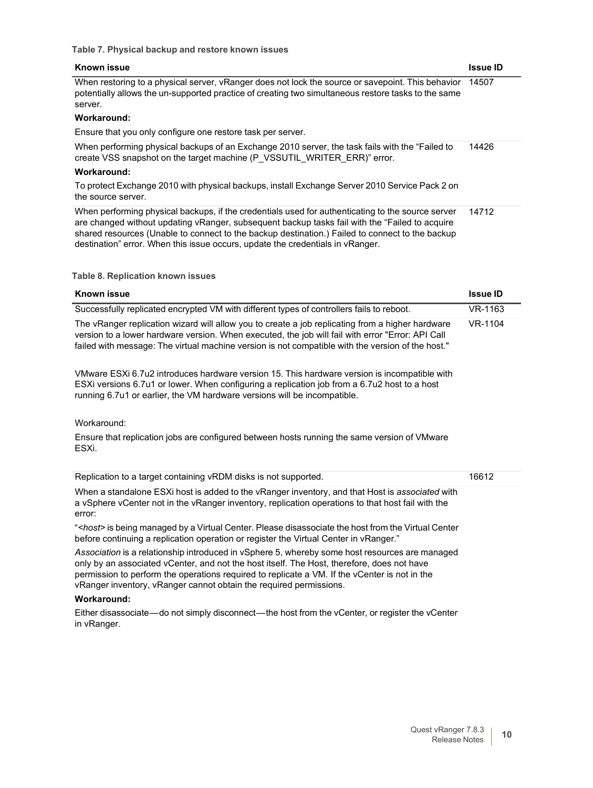#### **Table 7. Physical backup and restore known issues**

| <b>Known issue</b>                                                                                                                                                                                                                                                                                                                                                                       | <b>Issue ID</b> |
|------------------------------------------------------------------------------------------------------------------------------------------------------------------------------------------------------------------------------------------------------------------------------------------------------------------------------------------------------------------------------------------|-----------------|
| When restoring to a physical server, vRanger does not lock the source or savepoint. This behavior<br>potentially allows the un-supported practice of creating two simultaneous restore tasks to the same<br>server.                                                                                                                                                                      | 14507           |
| Workaround:                                                                                                                                                                                                                                                                                                                                                                              |                 |
| Ensure that you only configure one restore task per server.                                                                                                                                                                                                                                                                                                                              |                 |
| When performing physical backups of an Exchange 2010 server, the task fails with the "Failed to<br>create VSS snapshot on the target machine (P VSSUTIL WRITER ERR)" error.                                                                                                                                                                                                              | 14426           |
| Workaround:                                                                                                                                                                                                                                                                                                                                                                              |                 |
| To protect Exchange 2010 with physical backups, install Exchange Server 2010 Service Pack 2 on<br>the source server.                                                                                                                                                                                                                                                                     |                 |
| When performing physical backups, if the credentials used for authenticating to the source server<br>are changed without updating vRanger, subsequent backup tasks fail with the "Failed to acquire<br>shared resources (Unable to connect to the backup destination.) Failed to connect to the backup<br>destination" error. When this issue occurs, update the credentials in vRanger. | 14712           |

#### **Table 8. Replication known issues**

| <b>Known issue</b>                                                                                                                                                                                                                                                                                         | <b>Issue ID</b> |
|------------------------------------------------------------------------------------------------------------------------------------------------------------------------------------------------------------------------------------------------------------------------------------------------------------|-----------------|
| Successfully replicated encrypted VM with different types of controllers fails to reboot.                                                                                                                                                                                                                  | VR-1163         |
| The vRanger replication wizard will allow you to create a job replicating from a higher hardware<br>version to a lower hardware version. When executed, the job will fail with error "Error: API Call<br>failed with message: The virtual machine version is not compatible with the version of the host." | VR-1104         |
| VMware ESXi 6.7u2 introduces hardware version 15. This hardware version is incompatible with<br>ESXI versions 6.7u1 or lower. When configuring a replication job from a 6.7u2 host to a host<br>running 6.7u1 or earlier, the VM hardware versions will be incompatible.                                   |                 |
| Workaround:                                                                                                                                                                                                                                                                                                |                 |
| Ensure that replication jobs are configured between hosts running the same version of VMware                                                                                                                                                                                                               |                 |

Ensure that replication jobs are configured between hosts running the same version of VMware ESXi.

| Replication to a target containing vRDM disks is not supported.                                                                                                                                                | 16612 |
|----------------------------------------------------------------------------------------------------------------------------------------------------------------------------------------------------------------|-------|
| When a standalone ESXi host is added to the vRanger inventory, and that Host is associated with<br>a vSphere vCenter not in the vRanger inventory, replication operations to that host fail with the<br>error: |       |
| " <host> is being managed by a Virtual Center. Please disassociate the host from the Virtual Center<br/>before continuing a replication operation or register the Virtual Center in vRanger."</host>           |       |
| Association is a relationship introduced in vSphere 5, whereby some host resources are managed<br>only by an associated vCenter, and not the host itself. The Host, therefore, does not have                   |       |

permission to perform the operations required to replicate a VM. If the vCenter is not in the vRanger inventory, vRanger cannot obtain the required permissions.

#### **Workaround:**

Either disassociate—do not simply disconnect—the host from the vCenter, or register the vCenter in vRanger.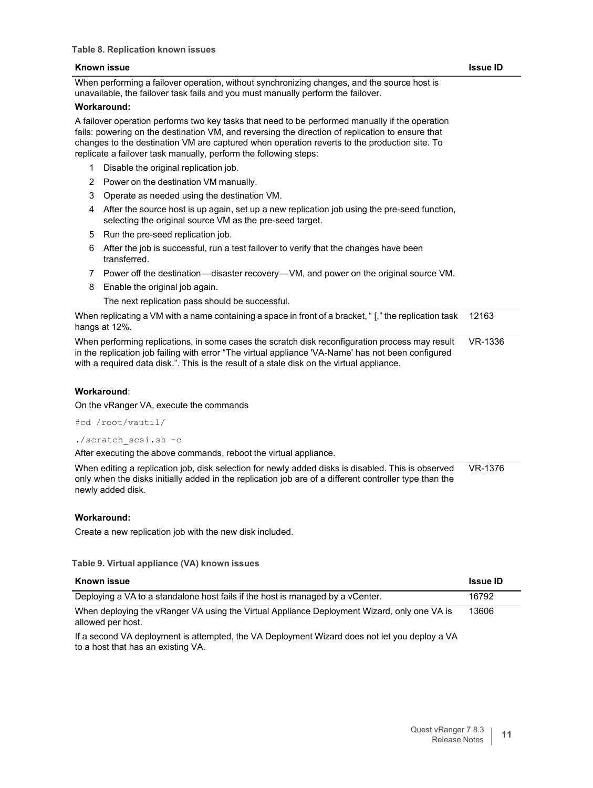When performing a failover operation, without synchronizing changes, and the source host is unavailable, the failover task fails and you must manually perform the failover.

#### **Workaround:**

A failover operation performs two key tasks that need to be performed manually if the operation fails: powering on the destination VM, and reversing the direction of replication to ensure that changes to the destination VM are captured when operation reverts to the production site. To replicate a failover task manually, perform the following steps:

- 1 Disable the original replication job.
- 2 Power on the destination VM manually.
- 3 Operate as needed using the destination VM.
- 4 After the source host is up again, set up a new replication job using the pre-seed function, selecting the original source VM as the pre-seed target.
- 5 Run the pre-seed replication job.
- 6 After the job is successful, run a test failover to verify that the changes have been transferred.
- 7 Power off the destination—disaster recovery—VM, and power on the original source VM.
- 8 Enable the original job again.

The next replication pass should be successful.

| When replicating a VM with a name containing a space in front of a bracket, "[," the replication task 12163<br>hangs at 12%. |  |
|------------------------------------------------------------------------------------------------------------------------------|--|
| When a calculated and the first the contract of the constability of confirmation and contract on the UID 4000.               |  |

When performing replications, in some cases the scratch disk reconfiguration process may result in the replication job failing with error "The virtual appliance 'VA-Name' has not been configured with a required data disk.". This is the result of a stale disk on the virtual appliance. VR-1336

#### **Workaround**:

On the vRanger VA, execute the commands

#cd /root/vautil/

./scratch\_scsi.sh -c

After executing the above commands, reboot the virtual appliance.

When editing a replication job, disk selection for newly added disks is disabled. This is observed only when the disks initially added in the replication job are of a different controller type than the newly added disk. VR-1376

#### **Workaround:**

Create a new replication job with the new disk included.

**Table 9. Virtual appliance (VA) known issues**

| Known issue                                                                                                      | <b>Issue ID</b> |
|------------------------------------------------------------------------------------------------------------------|-----------------|
| Deploying a VA to a standalone host fails if the host is managed by a vCenter.                                   | 16792           |
| When deploying the vRanger VA using the Virtual Appliance Deployment Wizard, only one VA is<br>allowed per host. | 13606           |
| The vector up to have the VA Deployment Wizard does not let you deploy a VA                                      |                 |

second VA deployment is attempted, the VA Deployment Wizard does not let you deploy a VA to a host that has an existing VA.

#### Quest vRanger 7.8.3 Release Notes **11**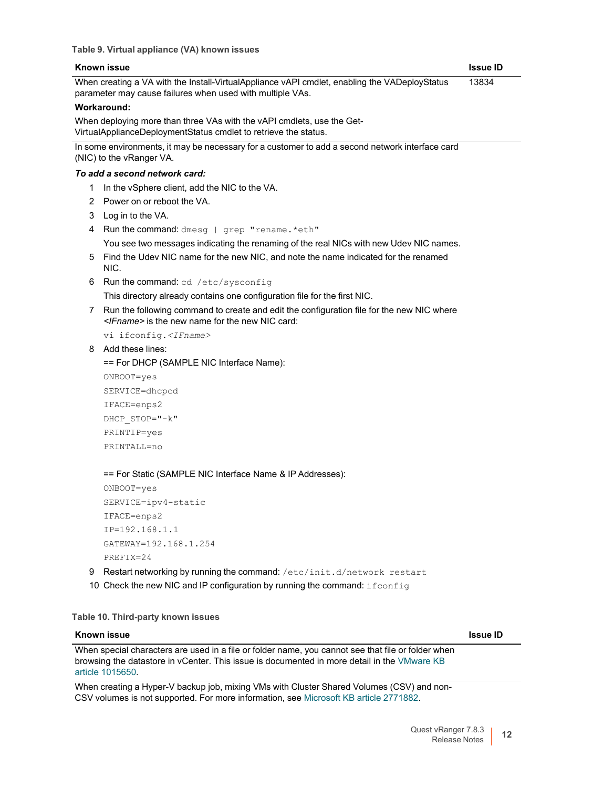When creating a VA with the Install-VirtualAppliance vAPI cmdlet, enabling the VADeployStatus parameter may cause failures when used with multiple VAs. 13834

#### **Workaround:**

When deploying more than three VAs with the vAPI cmdlets, use the Get-VirtualApplianceDeploymentStatus cmdlet to retrieve the status.

In some environments, it may be necessary for a customer to add a second network interface card (NIC) to the vRanger VA.

#### *To add a second network card:*

- 1 In the vSphere client, add the NIC to the VA.
- 2 Power on or reboot the VA.
- 3 Log in to the VA.
- 4 Run the command: dmesg | grep "rename. \* eth" You see two messages indicating the renaming of the real NICs with new Udev NIC names.
- 5 Find the Udev NIC name for the new NIC, and note the name indicated for the renamed NIC.
- 6 Run the command: cd /etc/sysconfig

This directory already contains one configuration file for the first NIC.

7 Run the following command to create and edit the configuration file for the new NIC where *<IFname>* is the new name for the new NIC card:

vi ifconfig.*<IFname>*

8 Add these lines:

== For DHCP (SAMPLE NIC Interface Name):

ONBOOT=yes SERVICE=dhcpcd IFACE=enps2 DHCP\_STOP="-k" PRINTIP=yes PRINTALL=no

== For Static (SAMPLE NIC Interface Name & IP Addresses):

```
ONBOOT=yes
SERVICE=ipv4-static
IFACE=enps2
IP=192.168.1.1
GATEWAY=192.168.1.254
PREFIX=24
```
- 9 Restart networking by running the command: /etc/init.d/network restart
- 10 Check the new NIC and IP configuration by running the command: if config

**Table 10. Third-party known issues**

#### **Known issue Issue ID**

When special characters are used in a file or folder name, you cannot see that file or folder when browsing the datastore in vCenter. This issue is documented in more detail in the [VMware KB](http://kb.vmware.com/selfservice/microsites/search.do?cmd=displayKC&docType=kc&externalId=1015650&sliceId=1&docTypeID=DT_KB_1_1&dialogID=743825831&stateId=0%200%20743849353) article [1015650.](http://kb.vmware.com/selfservice/microsites/search.do?cmd=displayKC&docType=kc&externalId=1015650&sliceId=1&docTypeID=DT_KB_1_1&dialogID=743825831&stateId=0%200%20743849353)

When creating a Hyper-V backup job, mixing VMs with Cluster Shared Volumes (CSV) and non-CSV volumes is not supported. For more information, see Microsoft KB article [2771882.](http://support.microsoft.com/kb/2771882)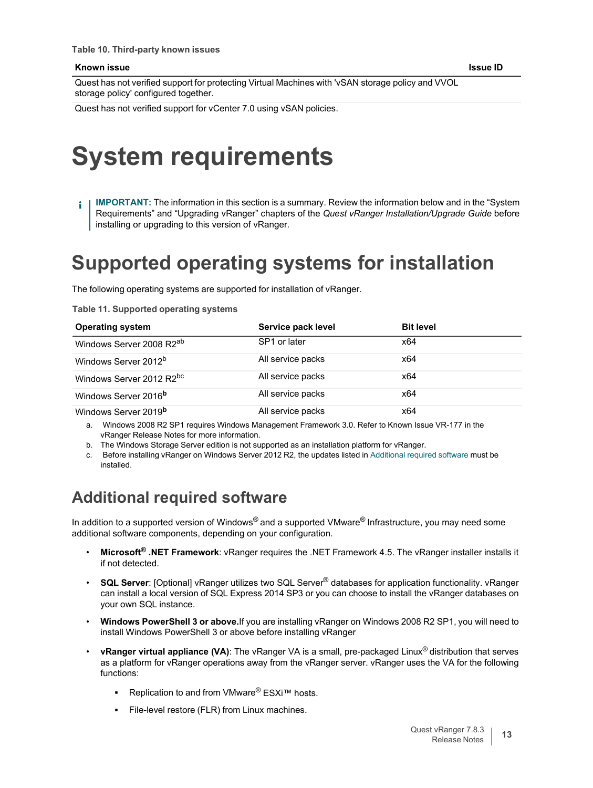Quest has not verified support for protecting Virtual Machines with 'vSAN storage policy and VVOL storage policy' configured together.

Quest has not verified support for vCenter 7.0 using vSAN policies.

# <span id="page-12-0"></span>**System requirements**

**IMPORTANT:** The information in this section is a summary. Review the information below and in the "System f. Requirements" and "Upgrading vRanger" chapters of the *Quest vRanger Installation/Upgrade Guide* before installing or upgrading to this version of vRanger.

## **Supported operating systems for installation**

The following operating systems are supported for installation of vRanger.

**Table 11. Supported operating systems**

| <b>Operating system</b>              | Service pack level | <b>Bit level</b> |
|--------------------------------------|--------------------|------------------|
| Windows Server 2008 R2 <sup>ab</sup> | SP1 or later       | x64              |
| Windows Server 2012 <sup>b</sup>     | All service packs  | x64              |
| Windows Server 2012 R2bc             | All service packs  | x64              |
| Windows Server 2016 <sup>b</sup>     | All service packs  | x64              |
| Windows Server 2019 <sup>b</sup>     | All service packs  | x64              |

a. Windows 2008 R2 SP1 requires Windows Management Framework 3.0. Refer to Known Issue VR-177 in the vRanger Release Notes for more information.

b. The Windows Storage Server edition is not supported as an installation platform for vRanger.

c. Before installing vRanger on Windows Server 2012 R2, the updates listed in Additional required software must be installed.

### **Additional required software**

In addition to a supported version of Windows® and a supported VMware® Infrastructure, you may need some additional software components, depending on your configuration.

- **Microsoft® .NET Framework**: vRanger requires the .NET Framework 4.5. The vRanger installer installs it if not detected.
- **SQL Server**: [Optional] vRanger utilizes two SQL Server® databases for application functionality. vRanger can install a local version of SQL Express 2014 SP3 or you can choose to install the vRanger databases on your own SQL instance.
- **Windows PowerShell 3 or above.**If you are installing vRanger on Windows 2008 R2 SP1, you will need to install Windows PowerShell 3 or above before installing vRanger
- **vRanger virtual appliance (VA)**: The vRanger VA is a small, pre-packaged Linux® distribution that serves as a platform for vRanger operations away from the vRanger server. vRanger uses the VA for the following functions:
	- **Replication to and from VMware<sup>®</sup> ESXi™ hosts.**
	- **▪** File-level restore (FLR) from Linux machines.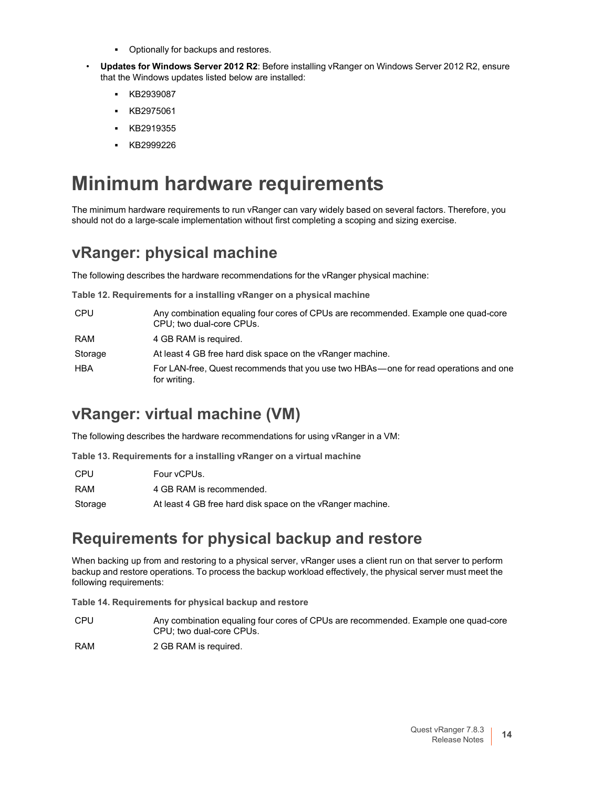- **▪** Optionally for backups and restores.
- **Updates for Windows Server 2012 R2**: Before installing vRanger on Windows Server 2012 R2, ensure that the Windows updates listed below are installed:
	- **▪** KB2939087
	- **▪** KB2975061
	- **▪** KB2919355
	- **▪** KB2999226

## **Minimum hardware requirements**

The minimum hardware requirements to run vRanger can vary widely based on several factors. Therefore, you should not do a large-scale implementation without first completing a scoping and sizing exercise.

### **vRanger: physical machine**

The following describes the hardware recommendations for the vRanger physical machine:

**Table 12. Requirements for a installing vRanger on a physical machine**

| <b>CPU</b> | Any combination equaling four cores of CPUs are recommended. Example one quad-core<br>CPU; two dual-core CPUs. |
|------------|----------------------------------------------------------------------------------------------------------------|
| RAM        | 4 GB RAM is required.                                                                                          |
| Storage    | At least 4 GB free hard disk space on the vRanger machine.                                                     |
| HBA        | For LAN-free, Quest recommends that you use two HBAs—one for read operations and one<br>for writing.           |

### **vRanger: virtual machine (VM)**

The following describes the hardware recommendations for using vRanger in a VM:

**Table 13. Requirements for a installing vRanger on a virtual machine**

| CPU     | Four vCPUs.                                                |
|---------|------------------------------------------------------------|
| RAM     | 4 GB RAM is recommended.                                   |
| Storage | At least 4 GB free hard disk space on the vRanger machine. |

### **Requirements for physical backup and restore**

When backing up from and restoring to a physical server, vRanger uses a client run on that server to perform backup and restore operations. To process the backup workload effectively, the physical server must meet the following requirements:

**Table 14. Requirements for physical backup and restore**

CPU Any combination equaling four cores of CPUs are recommended. Example one quad-core CPU; two dual-core CPUs.

RAM 2 GB RAM is required.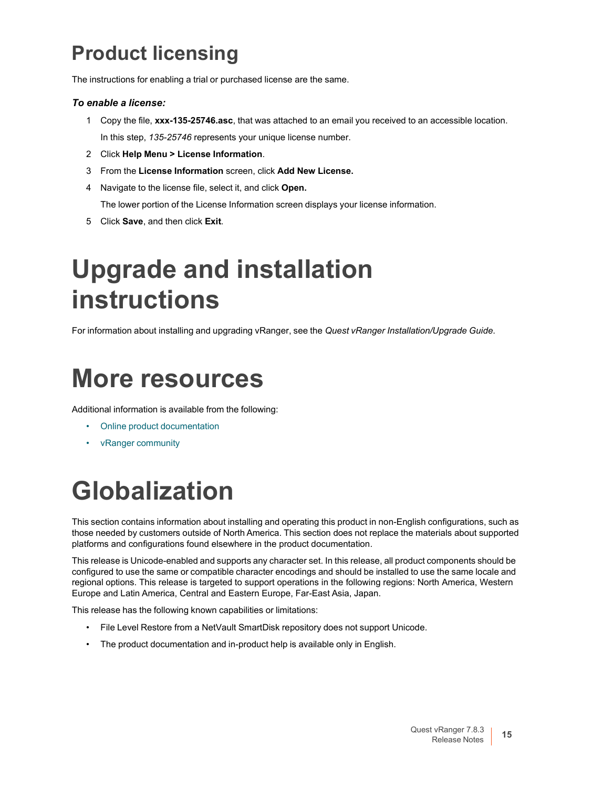## <span id="page-14-0"></span>**Product licensing**

The instructions for enabling a trial or purchased license are the same.

#### *To enable a license:*

- 1 Copy the file, **xxx-135-25746.asc**, that was attached to an email you received to an accessible location. In this step, *135-25746* represents your unique license number.
- 2 Click **Help Menu > License Information**.
- 3 From the **License Information** screen, click **Add New License.**
- 4 Navigate to the license file, select it, and click **Open.**

The lower portion of the License Information screen displays your license information.

5 Click **Save**, and then click **Exit**.

# <span id="page-14-1"></span>**Upgrade and installation instructions**

For information about installing and upgrading vRanger, see the *Quest vRanger Installation/Upgrade Guide*.

# <span id="page-14-2"></span>**More resources**

Additional information is available from the following:

- Online product [documentation](https://support.quest.com/)
- vRanger [community](https://www.quest.com/community/quest/vranger/)

# <span id="page-14-3"></span>**Globalization**

This section contains information about installing and operating this product in non-English configurations, such as those needed by customers outside of North America. This section does not replace the materials about supported platforms and configurations found elsewhere in the product documentation.

This release is Unicode-enabled and supports any character set. In this release, all product components should be configured to use the same or compatible character encodings and should be installed to use the same locale and regional options. This release is targeted to support operations in the following regions: North America, Western Europe and Latin America, Central and Eastern Europe, Far-East Asia, Japan.

This release has the following known capabilities or limitations:

- File Level Restore from a NetVault SmartDisk repository does not support Unicode.
- The product documentation and in-product help is available only in English.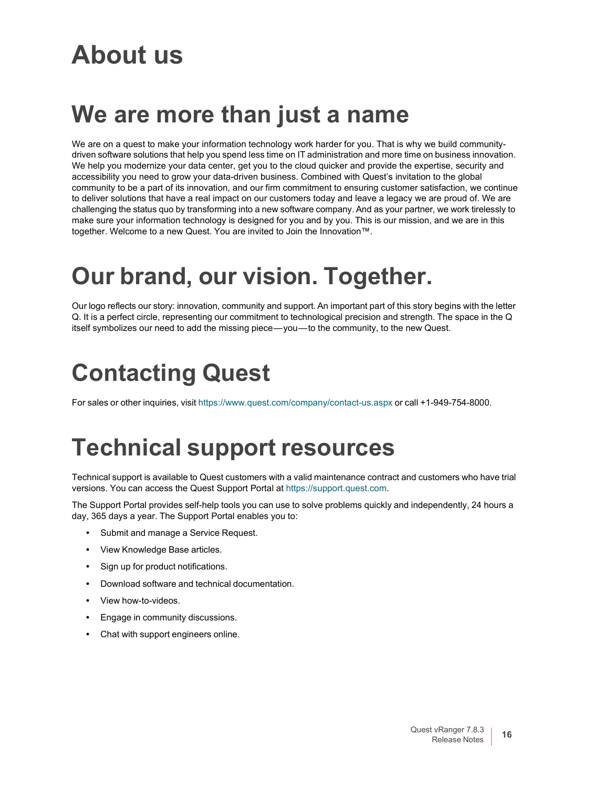# **About us**

# **We are more than just a name**

We are on a quest to make your information technology work harder for you. That is why we build communitydriven software solutions that help you spend less time on IT administration and more time on business innovation. We help you modernize your data center, get you to the cloud quicker and provide the expertise, security and accessibility you need to grow your data-driven business. Combined with Quest's invitation to the global community to be a part of its innovation, and our firm commitment to ensuring customer satisfaction, we continue to deliver solutions that have a real impact on our customers today and leave a legacy we are proud of. We are challenging the status quo by transforming into a new software company. And as your partner, we work tirelessly to make sure your information technology is designed for you and by you. This is our mission, and we are in this together. Welcome to a new Quest. You are invited to Join the Innovation™.

# **Our brand, our vision. Together.**

Our logo reflects our story: innovation, community and support. An important part of this story begins with the letter Q. It is a perfect circle, representing our commitment to technological precision and strength. The space in the Q itself symbolizes our need to add the missing piece—you—to the community, to the new Quest.

# **Contacting Quest**

For sales or other inquiries, visit <https://www.quest.com/company/contact-us.aspx> or call +1-949-754-8000.

# **Technical support resources**

Technical support is available to Quest customers with a valid maintenance contract and customers who have trial versions. You can access the Quest Support Portal at [https://support.quest.com.](https://support.quest.com/)

The Support Portal provides self-help tools you can use to solve problems quickly and independently, 24 hours a day, 365 days a year. The Support Portal enables you to:

- **•** Submit and manage a Service Request.
- **•** View Knowledge Base articles.
- **•** Sign up for product notifications.
- **•** Download software and technical documentation.
- **•** View how-to-videos.
- **•** Engage in community discussions.
- **•** Chat with support engineers online.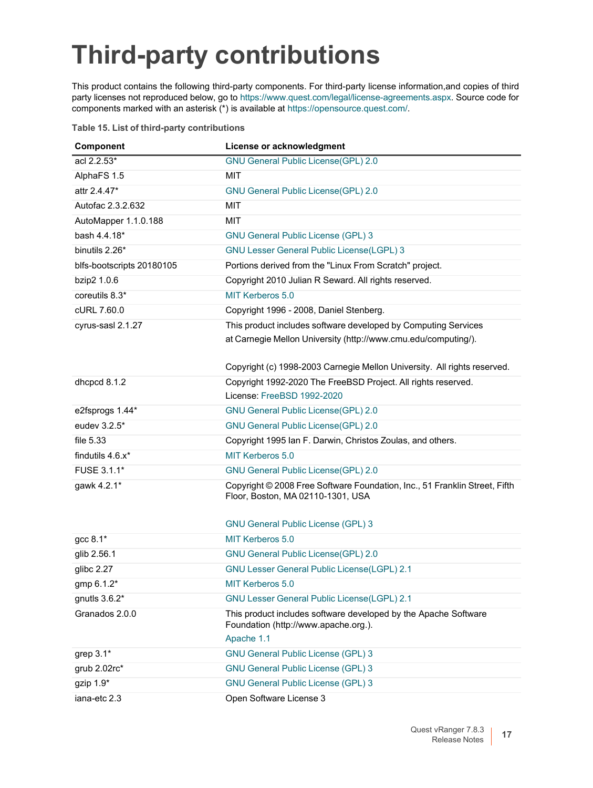# <span id="page-16-0"></span>**Third-party contributions**

This product contains the following third-party components. For third-party license information,and copies of third party licenses not reproduced below, go to [https://www.quest.com/legal/license-agreements.aspx.](https://www.quest.com/legal/license-agreements.aspx) Source code for components marked with an asterisk (\*) is available at [https://opensource.quest.com/.](https://opensource.quest.com/)

#### **Table 15. List of third-party contributions**

| Component                 | License or acknowledgment                                                                                             |
|---------------------------|-----------------------------------------------------------------------------------------------------------------------|
| acl 2.2.53*               | <b>GNU General Public License(GPL) 2.0</b>                                                                            |
| AlphaFS 1.5               | MIT                                                                                                                   |
| attr 2.4.47*              | GNU General Public License(GPL) 2.0                                                                                   |
| Autofac 2.3.2.632         | <b>MIT</b>                                                                                                            |
| AutoMapper 1.1.0.188      | <b>MIT</b>                                                                                                            |
| bash 4.4.18*              | <b>GNU General Public License (GPL) 3</b>                                                                             |
| binutils 2.26*            | <b>GNU Lesser General Public License(LGPL) 3</b>                                                                      |
| blfs-bootscripts 20180105 | Portions derived from the "Linux From Scratch" project.                                                               |
| bzip2 1.0.6               | Copyright 2010 Julian R Seward. All rights reserved.                                                                  |
| coreutils 8.3*            | MIT Kerberos 5.0                                                                                                      |
| cURL 7.60.0               | Copyright 1996 - 2008, Daniel Stenberg.                                                                               |
| cyrus-sasl 2.1.27         | This product includes software developed by Computing Services                                                        |
|                           | at Carnegie Mellon University (http://www.cmu.edu/computing/).                                                        |
|                           |                                                                                                                       |
|                           | Copyright (c) 1998-2003 Carnegie Mellon University. All rights reserved.                                              |
| dhcpcd 8.1.2              | Copyright 1992-2020 The FreeBSD Project. All rights reserved.                                                         |
|                           | License: FreeBSD 1992-2020                                                                                            |
| e2fsprogs 1.44*           | GNU General Public License(GPL) 2.0                                                                                   |
| eudev 3.2.5*              | <b>GNU General Public License(GPL) 2.0</b>                                                                            |
| file 5.33                 | Copyright 1995 Ian F. Darwin, Christos Zoulas, and others.                                                            |
| findutils 4.6.x*          | MIT Kerberos 5.0                                                                                                      |
| FUSE 3.1.1*               | <b>GNU General Public License(GPL) 2.0</b>                                                                            |
| gawk 4.2.1*               | Copyright © 2008 Free Software Foundation, Inc., 51 Franklin Street, Fifth<br>Floor, Boston, MA 02110-1301, USA       |
|                           |                                                                                                                       |
|                           | <b>GNU General Public License (GPL) 3</b>                                                                             |
| $\rm gcc$ 8.1 $^*$        | MIT Kerberos 5.0                                                                                                      |
| glib 2.56.1               | <b>GNU General Public License(GPL) 2.0</b>                                                                            |
| glibc $2.27$              | GNU Lesser General Public License(LGPL) 2.1                                                                           |
| gmp 6.1.2*                | <b>MIT Kerberos 5.0</b>                                                                                               |
| gnutls $3.6.2*$           | <b>GNU Lesser General Public License(LGPL) 2.1</b>                                                                    |
| Granados 2.0.0            | This product includes software developed by the Apache Software<br>Foundation (http://www.apache.org.).<br>Apache 1.1 |
| grep $3.1*$               | <b>GNU General Public License (GPL) 3</b>                                                                             |
| grub 2.02rc*              | <b>GNU General Public License (GPL) 3</b>                                                                             |
| gzip 1.9*                 | <b>GNU General Public License (GPL) 3</b>                                                                             |
| iana-etc 2.3              | Open Software License 3                                                                                               |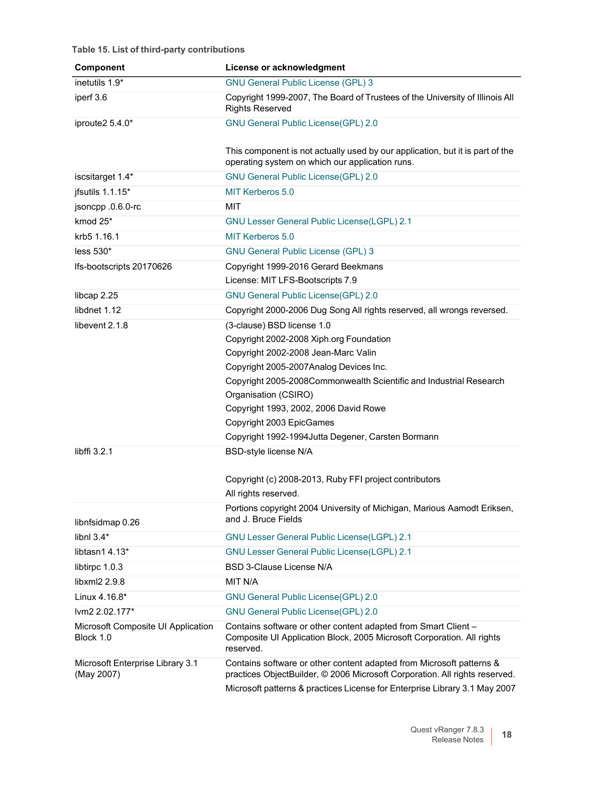#### **Table 15. List of third-party contributions**

| Component                                       | License or acknowledgment                                                                                                                                                                                                         |
|-------------------------------------------------|-----------------------------------------------------------------------------------------------------------------------------------------------------------------------------------------------------------------------------------|
| inetutils 1.9*                                  | <b>GNU General Public License (GPL) 3</b>                                                                                                                                                                                         |
| iperf 3.6                                       | Copyright 1999-2007, The Board of Trustees of the University of Illinois All<br><b>Rights Reserved</b>                                                                                                                            |
| iproute2 5.4.0*                                 | <b>GNU General Public License(GPL) 2.0</b>                                                                                                                                                                                        |
|                                                 | This component is not actually used by our application, but it is part of the<br>operating system on which our application runs.                                                                                                  |
| iscsitarget 1.4*                                | <b>GNU General Public License(GPL) 2.0</b>                                                                                                                                                                                        |
| jfsutils 1.1.15*                                | MIT Kerberos 5.0                                                                                                                                                                                                                  |
| jsoncpp .0.6.0-rc                               | <b>MIT</b>                                                                                                                                                                                                                        |
| kmod 25*                                        | <b>GNU Lesser General Public License(LGPL) 2.1</b>                                                                                                                                                                                |
| krb5 1.16.1                                     | <b>MIT Kerberos 5.0</b>                                                                                                                                                                                                           |
| less $530*$                                     | <b>GNU General Public License (GPL) 3</b>                                                                                                                                                                                         |
| Ifs-bootscripts 20170626                        | Copyright 1999-2016 Gerard Beekmans                                                                                                                                                                                               |
|                                                 | License: MIT LFS-Bootscripts 7.9                                                                                                                                                                                                  |
| libcap 2.25                                     | <b>GNU General Public License(GPL) 2.0</b>                                                                                                                                                                                        |
| libdnet 1.12                                    | Copyright 2000-2006 Dug Song All rights reserved, all wrongs reversed.                                                                                                                                                            |
| libevent 2.1.8                                  | (3-clause) BSD license 1.0                                                                                                                                                                                                        |
|                                                 | Copyright 2002-2008 Xiph.org Foundation                                                                                                                                                                                           |
|                                                 | Copyright 2002-2008 Jean-Marc Valin                                                                                                                                                                                               |
|                                                 | Copyright 2005-2007Analog Devices Inc.                                                                                                                                                                                            |
|                                                 | Copyright 2005-2008Commonwealth Scientific and Industrial Research                                                                                                                                                                |
|                                                 | Organisation (CSIRO)                                                                                                                                                                                                              |
|                                                 | Copyright 1993, 2002, 2006 David Rowe                                                                                                                                                                                             |
|                                                 | Copyright 2003 EpicGames                                                                                                                                                                                                          |
|                                                 | Copyright 1992-1994Jutta Degener, Carsten Bormann                                                                                                                                                                                 |
| libffi 3.2.1                                    | <b>BSD-style license N/A</b>                                                                                                                                                                                                      |
|                                                 | Copyright (c) 2008-2013, Ruby FFI project contributors                                                                                                                                                                            |
|                                                 | All rights reserved.                                                                                                                                                                                                              |
| libnfsidmap 0.26                                | Portions copyright 2004 University of Michigan, Marious Aamodt Eriksen,<br>and J. Bruce Fields                                                                                                                                    |
| libnl $3.4*$                                    | <b>GNU Lesser General Public License(LGPL) 2.1</b>                                                                                                                                                                                |
| libtasn1 4.13*                                  | <b>GNU Lesser General Public License(LGPL) 2.1</b>                                                                                                                                                                                |
| libtirpc 1.0.3                                  | BSD 3-Clause License N/A                                                                                                                                                                                                          |
| libxml2 2.9.8                                   | MIT N/A                                                                                                                                                                                                                           |
| Linux 4.16.8*                                   | <b>GNU General Public License(GPL) 2.0</b>                                                                                                                                                                                        |
| lvm2 2.02.177*                                  | <b>GNU General Public License(GPL) 2.0</b>                                                                                                                                                                                        |
| Microsoft Composite UI Application<br>Block 1.0 | Contains software or other content adapted from Smart Client -<br>Composite UI Application Block, 2005 Microsoft Corporation. All rights<br>reserved.                                                                             |
| Microsoft Enterprise Library 3.1<br>(May 2007)  | Contains software or other content adapted from Microsoft patterns &<br>practices ObjectBuilder, © 2006 Microsoft Corporation. All rights reserved.<br>Microsoft patterns & practices License for Enterprise Library 3.1 May 2007 |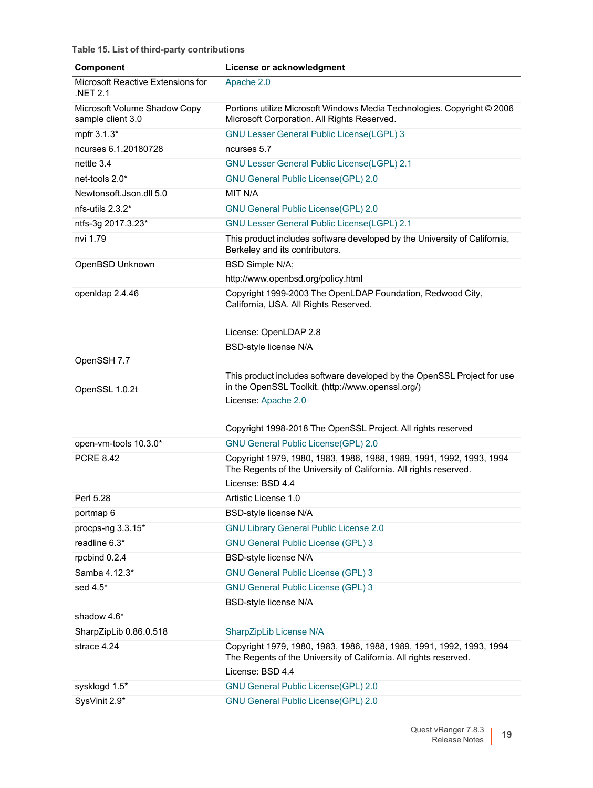**Table 15. List of third-party contributions**

| Component                                         | License or acknowledgment                                                                                                                                     |
|---------------------------------------------------|---------------------------------------------------------------------------------------------------------------------------------------------------------------|
| Microsoft Reactive Extensions for<br>.NET 2.1     | Apache 2.0                                                                                                                                                    |
| Microsoft Volume Shadow Copy<br>sample client 3.0 | Portions utilize Microsoft Windows Media Technologies. Copyright © 2006<br>Microsoft Corporation. All Rights Reserved.                                        |
| mpfr 3.1.3*                                       | <b>GNU Lesser General Public License(LGPL) 3</b>                                                                                                              |
| ncurses 6.1.20180728                              | ncurses 5.7                                                                                                                                                   |
| nettle 3.4                                        | <b>GNU Lesser General Public License(LGPL) 2.1</b>                                                                                                            |
| net-tools 2.0*                                    | <b>GNU General Public License(GPL) 2.0</b>                                                                                                                    |
| Newtonsoft.Json.dll 5.0                           | MIT N/A                                                                                                                                                       |
| nfs-utils 2.3.2*                                  | <b>GNU General Public License(GPL) 2.0</b>                                                                                                                    |
| ntfs-3g 2017.3.23*                                | <b>GNU Lesser General Public License(LGPL) 2.1</b>                                                                                                            |
| nvi 1.79                                          | This product includes software developed by the University of California,<br>Berkeley and its contributors.                                                   |
| OpenBSD Unknown                                   | BSD Simple N/A;                                                                                                                                               |
|                                                   | http://www.openbsd.org/policy.html                                                                                                                            |
| openIdap 2.4.46                                   | Copyright 1999-2003 The OpenLDAP Foundation, Redwood City,<br>California, USA. All Rights Reserved.                                                           |
|                                                   | License: OpenLDAP 2.8                                                                                                                                         |
|                                                   | <b>BSD-style license N/A</b>                                                                                                                                  |
| OpenSSH 7.7                                       |                                                                                                                                                               |
|                                                   | This product includes software developed by the OpenSSL Project for use                                                                                       |
| OpenSSL 1.0.2t                                    | in the OpenSSL Toolkit. (http://www.openssl.org/)                                                                                                             |
|                                                   | License: Apache 2.0                                                                                                                                           |
|                                                   | Copyright 1998-2018 The OpenSSL Project. All rights reserved                                                                                                  |
| open-vm-tools 10.3.0*                             | <b>GNU General Public License(GPL) 2.0</b>                                                                                                                    |
| <b>PCRE 8.42</b>                                  | Copyright 1979, 1980, 1983, 1986, 1988, 1989, 1991, 1992, 1993, 1994                                                                                          |
|                                                   | The Regents of the University of California. All rights reserved.                                                                                             |
|                                                   | License: BSD 4.4                                                                                                                                              |
| Perl 5.28                                         | Artistic License 1.0                                                                                                                                          |
| portmap 6                                         | <b>BSD-style license N/A</b>                                                                                                                                  |
| procps-ng 3.3.15*                                 | <b>GNU Library General Public License 2.0</b>                                                                                                                 |
| readline 6.3*                                     | <b>GNU General Public License (GPL) 3</b>                                                                                                                     |
| rpcbind 0.2.4                                     | <b>BSD-style license N/A</b>                                                                                                                                  |
| Samba 4.12.3*                                     | <b>GNU General Public License (GPL) 3</b>                                                                                                                     |
| sed 4.5*                                          | <b>GNU General Public License (GPL) 3</b>                                                                                                                     |
|                                                   | <b>BSD-style license N/A</b>                                                                                                                                  |
| shadow 4.6*                                       |                                                                                                                                                               |
| SharpZipLib 0.86.0.518                            | SharpZipLib License N/A                                                                                                                                       |
| strace 4.24                                       | Copyright 1979, 1980, 1983, 1986, 1988, 1989, 1991, 1992, 1993, 1994<br>The Regents of the University of California. All rights reserved.<br>License: BSD 4.4 |
| sysklogd 1.5*                                     | <b>GNU General Public License(GPL) 2.0</b>                                                                                                                    |
| SysVinit 2.9*                                     | <b>GNU General Public License(GPL) 2.0</b>                                                                                                                    |
|                                                   |                                                                                                                                                               |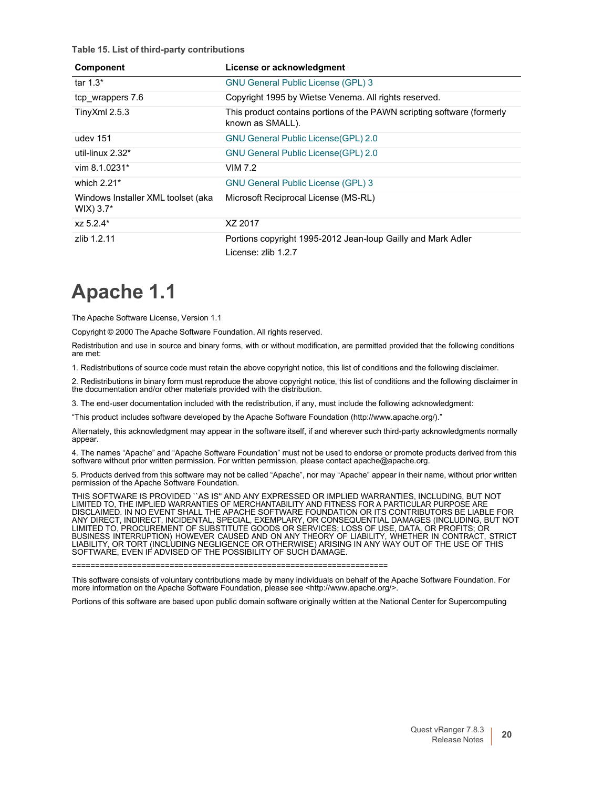**Table 15. List of third-party contributions**

| <b>Component</b>                                   | License or acknowledgment                                                                   |
|----------------------------------------------------|---------------------------------------------------------------------------------------------|
| tar $1.3^*$                                        | <b>GNU General Public License (GPL) 3</b>                                                   |
| tcp_wrappers 7.6                                   | Copyright 1995 by Wietse Venema. All rights reserved.                                       |
| Tiny $X$ ml 2.5.3                                  | This product contains portions of the PAWN scripting software (formerly<br>known as SMALL). |
| udev 151                                           | <b>GNU General Public License (GPL) 2.0</b>                                                 |
| util-linux $2.32*$                                 | <b>GNU General Public License (GPL) 2.0</b>                                                 |
| vim $8.1.0231*$                                    | VIM 7.2                                                                                     |
| which $2.21*$                                      | <b>GNU General Public License (GPL) 3</b>                                                   |
| Windows Installer XML toolset (aka<br>$WIX$ ) 3.7* | Microsoft Reciprocal License (MS-RL)                                                        |
| xz 5.2.4*                                          | XZ 2017                                                                                     |
| zlib 1.2.11                                        | Portions copyright 1995-2012 Jean-loup Gailly and Mark Adler<br>License: zlib 1.2.7         |

## <span id="page-19-0"></span>**Apache 1.1**

The Apache Software License, Version 1.1

Copyright © 2000 The Apache Software Foundation. All rights reserved.

Redistribution and use in source and binary forms, with or without modification, are permitted provided that the following conditions are met:

1. Redistributions of source code must retain the above copyright notice, this list of conditions and the following disclaimer.

2. Redistributions in binary form must reproduce the above copyright notice, this list of conditions and the following disclaimer in the documentation and/or other materials provided with the distribution.

3. The end-user documentation included with the redistribution, if any, must include the following acknowledgment:

"This product includes software developed by the Apache Software Foundation [\(http://www.apache.org/\)."](http://www.apache.org/))

Alternately, this acknowledgment may appear in the software itself, if and wherever such third-party acknowledgments normally appear.

4. The names "Apache" and "Apache Software Foundation" must not be used to endorse or promote products derived from this software without prior written permission. For written permission, please contact [apache@apache.org.](mailto:apache@apache.org)

5. Products derived from this software may not be called "Apache", nor may "Apache" appear in their name, without prior written permission of the Apache Software Foundation.

THIS SOFTWARE IS PROVIDED ``AS IS'' AND ANY EXPRESSED OR IMPLIED WARRANTIES, INCLUDING, BUT NOT LIMITED TO, THE IMPLIED WARRANTIES OF MERCHANTABILITY AND FITNESS FOR A PARTICULAR PURPOSE ARE DISCLAIMED. IN NO EVENT SHALL THE APACHE SOFTWARE FOUNDATION OR ITS CONTRIBUTORS BE LIABLE FOR ANY DIRECT, INDIRECT, INCIDENTAL, SPECIAL, EXEMPLARY, OR CONSEQUENTIAL DAMAGES (INCLUDING, BUT NOT LIMITED TO, PROCUREMENT OF SUBSTITUTE GOODS OR SERVICES; LOSS OF USE, DATA, OR PROFITS; OR BUSINESS INTERRUPTION) HOWEVER CAUSED AND ON ANY THEORY OF LIABILITY, WHETHER IN CONTRACT, STRICT LIABILITY, OR TORT (INCLUDING NEGLIGENCE OR OTHERWISE) ARISING IN ANY WAY OUT OF THE USE OF THIS SOFTWARE, EVEN IF ADVISED OF THE POSSIBILITY OF SUCH DAMAGE.

====================================================================

This software consists of voluntary contributions made by many individuals on behalf of the Apache Software Foundation. For more information on the Apache Software Foundation, please see [<http://www.apache.org/>.](http://www.apache.org/)

Portions of this software are based upon public domain software originally written at the National Center for Supercomputing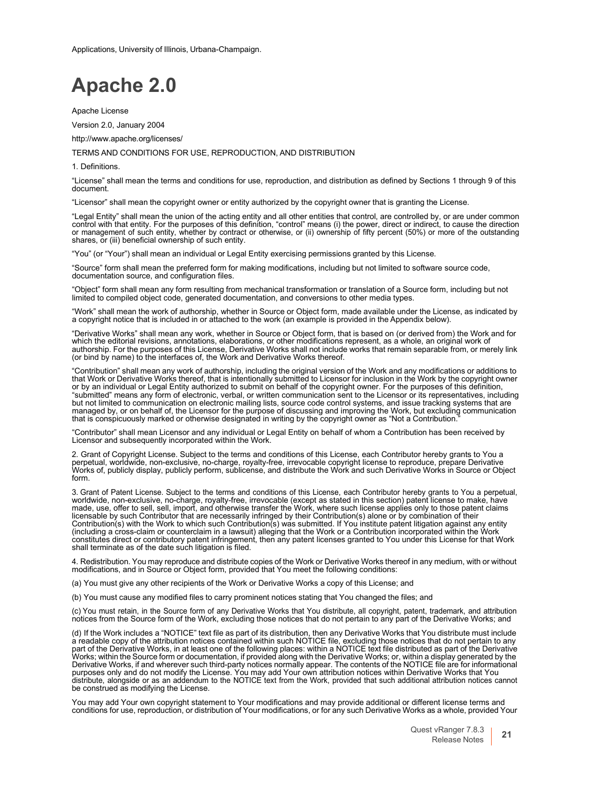Applications, University of Illinois, Urbana-Champaign.

### <span id="page-20-0"></span>**Apache 2.0**

Apache License

Version 2.0, January 2004

<http://www.apache.org/licenses/>

#### TERMS AND CONDITIONS FOR USE, REPRODUCTION, AND DISTRIBUTION

1. Definitions.

"License" shall mean the terms and conditions for use, reproduction, and distribution as defined by Sections 1 through 9 of this document.

"Licensor" shall mean the copyright owner or entity authorized by the copyright owner that is granting the License.

"Legal Entity" shall mean the union of the acting entity and all other entities that control, are controlled by, or are under common control with that entity. For the purposes of this definition, "control" means (i) the po or management of such entity, whether by contract or otherwise, or (ii) ownership of fifty percent (50%) or more of the outstanding shares, or (iii) beneficial ownership of such entity.

"You" (or "Your") shall mean an individual or Legal Entity exercising permissions granted by this License.

"Source" form shall mean the preferred form for making modifications, including but not limited to software source code, documentation source, and configuration files.

"Object" form shall mean any form resulting from mechanical transformation or translation of a Source form, including but not limited to compiled object code, generated documentation, and conversions to other media types.

"Work" shall mean the work of authorship, whether in Source or Object form, made available under the License, as indicated by<br>a copyright notice that is included in or attached to the work (an example is provided in the Ap

"Derivative Works" shall mean any work, whether in Source or Object form, that is based on (or derived from) the Work and for which the editorial revisions, annotations, elaborations, or other modifications represent, as a whole, an original work of authorship. For the purposes of this License, Derivative Works shall not include works that remain separable from, or merely link (or bind by name) to the interfaces of, the Work and Derivative Works thereof.

"Contribution" shall mean any work of authorship, including the original version of the Work and any modifications or additions to that Work or Derivative Works thereof, that is intentionally submitted to Licensor for inclusion in the Work by the copyright owner<br>or by an individual or Legal Entity authorized to submit on behalf of the copyright owner. "submitted" means any form of electronic, verbal, or written communication sent to the Licensor or its representatives, including but not limited to communication on electronic mailing lists, source code control systems, and issue tracking systems that are managed by, or on behalf of, the Licensor for the purpose of discussing and improving the Work, but excluding communication that is conspicuously marked or otherwise designated in writing by the copyright owner as "Not a Contribution."

"Contributor" shall mean Licensor and any individual or Legal Entity on behalf of whom a Contribution has been received by Licensor and subsequently incorporated within the Work.

2. Grant of Copyright License. Subject to the terms and conditions of this License, each Contributor hereby grants to You a perpetual, worldwide, non-exclusive, no-charge, royalty-free, irrevocable copyright license to reproduce, prepare Derivative<br>Works of, publicly display, publicly perform, sublicense, and distribute the Work and such Deriva form.

3. Grant of Patent License. Subject to the terms and conditions of this License, each Contributor hereby grants to You a perpetual, worldwide, non-exclusive, no-charge, royalty-free, irrevocable (except as stated in this section) patent license to make, have made, use, offer to sell, sell, import, and otherwise transfer the Work, where such license applies only to those patent claims<br>licensable by such Contributor that are necessarily infringed by their Contribution(s) alone o Contribution(s) with the Work to which such Contribution(s) was submitted. If You institute patent litigation against any entity<br>(including a cross-claim or counterclaim in a lawsuit) alleging that the Work or a Contributi constitutes direct or contributory patent infringement, then any patent licenses granted to You under this License for that Work shall terminate as of the date such litigation is filed.

4. Redistribution. You may reproduce and distribute copies of the Work or Derivative Works thereof in any medium, with or without modifications, and in Source or Object form, provided that You meet the following conditions:

(a) You must give any other recipients of the Work or Derivative Works a copy of this License; and

(b) You must cause any modified files to carry prominent notices stating that You changed the files; and

(c) You must retain, in the Source form of any Derivative Works that You distribute, all copyright, patent, trademark, and attribution notices from the Source form of the Work, excluding those notices that do not pertain to any part of the Derivative Works; and

(d) If the Work includes a "NOTICE" text file as part of its distribution, then any Derivative Works that You distribute must include<br>a readable copy of the attribution notices contained within such NOTICE file, excluding part of the Derivative Works, in at least one of the following places: within a NOTICE text file distributed as part of the Derivative<br>Works; within the Source form or documentation, if provided along with the Derivative W Derivative Works, if and wherever such third-party notices normally appear. The contents of the NOTICE file are for informational<br>purposes only and do not modify the License. You may add Your own attribution notices within be construed as modifying the License.

You may add Your own copyright statement to Your modifications and may provide additional or different license terms and conditions for use, reproduction, or distribution of Your modifications, or for any such Derivative Works as a whole, provided Your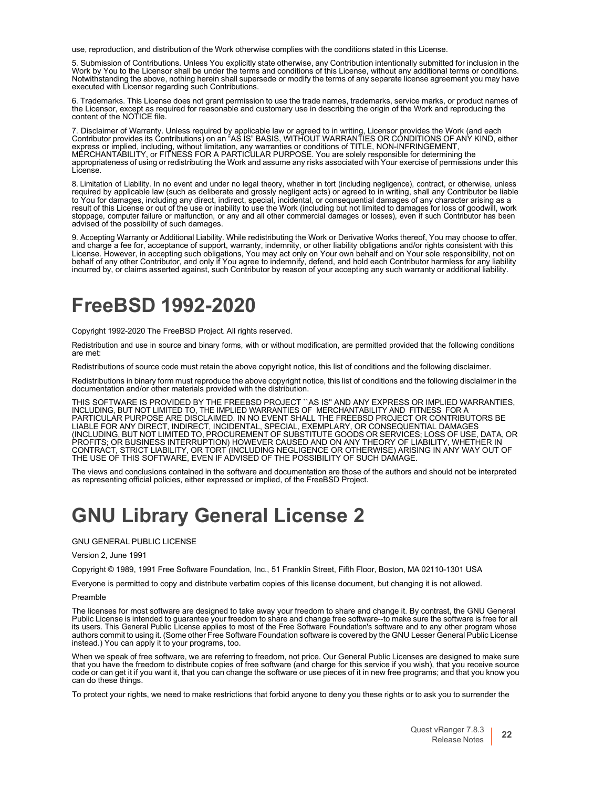use, reproduction, and distribution of the Work otherwise complies with the conditions stated in this License.

5. Submission of Contributions. Unless You explicitly state otherwise, any Contribution intentionally submitted for inclusion in the<br>Work by You to the Licensor shall be under the terms and conditions of this License, with Work by You to the Licensor shall be under the terms and conditions of this License, without any additional terms or conditions.<br>Notwithstanding the above, nothing herein shall supersede or modify the terms of any separate executed with Licensor regarding such Contributions.

6. Trademarks. This License does not grant permission to use the trade names, trademarks, service marks, or product names of the Licensor, except as required for reasonable and customary use in describing the origin of the Work and reproducing the content of the NOTICE file.

7. Disclaimer of Warranty. Unless required by applicable law or agreed to in writing, Licensor provides the Work (and each<br>Contributor provides its Contributions) on an "AS IS" BASIS, WITHOUT WARRANTIES OR CONDITIONS OF AN express or implied, including, without limitation, any warranties or conditions of TITLE, NON-INFRINGEMENT, MERCHANTABILITY, or FITNESS FOR A PARTICULAR PURPOSE. You are solely responsible for determining the appropriateness of using or redistributing the Work and assume any risks associated with Your exercise of permissions under this License.

8. Limitation of Liability. In no event and under no legal theory, whether in tort (including negligence), contract, or otherwise, unless<br>required by applicable law (such as deliberate and grossly negligent acts) or agreed to You for damages, including any direct, indirect, special, incidental, or consequential damages of any character arising as a<br>result of this License or out of the use or inability to use the Work (including but not limit stoppage, computer failure or malfunction, or any and all other commercial damages or losses), even if such Contributor has been advised of the possibility of such damages.

9. Accepting Warranty or Additional Liability. While redistributing the Work or Derivative Works thereof, You may choose to offer, and charge a fee for, acceptance of support, warranty, indemnity, or other liability obligations and/or rights consistent with this License. However, in accepting such obligations, You may act only on Your own behalf and on Your sole responsibility, not on<br>behalf of any other Contributor, and only if You agree to indemnify, defend, and hold each Contri incurred by, or claims asserted against, such Contributor by reason of your accepting any such warranty or additional liability.

### <span id="page-21-0"></span>**FreeBSD 1992-2020**

Copyright 1992-2020 The FreeBSD Project. All rights reserved.

Redistribution and use in source and binary forms, with or without modification, are permitted provided that the following conditions are met:

Redistributions of source code must retain the above copyright notice, this list of conditions and the following disclaimer.

Redistributions in binary form must reproduce the above copyright notice, this list of conditions and the following disclaimer in the documentation and/or other materials provided with the distribution.

THIS SOFTWARE IS PROVIDED BY THE FREEBSD PROJECT ``AS IS" AND ANY EXPRESS OR IMPLIED WARRANTIES,<br>INCLUDING, BUT NOT LIMITED TO, THE IMPLIED WARRANTIES OF MERCHANTABILITY AND FITNESS FOR A<br>PARTICULAR PURPOSE ARE DISCLAIM LIABLE FOR ANY DIRECT, INDIRECT, INCIDENTAL, SPECIAL, EXEMPLARY, OR CONSEQUENTIAL DAMAGES<br>(INCLUDING, BUT NOT LIMITED TO, PROCUREMENT OF SUBSTITUTE GOODS OR SERVICES; LOSS OF USE, DATA, OR PROFITS; OR BUSINESS INTERRUPTION) HOWEVER CAUSED AND ON ANY THEORY OF LIABILITY, WHETHER IN CONTRACT, STRICT LIABILITY, OR TORT (INCLUDING NEGLIGENCE OR OTHERWISE) ARISING IN ANY WAY OUT OF THE USE OF THIS SOFTWARE, EVEN IF ADVISED OF THE POSSIBILITY OF SUCH DAMAGE.

The views and conclusions contained in the software and documentation are those of the authors and should not be interpreted as representing official policies, either expressed or implied, of the FreeBSD Project.

### **GNU Library General License 2**

GNU GENERAL PUBLIC LICENSE

Version 2, June 1991

Copyright © 1989, 1991 Free Software Foundation, Inc., 51 Franklin Street, Fifth Floor, Boston, MA 02110-1301 USA

Everyone is permitted to copy and distribute verbatim copies of this license document, but changing it is not allowed.

#### Preamble

The licenses for most software are designed to take away your freedom to share and change it. By contrast, the GNU General<br>Public License is intended to guarantee your freedom to share and change free software--to make sur its users. This General Public License applies to most of the Free Software Foundation's software and to any other program whose authors commit to using it. (Some other Free Software Foundation software is covered by the GNU Lesser General Public License instead.) You can apply it to your programs, too.

When we speak of free software, we are referring to freedom, not price. Our General Public Licenses are designed to make sure that you have the freedom to distribute copies of free software (and charge for this service if

To protect your rights, we need to make restrictions that forbid anyone to deny you these rights or to ask you to surrender the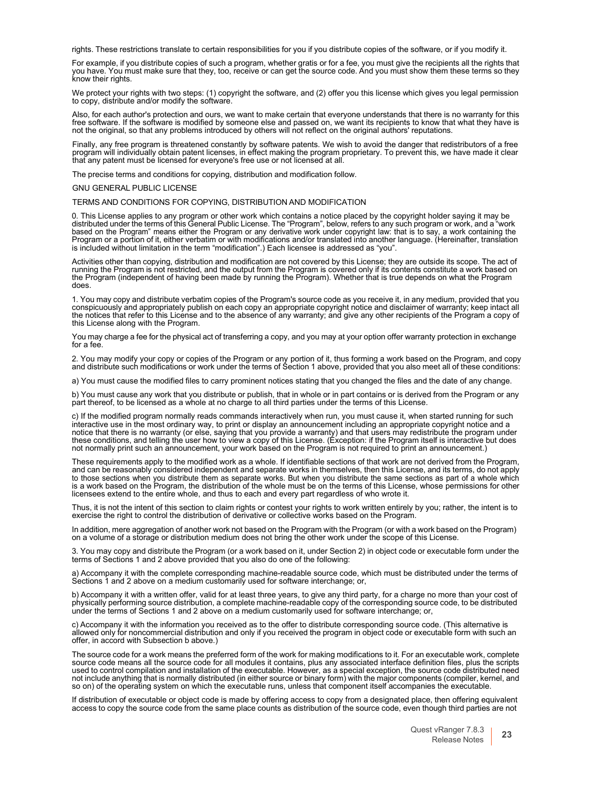rights. These restrictions translate to certain responsibilities for you if you distribute copies of the software, or if you modify it.

For example, if you distribute copies of such a program, whether gratis or for a fee, you must give the recipients all the rights that you have. You must make sure that they, too, receive or can get the source code. And you must show them these terms so they know their rights.

We protect your rights with two steps: (1) copyright the software, and (2) offer you this license which gives you legal permission to copy, distribute and/or modify the software.

Also, for each author's protection and ours, we want to make certain that everyone understands that there is no warranty for this free software. If the software is modified by someone else and passed on, we want its recipients to know that what they have is not the original, so that any problems introduced by others will not reflect on the original authors' reputations.

Finally, any free program is threatened constantly by software patents. We wish to avoid the danger that redistributors of a free program will individually obtain patent licenses, in effect making the program proprietary. To prevent this, we have made it clear that any patent must be licensed for everyone's free use or not licensed at all.

The precise terms and conditions for copying, distribution and modification follow.

GNU GENERAL PUBLIC LICENSE

#### TERMS AND CONDITIONS FOR COPYING, DISTRIBUTION AND MODIFICATION

0. This License applies to any program or other work which contains a notice placed by the copyright holder saying it may be<br>distributed under the terms of this General Public License. The "Program", below, refers to any s based on the Program" means either the Program or any derivative work under copyright law: that is to say, a work containing the<br>Program or a portion of it, either verbatim or with modifications and/or translated into anot is included without limitation in the term "modification".) Each licensee is addressed as "you".

Activities other than copying, distribution and modification are not covered by this License; they are outside its scope. The act of running the Program is not restricted, and the output from the Program is covered only if its contents constitute a work based on the Program (independent of having been made by running the Program). Whether that is true depends on what the Program does.

1. You may copy and distribute verbatim copies of the Program's source code as you receive it, in any medium, provided that you conspicuously and appropriately publish on each copy an appropriate copyright notice and disclaimer of warranty; keep intact all<br>the notices that refer to this License and to the absence of any warranty; and give any other this License along with the Program.

You may charge a fee for the physical act of transferring a copy, and you may at your option offer warranty protection in exchange for a fee.

2. You may modify your copy or copies of the Program or any portion of it, thus forming a work based on the Program, and copy<br>and distribute such modifications or work under the terms of Section 1 above, provided that you

a) You must cause the modified files to carry prominent notices stating that you changed the files and the date of any change.

b) You must cause any work that you distribute or publish, that in whole or in part contains or is derived from the Program or any<br>part thereof, to be licensed as a whole at no charge to all third parties under the terms o

c) If the modified program normally reads commands interactively when run, you must cause it, when started running for such interactive use in the most ordinary way, to print or display an announcement including an appropriate copyright notice and a<br>notice that there is no warranty (or else, saying that you provide a warranty) and that users ma these conditions, and telling the user how to view a copy of this License. (Exception: if the Program itself is interactive but does<br>not normally print such an announcement, your work based on the Program is not required t

These requirements apply to the modified work as a whole. If identifiable sections of that work are not derived from the Program, and can be reasonably considered independent and separate works in themselves, then this License, and its terms, do not apply<br>to those sections when you distribute them as separate works. But when you distribute the same s licensees extend to the entire whole, and thus to each and every part regardless of who wrote it.

Thus, it is not the intent of this section to claim rights or contest your rights to work written entirely by you; rather, the intent is to exercise the right to control the distribution of derivative or collective works based on the Program.

In addition, mere aggregation of another work not based on the Program with the Program (or with a work based on the Program) on a volume of a storage or distribution medium does not bring the other work under the scope of

3. You may copy and distribute the Program (or a work based on it, under Section 2) in object code or executable form under the terms of Sections 1 and 2 above provided that you also do one of the following:

a) Accompany it with the complete corresponding machine-readable source code, which must be distributed under the terms of Sections 1 and 2 above on a medium customarily used for software interchange; or,

b) Accompany it with a written offer, valid for at least three years, to give any third party, for a charge no more than your cost of physically performing source distribution, a complete machine-readable copy of the corresponding source code, to be distributed under the terms of Sections 1 and 2 above on a medium customarily used for software interchange; or,

c) Accompany it with the information you received as to the offer to distribute corresponding source code. (This alternative is allowed only for noncommercial distribution and only if you received the program in object code or executable form with such an offer, in accord with Subsection <sup>b</sup> above.)

The source code for a work means the preferred form of the work for making modifications to it. For an executable work, complete<br>source code means all the source code for all modules it contains, plus any associated interf used to control compilation and installation of the executable. However, as a special exception, the source code distributed need not include anything that is normally distributed (in either source or binary form) with the major components (compiler, kernel, and so on) of the operating system on which the executable runs, unless that component itself

If distribution of executable or object code is made by offering access to copy from a designated place, then offering equivalent access to copy the source code from the same place counts as distribution of the source code, even though third parties are not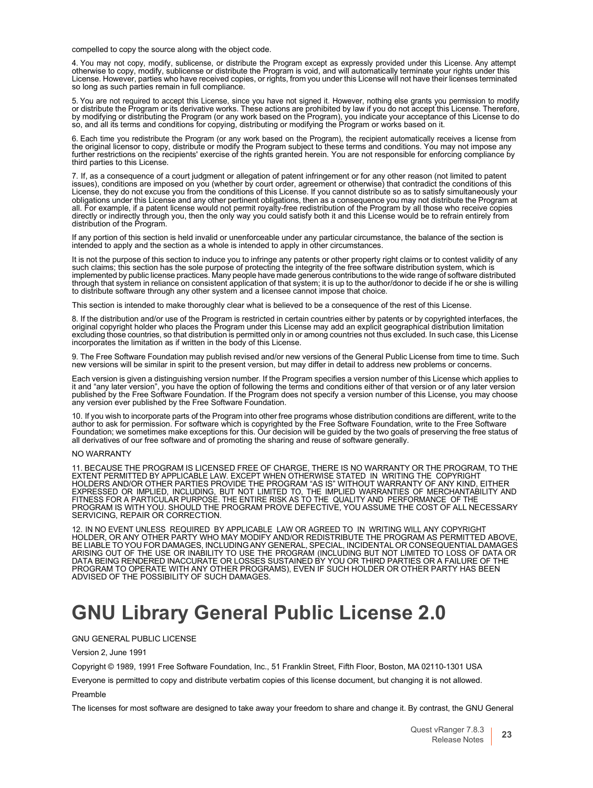compelled to copy the source along with the object code.

4. You may not copy, modify, sublicense, or distribute the Program except as expressly provided under this License. Any attempt otherwise to copy, modify, sublicense or distribute the Program is void, and will automatically terminate your rights under this License. However, parties who have received copies, or rights, from you under this License will not have their licenses terminated so long as such parties remain in full compliance.

5. You are not required to accept this License, since you have not signed it. However, nothing else grants you permission to modify<br>or distribute the Program or its derivative works. These actions are prohibited by law if so, and all its terms and conditions for copying, distributing or modifying the Program or works based on it.

6. Each time you redistribute the Program (or any work based on the Program), the recipient automatically receives a license from<br>the original licensor to copy, distribute or modify the Program subject to these terms and c further restrictions on the recipients' exercise of the rights granted herein. You are not responsible for enforcing compliance by third parties to this License.

7. If, as a consequence of a court judgment or allegation of patent infringement or for any other reason (not limited to patent issues), conditions are imposed on you (whether by court order, agreement or otherwise) that contradict the conditions of this<br>License, they do not excuse you from the conditions of this License. If you cannot distribute s obligations under this License and any other pertinent obligations, then as a consequence you may not distribute the Program at<br>all. For example, if a patent license would not permit royalty-free redistribution of the Prog directly or indirectly through you, then the only way you could satisfy both it and this License would be to refrain entirely from distribution of the Program.

If any portion of this section is held invalid or unenforceable under any particular circumstance, the balance of the section is intended to apply and the section as a whole is intended to apply in other circumstances.

It is not the purpose of this section to induce you to infringe any patents or other property right claims or to contest validity of any<br>such claims; this section has the sole purpose of protecting the integrity of the fre implemented by public license practices. Many people have made generous contributions to the wide range of software distributed through that system in reliance on consistent application of that system; it is up to the author/donor to decide if he or she is willing to distribute software through any other system and a licensee cannot impose that choice.

This section is intended to make thoroughly clear what is believed to be a consequence of the rest of this License.

8. If the distribution and/or use of the Program is restricted in certain countries either by patents or by copyrighted interfaces, the<br>original copyright holder who places the Program under this License may add an explici excluding those countries, so that distribution is permitted only in or among countries not thus excluded. In such case, this License incorporates the limitation as if written in the body of this License.

9. The Free Software Foundation may publish revised and/or new versions of the General Public License from time to time. Such new versions will be similar in spirit to the present version, but may differ in detail to addre

Each version is given a distinguishing version number. If the Program specifies a version number of this License which applies to it and "any later version", you have the option of following the terms and conditions either of that version or of any later version<br>published by the Free Software Foundation. If the Program does not specify a version numb any version ever published by the Free Software Foundation.

10. If you wish to incorporate parts of the Program into other free programs whose distribution conditions are different, write to the<br>author to ask for permission. For software which is copyrighted by the Free Software Fo all derivatives of our free software and of promoting the sharing and reuse of software generally.

#### NO WARRANTY

11. BECAUSE THE PROGRAM IS LICENSED FREE OF CHARGE, THERE IS NO WARRANTY OR THE PROGRAM, TO THE<br>EXTENT PERMITTED BY APPLICABLE LAW. EXCEPT WHEN OTHERWISE STATED IN WRITING THE COPYRIGHT<br>HOLDERS AND/OR OTHER PARTIES PROV EXPRESSED OR IMPLIED, INCLUDING, BUT NOT LIMITED TO, THE IMPLIED WARRANTIES OF MERCHANTABILITY AND FITNESS FOR A PARTICULAR PURPOSE. THE ENTIRE RISK AS TO THE QUALITY AND PERFORMANCE OF THE PROGRAM IS WITH YOU. SHOULD THE PROGRAM PROVE DEFECTIVE, YOU ASSUME THE COST OF ALL NECESSARY SERVICING, REPAIR OR CORRECTION.

12. IN NO EVENT UNLESS REQUIRED BY APPLICABLE LAW OR AGREED TO IN WRITING WILL ANY COPYRIGHT<br>HOLDER, OR ANY OTHER PARTY WHO MAY MODIFY AND/OR REDISTRIBUTE THE PROGRAM AS PERMITTED ABOVE,<br>BE LIABLE TO YOU FOR DAMAGES, INCLU PROGRAM TO OPERATE WITH ANY OTHER PROGRAMS), EVEN IF SUCH HOLDER OR OTHER PARTY HAS BEEN ADVISED OF THE POSSIBILITY OF SUCH DAMAGES.

### <span id="page-23-0"></span>**GNU Library General Public License 2.0**

GNU GENERAL PUBLIC LICENSE

Version 2, June 1991

Copyright © 1989, 1991 Free Software Foundation, Inc., 51 Franklin Street, Fifth Floor, Boston, MA 02110-1301 USA

Everyone is permitted to copy and distribute verbatim copies of this license document, but changing it is not allowed. Preamble

The licenses for most software are designed to take away your freedom to share and change it. By contrast, the GNU General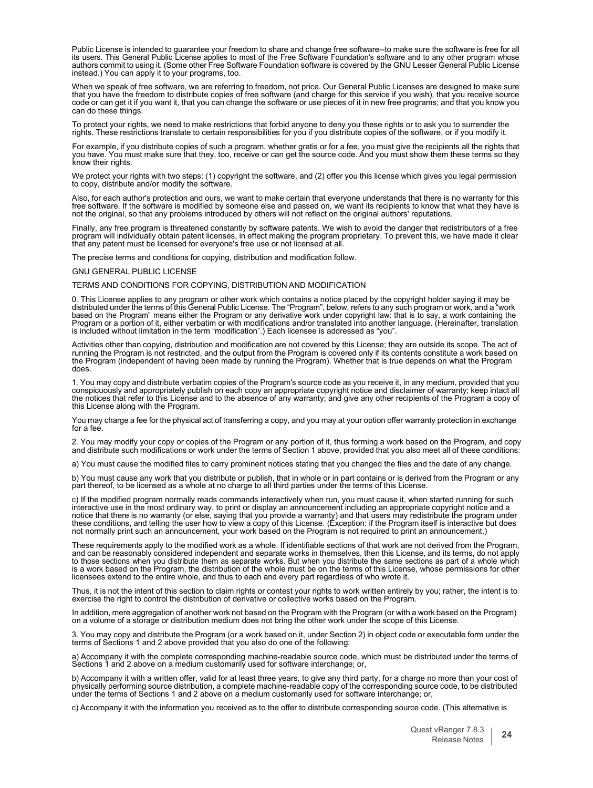Public License is intended to guarantee your freedom to share and change free software--to make sure the software is free for all its users. This General Public License applies to most of the Free Software Foundation's software and to any other program whose authors commit to using it. (Some other Free Software Foundation software is covered by the GNU Lesser General Public License instead.) You can apply it to your programs, too.

When we speak of free software, we are referring to freedom, not price. Our General Public Licenses are designed to make sure<br>that you have the freedom to distribute copies of free software (and charge for this service if can do these things.

To protect your rights, we need to make restrictions that forbid anyone to deny you these rights or to ask you to surrender the rights. These restrictions translate to certain responsibilities for you if you distribute copies of the software, or if you modify it.

For example, if you distribute copies of such a program, whether gratis or for a fee, you must give the recipients all the rights that you have. You must make sure that they, too, receive or can get the source code. And you must show them these terms so they know their rights.

We protect your rights with two steps: (1) copyright the software, and (2) offer you this license which gives you legal permission to copy, distribute and/or modify the software.

Also, for each author's protection and ours, we want to make certain that everyone understands that there is no warranty for this free software. If the software is modified by someone else and passed on, we want its recipients to know that what they have is<br>not the original, so that any problems introduced by others will not reflect on the original a

Finally, any free program is threatened constantly by software patents. We wish to avoid the danger that redistributors of a free program will individually obtain patent licenses, in effect making the program proprietary. To prevent this, we have made it clear<br>that any patent must be licensed for everyone's free use or not licensed at all.

The precise terms and conditions for copying, distribution and modification follow.

#### GNU GENERAL PUBLIC LICENSE

#### TERMS AND CONDITIONS FOR COPYING, DISTRIBUTION AND MODIFICATION

0. This License applies to any program or other work which contains a notice placed by the copyright holder saying it may be distributed under the terms of this General Public License. The "Program", below, refers to any such program or work, and a "work<br>based on the Program" means either the Program or any derivative work under copyright law: t Program or a portion of it, either verbatim or with modifications and/or translated into another language. (Hereinafter, translation is included without limitation in the term "modification".) Each licensee is addressed as "you".

Activities other than copying, distribution and modification are not covered by this License; they are outside its scope. The act of running the Program is not restricted, and the output from the Program is covered only if its contents constitute a work based on<br>the Program (independent of having been made by running the Program). Whether that is true d does.

1. You may copy and distribute verbatim copies of the Program's source code as you receive it, in any medium, provided that you conspicuously and appropriately publish on each copy an appropriate copyright notice and disclaimer of warranty; keep intact all the notices that refer to this License and to the absence of any warranty; and give any other recipients of the Program a copy of this License along with the Program.

You may charge a fee for the physical act of transferring a copy, and you may at your option offer warranty protection in exchange for a fee.

2. You may modify your copy or copies of the Program or any portion of it, thus forming a work based on the Program, and copy and distribute such modifications or work under the terms of Section 1 above, provided that you also meet all of these conditions:

a) You must cause the modified files to carry prominent notices stating that you changed the files and the date of any change.

b) You must cause any work that you distribute or publish, that in whole or in part contains or is derived from the Program or any part thereof, to be licensed as a whole at no charge to all third parties under the terms of this License.

c) If the modified program normally reads commands interactively when run, you must cause it, when started running for such<br>interactive use in the most ordinary way, to print or display an announcement including an appropr notice that there is no warranty (or else, saying that you provide a warranty) and that users may redistribute the program under<br>these conditions, and telling the user how to view a copy of this License. (Exception: if the not normally print such an announcement, your work based on the Program is not required to print an announcement.)

These requirements apply to the modified work as a whole. If identifiable sections of that work are not derived from the Program, and can be reasonably considered independent and separate works in themselves, then this License, and its terms, do not apply to those sections when you distribute them as separate works. But when you distribute the same sections as part of a whole which<br>is a work based on the Program, the distribution of the whole must be on the terms of this Li licensees extend to the entire whole, and thus to each and every part regardless of who wrote it.

Thus, it is not the intent of this section to claim rights or contest your rights to work written entirely by you; rather, the intent is to exercise the right to control the distribution of derivative or collective works based on the Program

In addition, mere aggregation of another work not based on the Program with the Program (or with a work based on the Program) on a volume of a storage or distribution medium does not bring the other work under the scope of

3. You may copy and distribute the Program (or a work based on it, under Section 2) in object code or executable form under the terms of Sections 1 and 2 above provided that you also do one of the following:

a) Accompany it with the complete corresponding machine-readable source code, which must be distributed under the terms ol<br>Sections 1 and 2 above on a medium customarily used for software interchange; or,

b) Accompany it with a written offer, valid for at least three years, to give any third party, for a charge no more than your cost of physically performing source distribution, a complete machine-readable copy of the corresponding source code, to be distributed<br>under the terms of Sections 1 and 2 above on a medium customarily used for software interchang

c) Accompany it with the information you received as to the offer to distribute corresponding source code. (This alternative is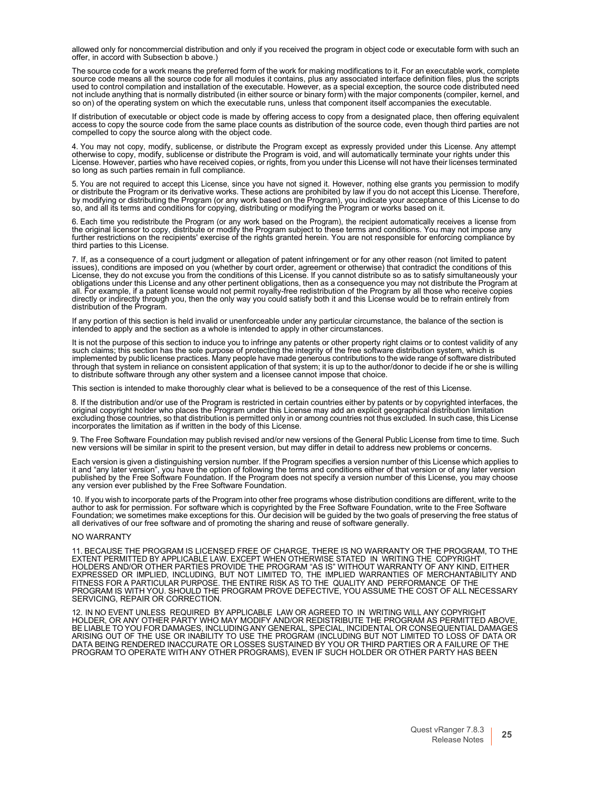allowed only for noncommercial distribution and only if you received the program in object code or executable form with such an offer, in accord with Subsection b above.)

The source code for a work means the preferred form of the work for making modifications to it. For an executable work, complete source code means all the source code for all modules it contains, plus any associated interface definition files, plus the scripts used to control compilation and installation of the executable. However, as a special exception, the source code distributed need not include anything that is normally distributed (in either source or binary form) with the major components (compiler, kernel, and so on) of the operating system on which the executable runs, unless that component itself accompanies the executable.

If distribution of executable or object code is made by offering access to copy from a designated place, then offering equivalent<br>access to copy the source code from the same place counts as distribution of the source code compelled to copy the source along with the object code.

4. You may not copy, modify, sublicense, or distribute the Program except as expressly provided under this License. Any attempt otherwise to copy, modify, sublicense or distribute the Program is void, and will automatically terminate your rights under this License. However, parties who have received copies, or rights, from you under this License will not have their licenses terminated so long as such parties remain in full compliance.

5. You are not required to accept this License, since you have not signed it. However, nothing else grants you permission to modify<br>or distribute the Program or its derivative works. These actions are prohibited by law if by modifying or distributing the Program (or any work based on the Program), you indicate your acceptance of this License to dc<br>so, and all its terms and conditions for copying, distributing or modifying the Program or wor

6. Each time you redistribute the Program (or any work based on the Program), the recipient automatically receives a license from<br>the original licensor to copy, distribute or modify the Program subject to these terms and c third parties to this License.

7. If, as a consequence of a court judgment or allegation of patent infringement or for any other reason (not limited to patent<br>issues), conditions are imposed on you (whether by court order, agreement or otherwise) that c License, they do not excuse you from the conditions of this License. If you cannot distribute so as to satisfy simultaneously your obligations under this License and any other pertinent obligations, then as a consequence you may not distribute the Program at all. For example, if a patent license would not permit royalty-free redistribution of the Program by all those who receive copies directly or indirectly through you, then the only way you could satisfy both it and this License would be to refrain entirely from distribution of the Program.

If any portion of this section is held invalid or unenforceable under any particular circumstance, the balance of the section is<br>intended to apply and the section as a whole is intended to apply in other circumstances.

It is not the purpose of this section to induce you to infringe any patents or other property right claims or to contest validity of any such claims; this section has the sole purpose of protecting the integrity of the free software distribution system, which is<br>implemented by public license practices. Many people have made generous contributions to the wid through that system in reliance on consistent application of that system; it is up to the author/donor to decide if he or she is willing to distribute software through any other system and a licensee cannot impose that choice.

This section is intended to make thoroughly clear what is believed to be a consequence of the rest of this License.

8. If the distribution and/or use of the Program is restricted in certain countries either by patents or by copyrighted interfaces, the original copyright holder who places the Program under this License may add an explicit geographical distribution limitation<br>excluding those countries, so that distribution is permitted only in or among countries not thus incorporates the limitation as if written in the body of this License.

9. The Free Software Foundation may publish revised and/or new versions of the General Public License from time to time. Such new versions will be similar in spirit to the present version, but may differ in detail to addre

Each version is given a distinguishing version number. If the Program specifies a version number of this License which applies to it and "any later version", you have the option of following the terms and conditions either of that version or of any later version<br>published by the Free Software Foundation. If the Program does not specify a version numb any version ever published by the Free Software Foundation.

10. If you wish to incorporate parts of the Program into other free programs whose distribution conditions are different, write to the<br>author to ask for permission. For software which is copyrighted by the Free Software Fo Foundation; we sometimes make exceptions for this. Our decision will be guided by the two goals of preserving the free status of<br>all derivatives of our free software and of promoting the sharing and reuse of software gener

#### NO WARRANTY

11. BECAUSE THE PROGRAM IS LICENSED FREE OF CHARGE, THERE IS NO WARRANTY OR THE PROGRAM, TO THE<br>EXTENT PERMITTED BY APPLICABLE LAW. EXCEPT WHEN OTHERWISE STATED IN WRITING THE COPYRIGHT<br>HOLDERS AND/OR OTHER PARTIES PROVIDE FITNESS FOR A PARTICULAR PURPOSE. THE ENTIRE RISK AS TO THE QUALITY AND PERFORMANCE OF THE PROGRAM IS WITH YOU. SHOULD THE PROGRAM PROVE DEFECTIVE, YOU ASSUME THE COST OF ALL NECESSARY SERVICING, REPAIR OR CORRECTION.

12. IN NO EVENT UNLESS REQUIRED BY APPLICABLE LAW OR AGREED TO IN WRITING WILL ANY COPYRIGHT HOLDER, OR ANY OTHER PARTY WHO MAY MODIFY AND/OR REDISTRIBUTE THE PROGRAM AS PERMITTED ABOVE, BE LIABLE TO YOU FOR DAMAGES, INCLUDING ANY GENERAL, SPECIAL, INCIDENTAL OR CONSEQUENTIAL DAMAGES<br>ARISING OUT OF THE USE OR INABILITY TO USE THE PROGRAM (INCLUDING BUT NOT LIMITED TO LOSS OF DATA OR<br>DATA BEING RENDERED INA PROGRAM TO OPERATE WITH ANY OTHER PROGRAMS), EVEN IF SUCH HOLDER OR OTHER PARTY HAS BEEN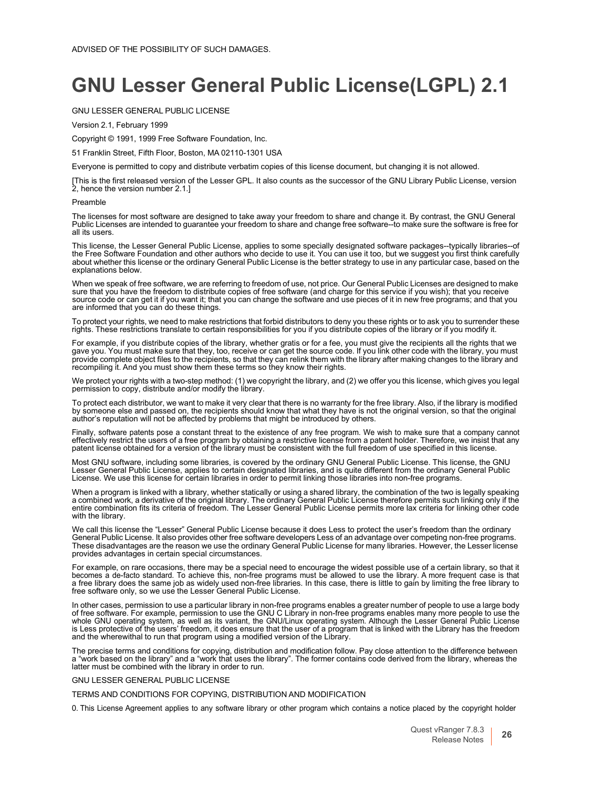### <span id="page-26-0"></span>**GNU Lesser General Public License(LGPL) 2.1**

#### GNU LESSER GENERAL PUBLIC LICENSE

Version 2.1, February 1999

Copyright © 1991, 1999 Free Software Foundation, Inc.

51 Franklin Street, Fifth Floor, Boston, MA 02110-1301 USA

Everyone is permitted to copy and distribute verbatim copies of this license document, but changing it is not allowed.

[This is the first released version of the Lesser GPL. It also counts as the successor of the GNU Library Public License, version 2, hence the version number 2.1.]

#### Preamble

The licenses for most software are designed to take away your freedom to share and change it. By contrast, the GNU General<br>Public Licenses are intended to guarantee your freedom to share and change free software--to make s all its users.

This license, the Lesser General Public License, applies to some specially designated software packages--typically libraries--of the Free Software Foundation and other authors who decide to use it. You can use it too, but we suggest you first think carefully about whether this license or the ordinary General Public License is the better strategy to use in any particular case, based on the explanations below.

When we speak of free software, we are referring to freedom of use, not price. Our General Public Licenses are designed to make sure that you have the freedom to distribute copies of free software (and charge for this service if you wish); that you receive<br>source code or can get it if you want it; that you can change the software and use pieces of

To protect your rights, we need to make restrictions that forbid distributors to deny you these rights or to ask you to surrender these<br>rights. These restrictions translate to certain responsibilities for you if you distri

For example, if you distribute copies of the library, whether gratis or for a fee, you must give the recipients all the rights that we<br>gave you. You must make sure that they, too, receive or can get the source code. If you provide complete object files to the recipients, so that they can relink them with the library after making changes to the library and recompiling it. And you must show them these terms so they know their rights.

We protect your rights with a two-step method: (1) we copyright the library, and (2) we offer you this license, which gives you legal permission to copy, distribute and/or modify the library.

To protect each distributor, we want to make it very clear that there is no warranty for the free library. Also, if the library is modified<br>by someone else and passed on, the recipients should know that what they have is n author's reputation will not be affected by problems that might be introduced by others.

Finally, software patents pose a constant threat to the existence of any free program. We wish to make sure that a company cannot effectively restrict the users of a free program by obtaining a restrictive license from a patent holder. Therefore, we insist that any patent license obtained for a version of the library must be consistent with the full freedom of use specified in this license.

Most GNU software, including some libraries, is covered by the ordinary GNU General Public License. This license, the GNU<br>Lesser General Public License, applies to certain designated libraries, and is quite different from License. We use this license for certain libraries in order to permit linking those libraries into non-free programs.

When a program is linked with a library, whether statically or using a shared library, the combination of the two is legally speaking a combined work, a derivative of the original library. The ordinary General Public License therefore permits such linking only if the<br>entire combination fits its criteria of freedom. The Lesser General Public License permi with the library.

We call this license the "Lesser" General Public License because it does Less to protect the user's freedom than the ordinary General Public License. It also provides other free software developers Less of an advantage over competing non-free programs. These disadvantages are the reason we use the ordinary General Public License for many libraries. However, the Lesser license provides advantages in certain special circumstances.

For example, on rare occasions, there may be a special need to encourage the widest possible use of a certain library, so that it becomes a de-facto standard. To achieve this, non-free programs must be allowed to use the library. A more frequent case is thal<br>a free library does the same job as widely used non-free libraries. In this case, there is li free software only, so we use the Lesser General Public License.

In other cases, permission to use a particular library in non-free programs enables a greater number of people to use a large body<br>of free software. For example, permission to use the GNU C Library in non-free programs ena is Less protective of the users' freedom, it does ensure that the user of a program that is linked with the Library has the freedom and the wherewithal to run that program using a modified version of the Library.

The precise terms and conditions for copying, distribution and modification follow. Pay close attention to the difference between a "work based on the library" and a "work that uses the library". The former contains code derived from the library, whereas the latter must be combined with the library in order to run.

#### GNU LESSER GENERAL PUBLIC LICENSE

#### TERMS AND CONDITIONS FOR COPYING, DISTRIBUTION AND MODIFICATION

0. This License Agreement applies to any software library or other program which contains a notice placed by the copyright holder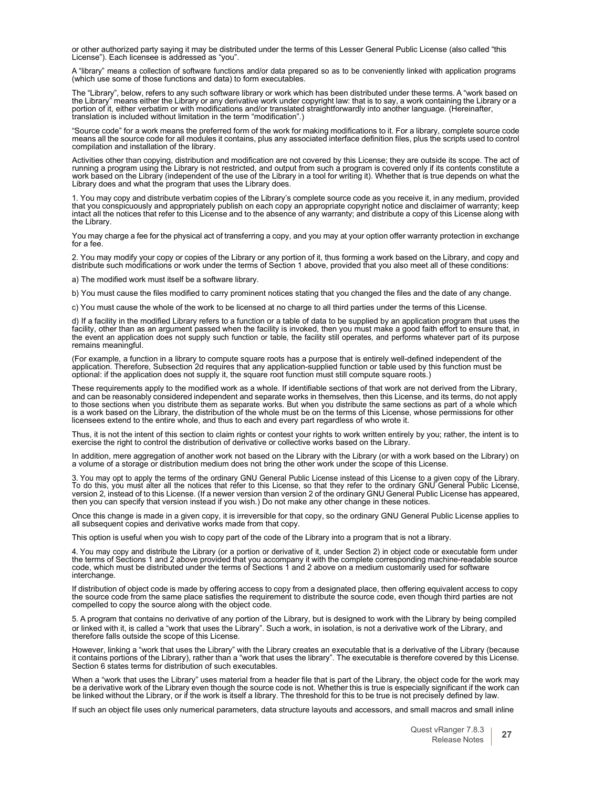or other authorized party saying it may be distributed under the terms of this Lesser General Public License (also called "this License"). Each licensee is addressed as "you".

A "library" means a collection of software functions and/or data prepared so as to be conveniently linked with application programs (which use some of those functions and data) to form executables.

The "Library", below, refers to any such software library or work which has been distributed under these terms. A "work based on the Library" means either the Library or any derivative work under copyright law: that is to translation is included without limitation in the term "modification".)

"Source code" for a work means the preferred form of the work for making modifications to it. For a library, complete source code means all the source code for all modules it contains, plus any associated interface definit compilation and installation of the library.

Activities other than copying, distribution and modification are not covered by this License; they are outside its scope. The act of<br>running a program using the Library is not restricted, and output from such a program is Library does and what the program that uses the Library does.

1. You may copy and distribute verbatim copies of the Library's complete source code as you receive it, in any medium, provided that you conspicuously and appropriately publish on each copy an appropriate copyright notice and disclaimer of warranty; keep<br>intact all the notices that refer to this License and to the absence of any warranty; and distr the Library.

You may charge a fee for the physical act of transferring a copy, and you may at your option offer warranty protection in exchange for a fee.

2. You may modify your copy or copies of the Library or any portion of it, thus forming a work based on the Library, and copy and distribute such modifications or work under the terms of Section 1 above, provided that you also meet all of these conditions:

a) The modified work must itself be a software library.

b) You must cause the files modified to carry prominent notices stating that you changed the files and the date of any change.

c) You must cause the whole of the work to be licensed at no charge to all third parties under the terms of this License.

d) If a facility in the modified Library refers to a function or a table of data to be supplied by an application program that uses the<br>facility, other than as an argument passed when the facility is invoked, then you must the event an application does not supply such function or table, the facility still operates, and performs whatever part of its purpose remains meaningful.

(For example, a function in a library to compute square roots has a purpose that is entirely well-defined independent of the application. Therefore, Subsection 2d requires that any application-supplied function or table used by this function must be optional: if the application does not supply it, the square root function must still compute square roots.)

These requirements apply to the modified work as a whole. If identifiable sections of that work are not derived from the Library, and can be reasonably considered independent and separate works in themselves, then this License, and its terms, do not apply to those sections when you distribute them as separate works. But when you distribute the same sections as part of a whole which<br>is a work based on the Library, the distribution of the whole must be on the terms of this Li

Thus, it is not the intent of this section to claim rights or contest your rights to work written entirely by you; rather, the intent is tc<br>exercise the right to control the distribution of derivative or collective works b

In addition, mere aggregation of another work not based on the Library with the Library (or with a work based on the Library) on<br>a volume of a storage or distribution medium does not bring the other work under the scope of

3. You may opt to apply the terms of the ordinary GNU General Public License instead of this License to a given copy of the Library. To do this, you must alter all the notices that refer to this License, so that they refer to the ordinary GNU General Public License,<br>version 2, instead of to this License. (If a newer version than version 2 of the ordinar then you can specify that version instead if you wish.) Do not make any other change in these notices.

Once this change is made in a given copy, it is irreversible for that copy, so the ordinary GNU General Public License applies to all subsequent copies and derivative works made from that copy.

This option is useful when you wish to copy part of the code of the Library into a program that is not a library.

4. You may copy and distribute the Library (or a portion or derivative of it, under Section 2) in object code or executable form under<br>the terms of Sections 1 and 2 above provided that you accompany it with the complete co interchange.

If distribution of object code is made by offering access to copy from a designated place, then offering equivalent access to copy the source code from the same place satisfies the requirement to distribute the source code, even though third parties are not compelled to copy the source along with the object code.

or linked with it, is called a "work that uses the Library". Such a work, in isolation, is not a derivative work of the Library, and therefore falls outside the scope of this License. 5. A program that contains no derivative of any portion of the Library, but is designed to work with the Library by being compiled

However, linking a "work that uses the Library" with the Library creates an executable that is a derivative of the Library (because it contains portions of the Library), rather than a "work that uses the library". The executable is therefore covered by this License. Section 6 states terms for distribution of such executables.

When a "work that uses the Library" uses material from a header file that is part of the Library, the object code for the work may be a derivative work of the Library even though the source code is not. Whether this is true is especially significant if the work can<br>be linked without the Library, or if the work is itself a library. The threshold for th

If such an object file uses only numerical parameters, data structure layouts and accessors, and small macros and small inline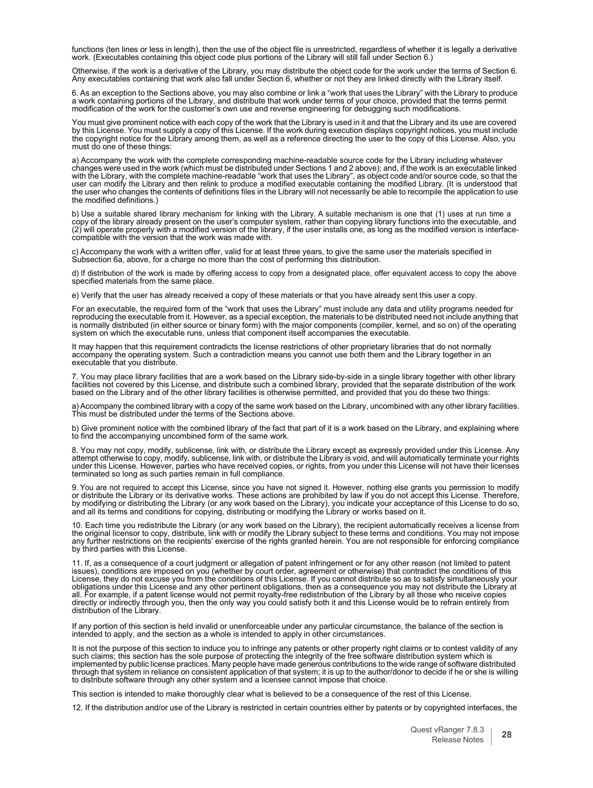functions (ten lines or less in length), then the use of the object file is unrestricted, regardless of whether it is legally a derivative<br>work. (Executables containing this object code plus portions of the Library will st

Otherwise, if the work is a derivative of the Library, you may distribute the object code for the work under the terms of Section 6. Any executables containing that work also fall under Section 6, whether or not they are linked directly with the Library itself.

6. As an exception to the Sections above, you may also combine or link a "work that uses the Library" with the Library to produce a work containing portions of the Library, and distribute that work under terms of your choice, provided that the terms permit<br>modification of the work for the customer's own use and reverse engineering for debugging such

You must give prominent notice with each copy of the work that the Library is used in it and that the Library and its use are covered by this License. You must supply a copy of this License. If the work during execution displays copyright notices, you must include the copyright notice for the Library among them, as well as a reference directing the user to the copy of this License. Also, you must do one of these things:

a) Accompany the work with the complete corresponding machine-readable source code for the Library including whatever changes were used in the work (which must be distributed under Sections 1 and 2 above); and, if the work is an executable linked<br>with the Library, with the complete machine-readable "work that uses the Library", as object user can modify the Library and then relink to produce a modified executable containing the modified Library. (It is understood that<br>the user who changes the contents of definitions files in the Library will not necessaril

b) Use a suitable shared library mechanism for linking with the Library. A suitable mechanism is one that (1) uses at run time a copy of the library already present on the user's computer system, rather than copying library functions into the executable, and (2) will operate properly with <sup>a</sup> modified version of the library, if the user installs one, as long as the modified version is interface- compatible with the version that the work was made with.

c) Accompany the work with a written offer, valid for at least three years, to give the same user the materials specified in Subsection 6a, above, for a charge no more than the cost of performing this distribution.

d) If distribution of the work is made by offering access to copy from a designated place, offer equivalent access to copy the above specified materials from the same place.

e) Verify that the user has already received a copy of these materials or that you have already sent this user a copy.

For an executable, the required form of the "work that uses the Library" must include any data and utility programs needed for reproducing the executable from it. However, as a special exception, the materials to be distributed need not include anything that is normally distributed (in either source or binary form) with the major components (compiler, kernel, and so on) of the operating system on which the executable runs, unless that component itself accompanies the executable.

It may happen that this requirement contradicts the license restrictions of other proprietary libraries that do not normally<br>accompany the operating system. Such a contradiction means you cannot use both them and the Libra executable that you distribute.

7. You may place library facilities that are a work based on the Library side-by-side in a single library together with other library facilities not covered by this License, and distribute such a combined library, provided that the separate distribution of the work based on the Library and of the other library facilities is otherwise permitted, and provided that you do these two things:

a) Accompany the combined library with a copy of the same work based on the Library, uncombined with any other library facilities. This must be distributed under the terms of the Sections above.

b) Give prominent notice with the combined library of the fact that part of it is a work based on the Library, and explaining where to find the accompanying uncombined form of the same work.

8. You may not copy, modify, sublicense, link with, or distribute the Library except as expressly provided under this License. Any<br>attempt otherwise to copy, modify, sublicense, link with, or distribute the Library is void terminated so long as such parties remain in full compliance.

9. You are not required to accept this License, since you have not signed it. However, nothing else grants you permission to modify or distribute the Library or its derivative works. These actions are prohibited by law if you do not accept this License. Therefore, by modifying or distributing the Library (or any work based on the Library), you indicate your acceptance of this License to do so, and all its terms and conditions for copying, distributing or modifying the Library or works based on it.

10. Each time you redistribute the Library (or any work based on the Library), the recipient automatically receives a license from the original licensor to copy, distribute, link with or modify the Library subject to these terms and conditions. You may not impose<br>any further restrictions on the recipients' exercise of the rights granted herein. You ar by third parties with this License.

11. If, as a consequence of a court judgment or allegation of patent infringement or for any other reason (not limited to patent<br>issues), conditions are imposed on you (whether by court order, agreement or otherwise) that License, they do not excuse you from the conditions of this License. If you cannot distribute so as to satisfy simultaneously your<br>obligations under this License and any other pertinent obligations, then as a consequence y all. For example, if a patent license would not permit royalty-free redistribution of the Library by all those who receive copies directly or indirectly through you, then the only way you could satisfy both it and this License would be to refrain entirely from distribution of the Library.

If any portion of this section is held invalid or unenforceable under any particular circumstance, the balance of the section is intended to apply, and the section as a whole is intended to apply in other circumstances.

It is not the purpose of this section to induce you to infringe any patents or other property right claims or to contest validity of any<br>such claims; this section has the sole purpose of protecting the integrity of the fre implemented by public license practices. Many people have made generous contributions to the wide range of software distributed through that system in reliance on consistent application of that system; it is up to the author/donor to decide if he or she is willing to distribute software through any other system and a licensee cannot impose that choice.

This section is intended to make thoroughly clear what is believed to be a consequence of the rest of this License.

12. If the distribution and/or use of the Library is restricted in certain countries either by patents or by copyrighted interfaces, the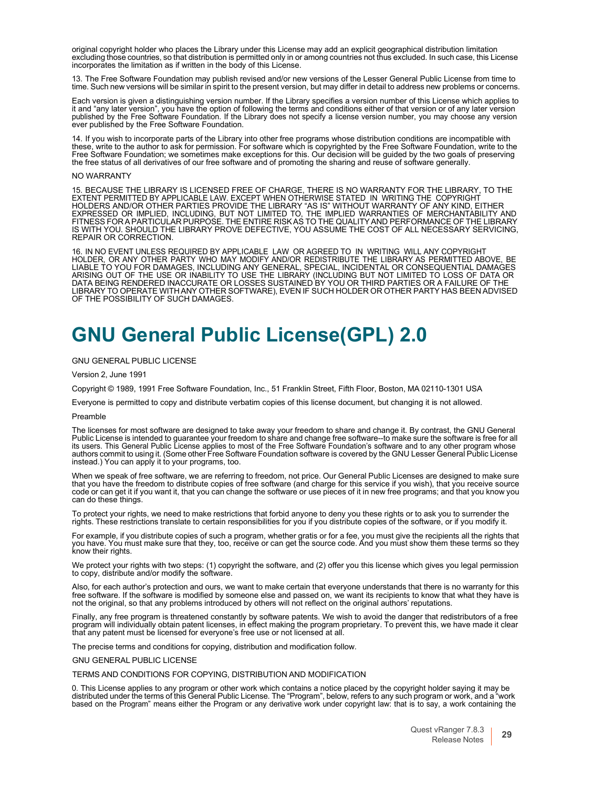original copyright holder who places the Library under this License may add an explicit geographical distribution limitation<br>excluding those countries, so that distribution is permitted only in or among countries not thus incorporates the limitation as if written in the body of this License.

13. The Free Software Foundation may publish revised and/or new versions of the Lesser General Public License from time to time. Such new versions will be similar in spirit to the present version, but may differ in detail to address new problems or concerns.

Each version is given a distinguishing version number. If the Library specifies a version number of this License which applies to it and "any later version", you have the option of following the terms and conditions either of that version or of any later version<br>published by the Free Software Foundation. If the Library does not specify a license vers ever published by the Free Software Foundation.

14. If you wish to incorporate parts of the Library into other free programs whose distribution conditions are incompatible with<br>these, write to the author to ask for permission. For software which is copyrighted by the Fr Free Software Foundation; we sometimes make exceptions for this. Our decision will be guided by the two goals of preserving the free status of all derivatives of our free software and of promoting the sharing and reuse of software generally.

#### NO WARRANTY

15. BECAUSE THE LIBRARY IS LICENSED FREE OF CHARGE, THERE IS NO WARRANTY FOR THE LIBRARY, TO THE<br>EXTENT PERMITTED BY APPLICABLE LAW. EXCEPT WHEN OTHERWISE STATED IN WRITING THE COPYRIGHT<br>HOLDERS AND/OR OTHER PARTIES PROVID REPAIR OR CORRECTION.

16. IN NO EVENT UNLESS REQUIRED BY APPLICABLE LAW OR AGREED TO IN WRITING WILL ANY COPYRIGHT HOLDER, OR ANY OTHER PARTY WHO MAY MODIFY AND/OR REDISTRIBUTE THE LIBRARY AS PERMITTED ABOVE, BE LIABLE TO YOU FOR DAMAGES, INCLUDING ANY GENERAL, SPECIAL, INCIDENTAL OR CONSEQUENTIAL DAMAGES ARISING OUT OF THE USE OR INABILITY TO USE THE LIBRARY (INCLUDING BUT NOT LIMITED TO LOSS OF DATA OR DATA BEING RENDERED INACCURATE OR LOSSES SUSTAINED BY YOU OR THIRD PARTIES OR A FAILURE OF THE LIBRARY TO OPERATE WITHANY OTHER SOFTWARE), EVEN IF SUCH HOLDER OR OTHER PARTY HAS BEEN ADVISED OF THE POSSIBILITY OF SUCH DAMAGES.

### <span id="page-29-0"></span>**GNU General Public License(GPL) 2.0**

#### GNU GENERAL PUBLIC LICENSE

Version 2, June 1991

Copyright © 1989, 1991 Free Software Foundation, Inc., 51 Franklin Street, Fifth Floor, Boston, MA 02110-1301 USA

Everyone is permitted to copy and distribute verbatim copies of this license document, but changing it is not allowed.

#### Preamble

The licenses for most software are designed to take away your freedom to share and change it. By contrast, the GNU General Public License is intended to guarantee your freedom to share and change free software--to make sure the software is free for all its users. This General Public License applies to most of the Free Software Foundation's software and to any other program whose<br>authors commit to using it. (Some other Free Software Foundation software is covered by the G instead.) You can apply it to your programs, too.

When we speak of free software, we are referring to freedom, not price. Our General Public Licenses are designed to make sure that you have the freedom to distribute copies of free software (and charge for this service if you wish), that you receive source<br>code or can get it if you want it, that you can change the software or use pieces of it in

To protect your rights, we need to make restrictions that forbid anyone to deny you these rights or to ask you to surrender the rights. These restrictions translate to certain responsibilities for you if you distribute copies of the software, or if you modify it.

For example, if you distribute copies of such a program, whether gratis or for a fee, you must give the recipients all the rights that<br>you have. You must make sure that they, too, receive or can get the source code. And yo know their rights.

We protect your rights with two steps: (1) copyright the software, and (2) offer you this license which gives you legal permission to copy, distribute and/or modify the software.

Also, for each author's protection and ours, we want to make certain that everyone understands that there is no warranty for this free software. If the software is modified by someone else and passed on, we want its recipients to know that what they have is not the original, so that any problems introduced by others will not reflect on the original authors' reputations.

Finally, any free program is threatened constantly by software patents. We wish to avoid the danger that redistributors of a free<br>program will individually obtain patent licenses, in effect making the program proprietary. that any patent must be licensed for everyone's free use or not licensed at all.

The precise terms and conditions for copying, distribution and modification follow.

GNU GENERAL PUBLIC LICENSE

TERMS AND CONDITIONS FOR COPYING, DISTRIBUTION AND MODIFICATION

0. This License applies to any program or other work which contains a notice placed by the copyright holder saying it may be distributed under the terms of this General Public License. The "Program", below, refers to any such program or work, and a "work based on the Program" means either the Program or any derivative work under copyright law: that is to say, a work containing the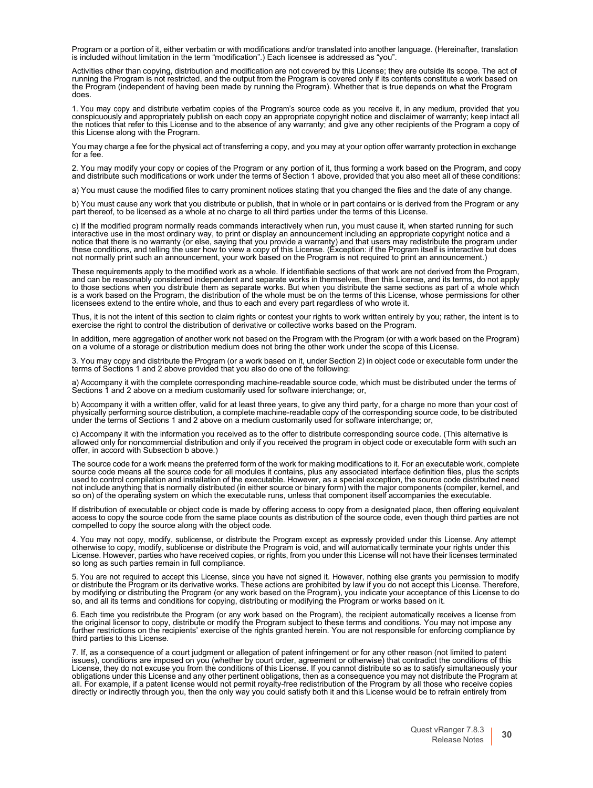Program or a portion of it, either verbatim or with modifications and/or translated into another language. (Hereinafter, translation is included without limitation in the term "modification".) Each licensee is addressed as "you".

Activities other than copying, distribution and modification are not covered by this License; they are outside its scope. The act of running the Program is not restricted, and the output from the Program is covered only if its contents constitute a work based on the Program (independent of having been made by running the Program). Whether that is true depends on what the Program does.

1. You may copy and distribute verbatim copies of the Program's source code as you receive it, in any medium, provided that you conspicuously and appropriately publish on each copy an appropriate copyright notice and disclaimer of warranty; keep intact all the notices that refer to this License and to the absence of any warranty; and give any other recipients of the Program a copy of this License along with the Program.

You may charge a fee for the physical act of transferring a copy, and you may at your option offer warranty protection in exchange for a fee.

2. You may modify your copy or copies of the Program or any portion of it, thus forming a work based on the Program, and copy and distribute such modifications or work under the terms of Section 1 above, provided that you also meet all of these conditions:

a) You must cause the modified files to carry prominent notices stating that you changed the files and the date of any change.

b) You must cause any work that you distribute or publish, that in whole or in part contains or is derived from the Program or any part thereof, to be licensed as a whole at no charge to all third parties under the terms of this License.

c) If the modified program normally reads commands interactively when run, you must cause it, when started running for such interactive use in the most ordinary way, to print or display an announcement including an appropriate copyright notice and a notice that there is no warranty (or else, saying that you provide a warranty) and that users may redistribute the program under these conditions, and telling the user how to view a copy of this License. (Exception: if the Program itself is interactive but does not normally print such an announcement, your work based on the Program is not required to print an announcement.)

These requirements apply to the modified work as a whole. If identifiable sections of that work are not derived from the Program, and can be reasonably considered independent and separate works in themselves, then this License, and its terms, do not apply<br>to those sections when you distribute them as separate works. But when you distribute the same s licensees extend to the entire whole, and thus to each and every part regardless of who wrote it.

Thus, it is not the intent of this section to claim rights or contest your rights to work written entirely by you; rather, the intent is to exercise the right to control the distribution of derivative or collective works based on the Program.

In addition, mere aggregation of another work not based on the Program with the Program (or with a work based on the Program) on a volume of a storage or distribution medium does not bring the other work under the scope of this License.

3. You may copy and distribute the Program (or a work based on it, under Section 2) in object code or executable form under the terms of Sections 1 and 2 above provided that you also do one of the following:

a) Accompany it with the complete corresponding machine-readable source code, which must be distributed under the terms of Sections 1 and 2 above on a medium customarily used for software interchange; or,

b) Accompany it with a written offer, valid for at least three years, to give any third party, for a charge no more than your cost ot<br>physically performing source distribution, a complete machine-readable copy of the corre under the terms of Sections 1 and 2 above on a medium customarily used for software interchange; or,

c) Accompany it with the information you received as to the offer to distribute corresponding source code. (This alternative is allowed only for noncommercial distribution and only if you received the program in object code or executable form with such an<br>offer, in accord with Subsection b above.)

The source code for a work means the preferred form of the work for making modifications to it. For an executable work, complete source code means all the source code for all modules it contains, plus any associated interface definition files, plus the scripts used to control compilation and installation of the executable. However, as a special exception, the source code distributed need<br>not include anything that is normally distributed (in either source or binary form) with the so on) of the operating system on which the executable runs, unless that component itself accompanies the executable.

If distribution of executable or object code is made by offering access to copy from a designated place, then offering equivalent access to copy the source code from the same place counts as distribution of the source code compelled to copy the source along with the object code.

4. You may not copy, modify, sublicense, or distribute the Program except as expressly provided under this License. Any attempl<br>otherwise to copy, modify, sublicense or distribute the Program is void, and will automaticall License. However, parties who have received copies, or rights, from you under this License will not have their licenses terminated so long as such parties remain in full compliance.

5. You are not required to accept this License, since you have not signed it. However, nothing else grants you permission to modify or distribute the Program or its derivative works. These actions are prohibited by law if you do not accept this License. Therefore,<br>by modifying or distributing the Program (or any work based on the Program), you indicate so, and all its terms and conditions for copying, distributing or modifying the Program or works based on it.

6. Each time you redistribute the Program (or any work based on the Program), the recipient automatically receives a license from<br>the original licensor to copy, distribute or modify the Program subject to these terms and c further restrictions on the recipients' exercise of the rights granted herein. You are not responsible for enforcing compliance by third parties to this License.

7. If, as a consequence of a court judgment or allegation of patent infringement or for any other reason (not limited to patent issues), conditions are imposed on you (whether by court order, agreement or otherwise) that contradict the conditions of this License, they do not excuse you from the conditions of this License. If you cannot distribute so as to satisfy simultaneously your<br>obligations under this License and any other pertinent obligations, then as a consequence y all. For example, if a patent license would not permit royalty-free redistribution of the Program by all those who receive copies<br>directly or indirectly through you, then the only way you could satisfy both it and this Lic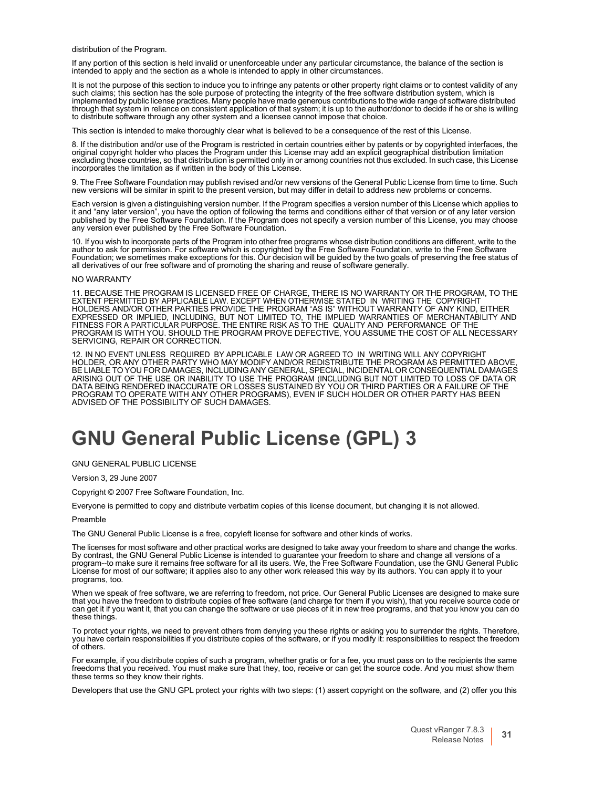distribution of the Program.

If any portion of this section is held invalid or unenforceable under any particular circumstance, the balance of the section is intended to apply and the section as a whole is intended to apply in other circumstances.

It is not the purpose of this section to induce you to infringe any patents or other property right claims or to contest validity of any<br>such claims; this section has the sole purpose of protecting the integrity of the fre implemented by public license practices. Many people have made generous contributions to the wide range of software distributed through that system in reliance on consistent application of that system; it is up to the author/donor to decide if he or she is willing to distribute software through any other system and a licensee cannot impose that choice.

This section is intended to make thoroughly clear what is believed to be a consequence of the rest of this License.

8. If the distribution and/or use of the Program is restricted in certain countries either by patents or by copyrighted interfaces, the original copyright holder who places the Program under this License may add an explicit geographical distribution limitation excluding those countries, so that distribution is permitted only in or among countries not thus excluded. In such case, this License incorporates the limitation as if written in the body of this License.

9. The Free Software Foundation may publish revised and/or new versions of the General Public License from time to time. Such new versions will be similar in spirit to the present version, but may differ in detail to addre

Each version is given a distinguishing version number. If the Program specifies a version number of this License which applies to it and "any later version", you have the option of following the terms and conditions either of that version or of any later version published by the Free Software Foundation. If the Program does not specify a version number of this License, you may choose any version ever published by the Free Software Foundation.

10. If you wish to incorporate parts of the Program into other free programs whose distribution conditions are different, write to the<br>author to ask for permission. For software which is copyrighted by the Free Software Fo Foundation; we sometimes make exceptions for this. Our decision will be guided by the two goals of preserving the free status of all derivatives of our free software and of promoting the sharing and reuse of software generally.

#### NO WARRANTY

11. BECAUSE THE PROGRAM IS LICENSED FREE OF CHARGE, THERE IS NO WARRANTY OR THE PROGRAM, TO THE EXTENT PERMITTED BY APPLICABLE LAW. EXCEPT WHEN OTHERWISE STATED IN WRITING THE COPYRIGHT<br>HOLDERS AND/OR OTHER PARTIES PROVIDE THE PROGRAM "AS IS" WITHOUT WARRANTY OF ANY KIND, EITHER<br>EXPRESSED OR IMPLIED, INCLUDING, BUT N PROGRAM IS WITH YOU. SHOULD THE PROGRAM PROVE DEFECTIVE, YOU ASSUME THE COST OF ALL NECESSARY SERVICING, REPAIR OR CORRECTION.

12. IN NO EVENT UNLESS REQUIRED BY APPLICABLE LAW OR AGREED TO IN WRITING WILL ANY COPYRIGHT<br>HOLDER, OR ANY OTHER PARTY WHO MAY MODIFY AND/OR REDISTRIBUTE THE PROGRAM AS PERMITTED ABOVE,<br>BE LIABLE TO YOU FOR DAMAGES, ARISING OUT OF THE USE OR INABILITY TO USE THE PROGRAM (INCLUDING BUT NOT LIMITED TO LOSS OF DATA OR DATA BEING RENDERED INACCURATE OR LOSSES SUSTAINED BY YOU OR THIRD PARTIES OR A FAILURE OF THE PROGRAM TO OPERATE WITH ANY OTHER PROGRAMS), EVEN IF SUCH HOLDER OR OTHER PARTY HAS BEEN ADVISED OF THE POSSIBILITY OF SUCH DAMAGES.

## <span id="page-31-0"></span>**GNU General Public License (GPL) 3**

GNU GENERAL PUBLIC LICENSE

Version 3, 29 June 2007

Copyright © 2007 Free Software Foundation, Inc.

Everyone is permitted to copy and distribute verbatim copies of this license document, but changing it is not allowed.

#### Preamble

The GNU General Public License is a free, copyleft license for software and other kinds of works.

The licenses for most software and other practical works are designed to take away your freedom to share and change the works. By contrast, the GNU General Public License is intended to guarantee your freedom to share and change all versions of a<br>program--to make sure it remains free software for all its users. We, the Free Software Foundation, us programs, too.

When we speak of free software, we are referring to freedom, not price. Our General Public Licenses are designed to make sure<br>that you have the freedom to distribute copies of free software (and charge for them if you wish these things.

To protect your rights, we need to prevent others from denying you these rights or asking you to surrender the rights. Therefore,<br>you have certain responsibilities if you distribute copies of the software, or if you modify of others.

For example, if you distribute copies of such a program, whether gratis or for a fee, you must pass on to the recipients the same<br>freedoms that you received. You must make sure that they, too, receive or can get the source these terms so they know their rights.

Developers that use the GNU GPL protect your rights with two steps: (1) assert copyright on the software, and (2) offer you this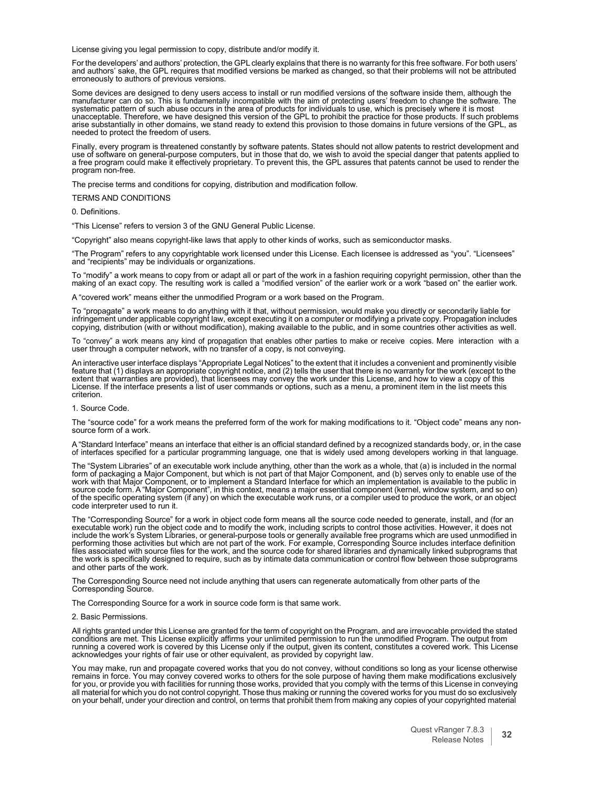License giving you legal permission to copy, distribute and/or modify it.

For the developers' and authors' protection, the GPL clearly explains that there is no warranty for this free software. For both users' and authors' sake, the GPL requires that modified versions be marked as changed, so that their problems will not be attributed erroneously to authors of previous versions.

Some devices are designed to deny users access to install or run modified versions of the software inside them. although the manufacturer can do so. This is fundamentally incompatible with the aim of protecting users' freedom to change the software. The<br>systematic pattern of such abuse occurs in the area of products for individuals to use, which arise substantially in other domains, we stand ready to extend this provision to those domains in future versions of the GPL, as needed to protect the freedom of users.

Finally, every program is threatened constantly by software patents. States should not allow patents to restrict development and the of software on general-purpose computers, but in those that do, we wish to avoid the special danger that patents applied to<br>a free program could make it effectively proprietary. To prevent this, the GPL assures that pa program non-free.

The precise terms and conditions for copying, distribution and modification follow.

#### TERMS AND CONDITIONS

0. Definitions.

"This License" refers to version 3 of the GNU General Public License.

"Copyright" also means copyright-like laws that apply to other kinds of works, such as semiconductor masks.

"The Program" refers to any copyrightable work licensed under this License. Each licensee is addressed as "you". "Licensees" and "recipients" may be individuals or organizations.

To "modify" a work means to copy from or adapt all or part of the work in a fashion requiring copyright permission, other than the making of an exact copy. The resulting work is called a "modified version" of the earlier work or a work "based on" the earlier work.

A "covered work" means either the unmodified Program or a work based on the Program.

To "propagate" a work means to do anything with it that, without permission, would make you directly or secondarily liable for<br>infringement under applicable copyright law, except executing it on a computer or modifying a p copying, distribution (with or without modification), making available to the public, and in some countries other activities as well.

To "convey" a work means any kind of propagation that enables other parties to make or receive copies. Mere interaction with a user through a computer network, with no transfer of a copy, is not conveying.

An interactive user interface displays "Appropriate Legal Notices" to the extent that it includes a convenient and prominently visible feature that (1) displays an appropriate copyright notice, and (2) tells the user that there is no warranty for the work (except to the<br>extent that warranties are provided), that licensees may convey the work under this Li

#### 1. Source Code.

The "source code" for a work means the preferred form of the work for making modifications to it. "Object code" means any non-<br>source form of a work.

A "Standard Interface" means an interface that either is an official standard defined by a recognized standards body, or, in the case of interfaces specified for a particular programming language, one that is widely used among developers working in that language.

The "System Libraries" of an executable work include anything, other than the work as a whole, that (a) is included in the normal form of packaging a Major Component, but which is not part of that Major Component, and (b) serves only to enable use of the work with that Major Component, or to implement a Standard Interface for which an implementation is available to the public in<br>source code form. A "Major Component", in this context, means a major essential component (kern of the specific operating system (if any) on which the executable work runs, or a compiler used to produce the work, or an object code interpreter used to run it.

The "Corresponding Source" for a work in object code form means all the source code needed to generate, install, and (for an executable work) run the object code and to modify the work, including scripts to control those activities. However, it does not include the work's System Libraries, or general-purpose tools or generally available free programs which are used unmodified in performing those activities but which are not part of the work. For example, Corresponding Source includes interface definition files associated with source files for the work, and the source code for shared libraries and dynamically linked subprograms that the work is specifically designed to require, such as by intimate data communication or control flow between those subprograms and other parts of the work.

The Corresponding Source need not include anything that users can regenerate automatically from other parts of the Corresponding Source.

The Corresponding Source for a work in source code form is that same work.

#### 2. Basic Permissions.

All rights granted under this License are granted for the term of copyright on the Program, and are irrevocable provided the stated conditions are met. This License explicitly affirms your unlimited permission to run the unmodified Program. The output from<br>running a covered work is covered by this License only if the output, given its content, constitu acknowledges your rights of fair use or other equivalent, as provided by copyright law.

You may make, run and propagate covered works that you do not convey, without conditions so long as your license otherwise remains in force. You may convey covered works to others for the sole purpose of having them make modifications exclusively for you, or provide you with facilities for running those works, provided that you comply with the terms of this License in conveying all material for which you do not control copyright. Those thus making or running the covered works for you must do so exclusively<br>on your behalf, under your direction and control, on terms that prohibit them from making a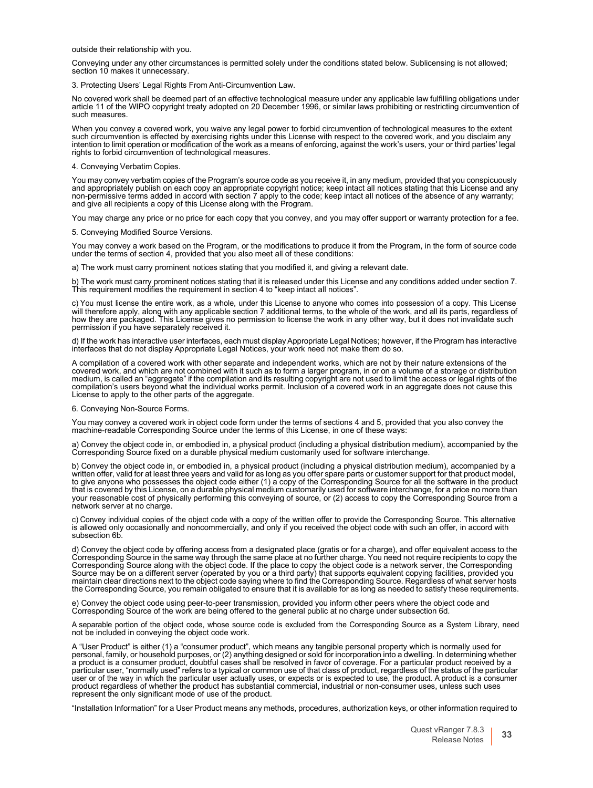outside their relationship with you.

Conveying under any other circumstances is permitted solely under the conditions stated below. Sublicensing is not allowed; section 10 makes it unnecessary.

3. Protecting Users' Legal Rights From Anti-Circumvention Law.

No covered work shall be deemed part of an effective technological measure under any applicable law fulfilling obligations under article 11 of the WIPO copyright treaty adopted on 20 December 1996, or similar laws prohibiting or restricting circumvention of such measures.

When you convey a covered work, you waive any legal power to forbid circumvention of technological measures to the extent such circumvention is effected by exercising rights under this License with respect to the covered work, and you disclaim any<br>intention to limit operation or modification of the work as a means of enforcing, against the wo rights to forbid circumvention of technological measures.

#### 4. Conveying Verbatim Copies.

You may convey verbatim copies of the Program's source code as you receive it, in any medium, provided that you conspicuously and appropriately publish on each copy an appropriate copyright notice; keep intact all notices and appropriately publish on each copy an appropriate copyright notice; keep intact all notices stating that this License and any<br>non-permissive terms added in accord with section 7 apply to the code; keep intact all notic and give all recipients a copy of this License along with the Program.

You may charge any price or no price for each copy that you convey, and you may offer support or warranty protection for a fee.

5. Conveying Modified Source Versions.

You may convey a work based on the Program, or the modifications to produce it from the Program, in the form of source code under the terms of section 4, provided that you also meet all of these conditions:

a) The work must carry prominent notices stating that you modified it, and giving a relevant date.

b) The work must carry prominent notices stating that it is released under this License and any conditions added under section 7. This requirement modifies the requirement in section 4 to "keep intact all notices".

c) You must license the entire work, as a whole, under this License to anyone who comes into possession of a copy. This License will therefore apply, along with any applicable section 7 additional terms, to the whole of the work, and all its parts, regardless ot<br>how they are packaged. This License gives no permission to license the work in any othe permission if you have separately received it.

d) If the work has interactive user interfaces, each must display Appropriate Legal Notices; however, if the Program has interactive interfaces that do not display Appropriate Legal Notices, your work need not make them do so.

A compilation of a covered work with other separate and independent works, which are not by their nature extensions of the covered work, and which are not combined with it such as to form a larger program, in or on a volume of a storage or distribution medium, is called an "aggregate" if the compilation and its resulting copyright are not used to limit the access or legal rights of the<br>compilation's users beyond what the individual works permit. Inclusion of a covered wo License to apply to the other parts of the aggregate.

#### 6. Conveying Non-Source Forms.

You may convey a covered work in object code form under the terms of sections 4 and 5, provided that you also convey the machine-readable Corresponding Source under the terms of this License, in one of these ways:

a) Convey the object code in, or embodied in, a physical product (including a physical distribution medium), accompanied by the Corresponding Source fixed on a durable physical medium customarily used for software interchange.

b) Convey the object code in, or embodied in, a physical product (including a physical distribution medium), accompanied by a written offer, valid for at least three years and valid for as long as you offer spare parts or customer support for that product model, to give anyone who possesses the object code either (1) a copy of the Corresponding Source for all the software in the product<br>that is covered by this License, on a durable physical medium customarily used for software int your reasonable cost of physically performing this conveying of source, or (2) access to copy the Corresponding Source from a network server at no charge.

c) Convey individual copies of the object code with a copy of the written offer to provide the Corresponding Source. This alternative is allowed only occasionally and noncommercially, and only if you received the object code with such an offer, in accord with subsection 6b.

d) Convey the object code by offering access from a designated place (gratis or for a charge), and offer equivalent access to the Corresponding Source in the same way through the same place at no further charge. You need not require recipients to copy the<br>Corresponding Source along with the object code. If the place to copy the object code is a netwo Source may be on a different server (operated by you or a third party) that supports equivalent copying facilities, provided you<br>maintain clear directions next to the object code saying where to find the Corresponding Sour the Corresponding Source, you remain obligated to ensure that it is available for as long as needed to satisfy these requirements.

e) Convey the object code using peer-to-peer transmission, provided you inform other peers where the object code and Corresponding Source of the work are being offered to the general public at no charge under subsection 6d.

A separable portion of the object code, whose source code is excluded from the Corresponding Source as a System Library, need not be included in conveying the object code work.

A "User Product" is either (1) a "consumer product", which means any tangible personal property which is normally used for<br>personal, family, or household purposes, or (2) anything designed or sold for incorporation into a user or of the way in which the particular user actually uses, or expects or is expected to use, the product. A product is a consumer<br>product regardless of whether the product has substantial commercial, industrial or non-

"Installation Information" for a User Product means any methods, procedures, authorization keys, or other information required to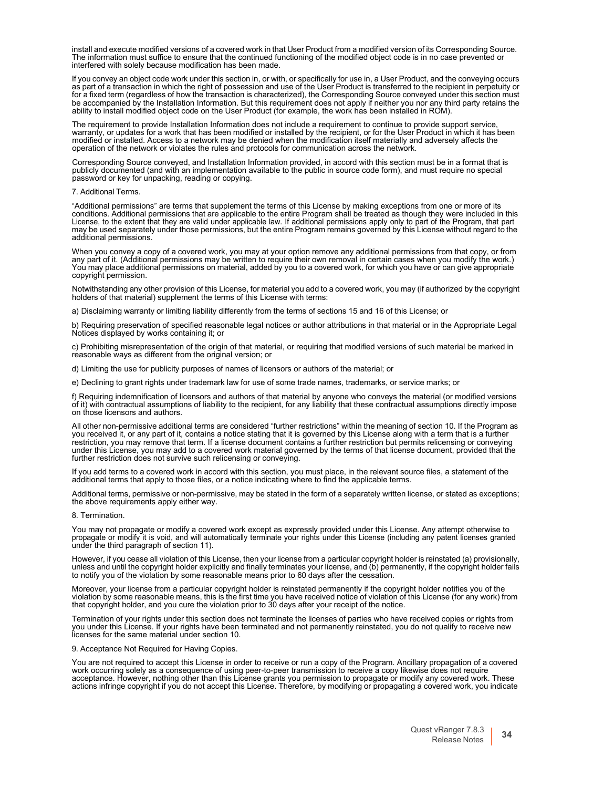install and execute modified versions of a covered work in that User Product from a modified version of its Corresponding Source. The information must suffice to ensure that the continued functioning of the modified object code is in no case prevented or interfered with solely because modification has been made.

If you convey an object code work under this section in, or with, or specifically for use in, a User Product, and the conveying occurs<br>as part of a transaction in which the right of possession and use of the User Product i as part of a transaction in which the right of possession and use of the User Product is transferred to the recipient in perpetuity or<br>for a fixed term (regardless of how the transaction is characterized), the Correspondin be accompanied by the Installation Information. But this requirement does not apply if neither you nor any third party retains the<br>ability to install modified object code on the User Product (for example, the work has been

The requirement to provide Installation Information does not include a requirement to continue to provide support service,<br>warranty, or updates for a work that has been modified or installed by the recipient, or for the Us operation of the network or violates the rules and protocols for communication across the network.

Corresponding Source conveyed, and Installation Information provided, in accord with this section must be in a format that is publicly documented (and with an implementation available to the public in source code form), and must require no special password or key for unpacking, reading or copying.

#### 7. Additional Terms.

"Additional permissions" are terms that supplement the terms of this License by making exceptions from one or more of its<br>conditions. Additional permissions that are applicable to the entire Program shall be treated as tho License, to the extent that they are valid under applicable law. If additional permissions apply only to part of the Program, that part may be used separately under those permissions, but the entire Program remains governed by this License without regard to the additional permissions.

When you convey a copy of a covered work, you may at your option remove any additional permissions from that copy, or from any part of it. (Additional permissions may be written to require their own removal in certain cases when you modify the work.) You may place additional permissions on material, added by you to a covered work, for which you have or can give appropriate copyright permission.

Notwithstanding any other provision of this License, for material you add to a covered work, you may (if authorized by the copyright holders of that material) supplement the terms of this License with terms:

a) Disclaiming warranty or limiting liability differently from the terms of sections 15 and 16 of this License; or

b) Requiring preservation of specified reasonable legal notices or author attributions in that material or in the Appropriate Legal Notices displayed by works containing it; or

c) Prohibiting misrepresentation of the origin of that material, or requiring that modified versions of such material be marked in reasonable ways as different from the original version; or

d) Limiting the use for publicity purposes of names of licensors or authors of the material; or

e) Declining to grant rights under trademark law for use of some trade names, trademarks, or service marks; or

f) Requiring indemnification of licensors and authors of that material by anyone who conveys the material (or modified versions of it) with contractual assumptions of liability to the recipient, for any liability that these contractual assumptions directly impose on those licensors and authors.

All other non-permissive additional terms are considered "further restrictions" within the meaning of section 10. If the Program as<br>you received it, or any part of it, contains a notice stating that it is governed by this restriction, you may remove that term. If a license document contains a further restriction but permits relicensing or conveying under this License, you may add to a covered work material governed by the terms of that license document, provided that the further restriction does not survive such relicensing or conveying.

If you add terms to a covered work in accord with this section, you must place, in the relevant source files, a statement of the additional terms that apply to those files, or a notice indicating where to find the applicable terms.

Additional terms, permissive or non-permissive, may be stated in the form of a separately written license, or stated as exceptions; the above requirements apply either way.

#### 8. Termination.

You may not propagate or modify a covered work except as expressly provided under this License. Any attempt otherwise to propagate or modify it is void, and will automatically terminate your rights under this License (including any patent licenses granted under the third paragraph of section 11).

However, if you cease all violation of this License, then your license from a particular copyright holder is reinstated (a) provisionally, unless and until the copyright holder explicitly and finally terminates your license, and (b) permanently, if the copyright holder fails to notify you of the violation by some reasonable means prior to 60 days after the cessation.

Moreover, your license from a particular copyright holder is reinstated permanently if the copyright holder notifies you of the violation by some reasonable means, this is the first time you have received notice of violation of this License (for any work) from<br>that copyright holder, and you cure the violation prior to 30 days after your receipt of

Termination of your rights under this section does not terminate the licenses of parties who have received copies or rights from you under this License. If your rights have been terminated and not permanently reinstated, you do not qualify to receive new licenses for the same material under section 10.

#### 9. Acceptance Not Required for Having Copies.

You are not required to accept this License in order to receive or run a copy of the Program. Ancillary propagation of a covered work occurring solely as a consequence of using peer-to-peer transmission to receive a copy likewise does not require<br>acceptance. However, nothing other than this License grants you permission to propagate or modify any co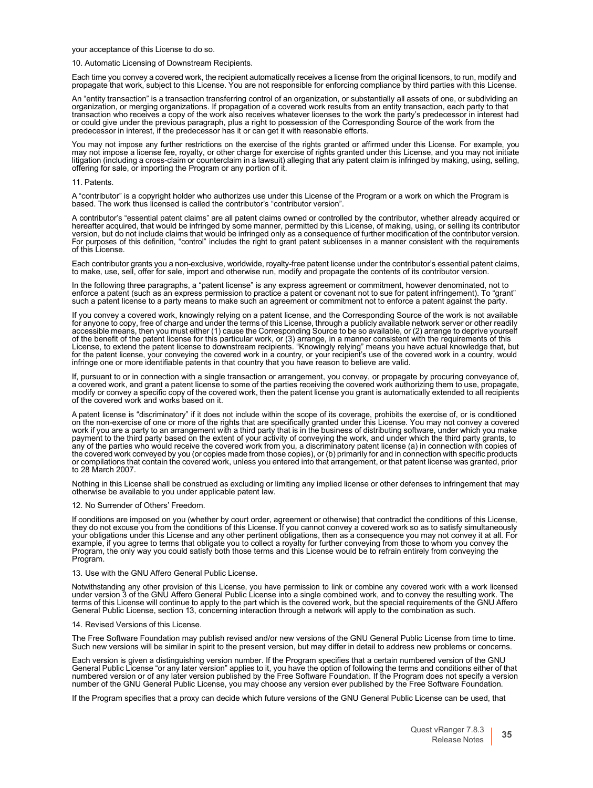your acceptance of this License to do so.

10. Automatic Licensing of Downstream Recipients.

Each time you convey a covered work, the recipient automatically receives a license from the original licensors, to run, modify and propagate that work, subject to this License. You are not responsible for enforcing compliance by third parties with this License.

An "entity transaction" is a transaction transferring control of an organization, or substantially all assets of one, or subdividing an<br>organization, or merging organizations. If propagation of a covered work results from transaction who receives a copy of the work also receives whatever licenses to the work the party's predecessor in interest had<br>or could give under the previous paragraph, plus a right to possession of the Corresponding So predecessor in interest, if the predecessor has it or can get it with reasonable efforts.

You may not impose any further restrictions on the exercise of the rights granted or affirmed under this License. For example, you may not impose a license fee, royalty, or other charge for exercise of rights granted under this License, and you may not initiate litigation (including a cross-claim or counterclaim in a lawsuit) alleging that any patent claim is infringed by making, using, selling, offering for sale, or importing the Program or any portion of it.

#### 11. Patents.

A "contributor" is a copyright holder who authorizes use under this License of the Program or a work on which the Program is based. The work thus licensed is called the contributor's "contributor version".

A contributor's "essential patent claims" are all patent claims owned or controlled by the contributor, whether already acquired or hereafter acquired, that would be infringed by some manner, permitted by this License, of making, using, or selling its contributor<br>version, but do not include claims that would be infringed only as a consequence of furthe For purposes of this definition, "control" includes the right to grant patent sublicenses in a manner consistent with the requirements of this License.

Each contributor grants you a non-exclusive, worldwide, royalty-free patent license under the contributor's essential patent claims, to make, use, sell, offer for sale, import and otherwise run, modify and propagate the contents of its contributor version.

In the following three paragraphs, a "patent license" is any express agreement or commitment, however denominated, not to enforce a patent (such as an express permission to practice a patent or covenant not to sue for patent infringement). To "grant" such a patent license to a party means to make such an agreement or commitment not to enforce a patent against the party.

If you convey a covered work, knowingly relying on a patent license, and the Corresponding Source of the work is not available<br>for anyone to copy, free of charge and under the terms of this License, through a publicly avai accessible means, then you must either (1) cause the Corresponding Source to be so available, or (2) arrange to deprive yourself<br>of the benefit of the patent license for this particular work, or (3) arrange, in a manner co infringe one or more identifiable patents in that country that you have reason to believe are valid.

If, pursuant to or in connection with a single transaction or arrangement, you convey, or propagate by procuring conveyance of,<br>a covered work, and grant a patent license to some of the parties receiving the covered work a of the covered work and works based on it.

A patent license is "discriminatory" if it does not include within the scope of its coverage, prohibits the exercise of, or is conditioned on the non-exercise of one or more of the rights that are specifically granted under this License. You may not convey a covered work if you are a party to an arrangement with a third party that is in the business of distributing software, under which you make payment to the third party based on the extent of your activity of conveying the work, and under which the third party grants, to<br>any of the parties who would receive the covered work from you, a discriminatory patent lice the covered work conveyed by you (or copies made from those copies), or (b) primarily for and in connection with specific products<br>or compilations that contain the covered work, unless you entered into that arrangement, or to 28 March 2007.

Nothing in this License shall be construed as excluding or limiting any implied license or other defenses to infringement that may otherwise be available to you under applicable patent law.

12. No Surrender of Others' Freedom.

If conditions are imposed on you (whether by court order, agreement or otherwise) that contradict the conditions of this License, they do not excuse you from the conditions of this License. If you cannot convey a covered work so as to satisfy simultaneously your obligations under this License and any other pertinent obligations, then as a consequence you may not convey it at all. For example, if you agree to terms that obligate you to collect a royalty for further conveying from those to whom you convey the Program, the only way you could satisfy both those terms and this License would be to refrain entirely from conveying the Program.

13. Use with the GNU Affero General Public License.

Notwithstanding any other provision of this License, you have permission to link or combine any covered work with a work licensed<br>under version 3 of the GNU Affero General Public License into a single combined work, and to terms of this License will continue to apply to the part which is the covered work, but the special requirements of the GNU Affero General Public License, section 13, concerning interaction through a network will apply to the combination as such.

14. Revised Versions of this License.

The Free Software Foundation may publish revised and/or new versions of the GNU General Public License from time to time. Such new versions will be similar in spirit to the present version, but may differ in detail to address new problems or concerns.

Each version is given a distinguishing version number. If the Program specifies that a certain numbered version of the GNU General Public License "or any later version" applies to it, you have the option of following the terms and conditions either of that<br>numbered version or of any later version published by the Free Software Foundation. If t number of the GNU General Public License, you may choose any version ever published by the Free Software Foundation.

If the Program specifies that a proxy can decide which future versions of the GNU General Public License can be used, that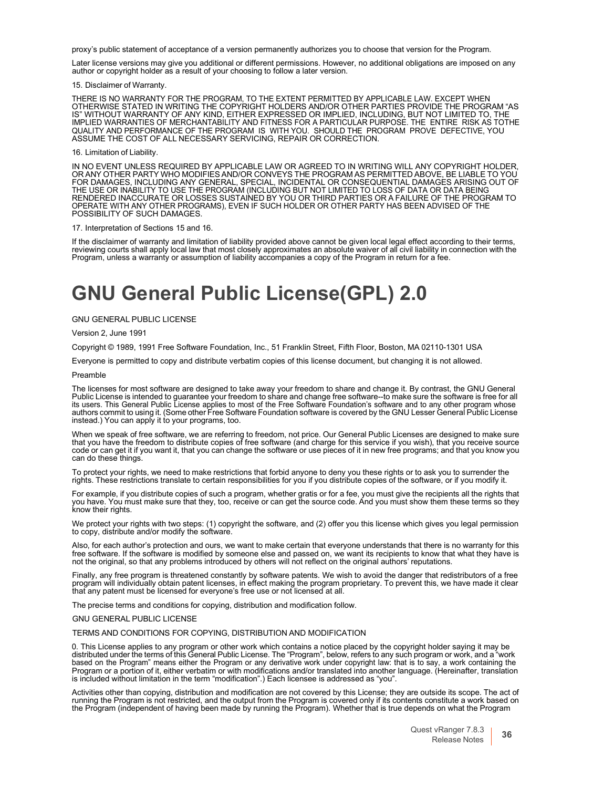proxy's public statement of acceptance of a version permanently authorizes you to choose that version for the Program.

Later license versions may give you additional or different permissions. However, no additional obligations are imposed on any author or copyright holder as a result of your choosing to follow a later version.

#### 15. Disclaimer of Warranty.

THERE IS NO WARRANTY FOR THE PROGRAM, TO THE EXTENT PERMITTED BY APPLICABLE LAW. EXCEPT WHEN<br>OTHERWISE STATED IN WRITING THE COPYRIGHT HOLDERS AND/OR OTHER PARTIES PROVIDE THE PROGRAM "AS IS" WITHOUT WARRANTY OF ANY KIND, EITHER EXPRESSED OR IMPLIED, INCLUDING, BUT NOT LIMITED TO, THE<br>IMPLIED WARRANTIES OF MERCHANTABILITY AND FITNESS FOR A PARTICULAR PURPOSE. THE ENTIRE RISK AS TOTHE<br>QUALITY AND PERFORMANCE

#### 16. Limitation of Liability.

IN NO EVENT UNLESS REQUIRED BY APPLICABLE LAW OR AGREED TO IN WRITING WILL ANY COPYRIGHT HOLDER, OR ANY OTHER PARTY WHO MODIFIES AND/OR CONVEYS THE PROGRAM AS PERMITTED ABOVE, BE LIABLE TO YOU FOR DAMAGES, INCLUDING ANY GENERAL, SPECIAL, INCIDENTAL OR CONSEQUENTIAL DAMAGES ARISING OUT OF<br>THE USE OR INABILITY TO USE THE PROGRAM (INCLUDING BUT NOT LIMITED TO LOSS OF DATA OR DATA BEING<br>RENDERED INACCURATE OR LOSSES POSSIBILITY OF SUCH DAMAGES.

#### 17. Interpretation of Sections 15 and 16.

If the disclaimer of warranty and limitation of liability provided above cannot be given local legal effect according to their terms,<br>reviewing courts shall apply local law that most closely approximates an absolute waiver Program, unless a warranty or assumption of liability accompanies a copy of the Program in return for a fee.

### **GNU General Public License(GPL) 2.0**

#### GNU GENERAL PUBLIC LICENSE

#### Version 2, June 1991

Copyright © 1989, 1991 Free Software Foundation, Inc., 51 Franklin Street, Fifth Floor, Boston, MA 02110-1301 USA

Everyone is permitted to copy and distribute verbatim copies of this license document, but changing it is not allowed.

#### Preamble

The licenses for most software are designed to take away your freedom to share and change it. By contrast, the GNU General Public License is intended to guarantee your freedom to share and change free software--to make sure the software is free for al<br>its users. This General Public License applies to most of the Free Software Foundation's soft authors commit to using it. (Some other Free Software Foundation software is covered by the GNU Lesser General Public License instead.) You can apply it to your programs, too.

When we speak of free software, we are referring to freedom, not price. Our General Public Licenses are designed to make sure<br>that you have the freedom to distribute copies of free software (and charge for this service if code or can get it if you want it, that you can change the software or use pieces of it in new free programs; and that you know you can do these things.

To protect your rights, we need to make restrictions that forbid anyone to deny you these rights or to ask you to surrender the<br>rights. These restrictions translate to certain responsibilities for you if you distribute cop

For example, if you distribute copies of such a program, whether gratis or for a fee, you must give the recipients all the rights that you have. You must make sure that they, too, receive or can get the source code. And you must show them these terms so they know their rights.

We protect your rights with two steps: (1) copyright the software, and (2) offer you this license which gives you legal permission to copy, distribute and/or modify the software.

Also, for each author's protection and ours, we want to make certain that everyone understands that there is no warranty for this free software. If the software is modified by someone else and passed on, we want its recipients to know that what they have is not the original, so that any problems introduced by others will not reflect on the original authors' reputations.

Finally, any free program is threatened constantly by software patents. We wish to avoid the danger that redistributors of a free<br>program will individually obtain patent licenses, in effect making the program proprietary. that any patent must be licensed for everyone's free use or not licensed at all.

The precise terms and conditions for copying, distribution and modification follow.

#### GNU GENERAL PUBLIC LICENSE

#### TERMS AND CONDITIONS FOR COPYING, DISTRIBUTION AND MODIFICATION

0. This License applies to any program or other work which contains a notice placed by the copyright holder saying it may be distributed under the terms of this General Public License. The "Program", below, refers to any s

Activities other than copying, distribution and modification are not covered by this License; they are outside its scope. The act of running the Program is not restricted, and the output from the Program is covered only if its contents constitute a work based on<br>the Program (independent of having been made by running the Program). Whether that is true d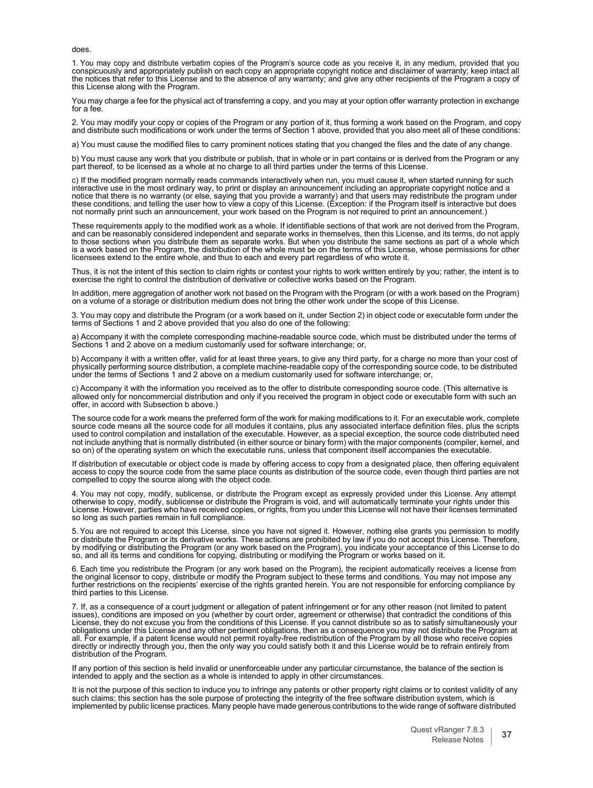does.

1. You may copy and distribute verbatim copies of the Program's source code as you receive it, in any medium, provided that you conspicuously and appropriately publish on each copy an appropriate copyright notice and disclaimer of warranty; keep intact all the notices that refer to this License and to the absence of any warranty; and give any other recipients of the Program a copy of this License along with the Program.

You may charge a fee for the physical act of transferring a copy, and you may at your option offer warranty protection in exchange for a fee.

2. You may modify your copy or copies of the Program or any portion of it, thus forming a work based on the Program, and copy<br>and distribute such modifications or work under the terms of Section 1 above, provided that you

a) You must cause the modified files to carry prominent notices stating that you changed the files and the date of any change.

b) You must cause any work that you distribute or publish, that in whole or in part contains or is derived from the Program or any<br>part thereof, to be licensed as a whole at no charge to all third parties under the terms o

c) If the modified program normally reads commands interactively when run, you must cause it, when started running for such interactive use in the most ordinary way, to print or display an announcement including an appropriate copyright notice and a notice that there is no warranty (or else, saying that you provide a warranty) and that users may redistribute the program under these conditions, and telling the user how to view a copy of this License. (Exception: if the Program itself is interactive but does not normally print such an announcement, your work based on the Program is not required to print an announcement.)

These requirements apply to the modified work as a whole. If identifiable sections of that work are not derived from the Program, and can be reasonably considered independent and separate works in themselves, then this License, and its terms, do not apply to those sections when you distribute them as separate works. But when you distribute the same sections as part of a whole which<br>is a work based on the Program, the distribution of the whole must be on the terms of this Li licensees extend to the entire whole, and thus to each and every part regardless of who wrote it.

Thus, it is not the intent of this section to claim rights or contest your rights to work written entirely by you; rather, the intent is to<br>exercise the right to control the distribution of derivative or collective works b

In addition, mere aggregation of another work not based on the Program with the Program (or with a work based on the Program) on a volume of a storage or distribution medium does not bring the other work under the scope of this License.

3. You may copy and distribute the Program (or a work based on it, under Section 2) in object code or executable form under the terms of Sections 1 and 2 above provided that you also do one of the following:

a) Accompany it with the complete corresponding machine-readable source code, which must be distributed under the terms ol<br>Sections 1 and 2 above on a medium customarily used for software interchange; or,

b) Accompany it with a written offer, valid for at least three years, to give any third party, for a charge no more than your cost ot<br>physically performing source distribution, a complete machine-readable copy of the corre under the terms of Sections 1 and 2 above on a medium customarily used for software interchange; or,

c) Accompany it with the information you received as to the offer to distribute corresponding source code. (This alternative is allowed only for noncommercial distribution and only if you received the program in object code or executable form with such an<br>offer, in accord with Subsection b above.)

The source code for a work means the preferred form of the work for making modifications to it. For an executable work, complete source code means all the source code for all modules it contains, plus any associated interface definition files, plus the scripts used to control compilation and installation of the executable. However, as a special exception, the source code distributed need not include anything that is normally distributed (in either source or binary form) with the major components (compiler, kernel, and<br>so on) of the operating system on which the executable runs, unless that component itself

If distribution of executable or object code is made by offering access to copy from a designated place, then offering equivalent access to copy the source code from the same place counts as distribution of the source code compelled to copy the source along with the object code.

4. You may not copy, modify, sublicense, or distribute the Program except as expressly provided under this License. Any attempt otherwise to copy, modify, sublicense or distribute the Program is void, and will automatically terminate your rights under this License. However, parties who have received copies, or rights, from you under this License will not have their licenses terminated so long as such parties remain in full compliance.

5. You are not required to accept this License, since you have not signed it. However, nothing else grants you permission to modify<br>or distribute the Program or its derivative works. These actions are prohibited by law if so, and all its terms and conditions for copying, distributing or modifying the Program or works based on it.

6. Each time you redistribute the Program (or any work based on the Program), the recipient automatically receives a license from<br>the original licensor to copy, distribute or modify the Program subject to these terms and c further restrictions on the recipients' exercise of the rights granted herein. You are not responsible for enforcing compliance by third parties to this License.

7. If, as a consequence of a court judgment or allegation of patent infringement or for any other reason (not limited to patent issues), conditions are imposed on you (whether by court order, agreement or otherwise) that contradict the conditions of this License, they do not excuse you from the conditions of this License. If you cannot distribute so as to satisfy simultaneously your obligations under this License and any other pertinent obligations, then as a consequence you may not distribute the Program at all. For example, if a patent license would not permit royalty-free redistribution of the Program by all those who receive copies<br>directly or indirectly through you, then the only way you could satisfy both it and this Lic

If any portion of this section is held invalid or unenforceable under any particular circumstance, the balance of the section is intended to apply and the section as a whole is intended to apply in other circumstances.

It is not the purpose of this section to induce you to infringe any patents or other property right claims or to contest validity of any such claims; this section has the sole purpose of protecting the integrity of the free software distribution system, which is implemented by public license practices. Many people have made generous contributions to the wide range of software distributed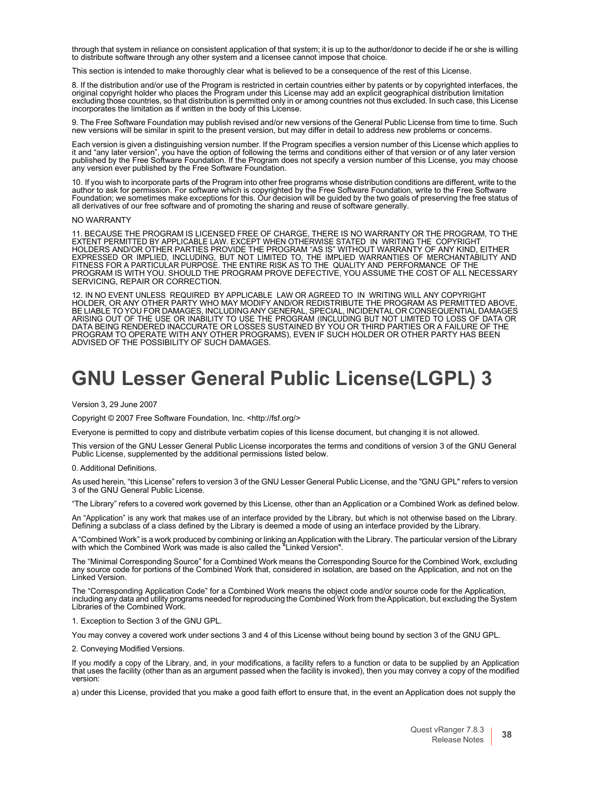through that system in reliance on consistent application of that system; it is up to the author/donor to decide if he or she is willing to distribute software through any other system and a licensee cannot impose that choice.

This section is intended to make thoroughly clear what is believed to be a consequence of the rest of this License.

8. If the distribution and/or use of the Program is restricted in certain countries either by patents or by copyrighted interfaces, the<br>original copyright holder who places the Program under this License may add an explici incorporates the limitation as if written in the body of this License.

9. The Free Software Foundation may publish revised and/or new versions of the General Public License from time to time. Such new versions will be similar in spirit to the present version, but may differ in detail to addre

Each version is given a distinguishing version number. If the Program specifies a version number of this License which applies to it and "any later version", you have the option of following the terms and conditions either of that version or of any later version published by the Free Software Foundation. If the Program does not specify a version number of this License, you may choose any version ever published by the Free Software Foundation.

10. If you wish to incorporate parts of the Program into other free programs whose distribution conditions are different, write to the<br>author to ask for permission. For software which is copyrighted by the Free Software Fo all derivatives of our free software and of promoting the sharing and reuse of software generally.

#### NO WARRANTY

11. BECAUSE THE PROGRAM IS LICENSED FREE OF CHARGE, THERE IS NO WARRANTY OR THE PROGRAM, TO THE EXTENT PERMITTED BY APPLICABLE LAW. EXCEPT WHEN OTHERWISE STATED IN WRITING THE COPYRIGHT HOLDERS AND/OR OTHER PARTIES PROVIDE THE PROGRAM "AS IS" WITHOUT WARRANTY OF ANY KIND, EITHER EXPRESSED OR IMPLIED, INCLUDING, BUT NOT LIMITED TO, THE IMPLIED WARRANTIES OF MERCHANTABILITY AND FITNESS FOR A PARTICULAR PURPOSE. THE ENTIRE RISK AS TO THE QUALITY AND PERFORMANCE OF THE PROGRAM IS WITH YOU. SHOULD THE PROGRAM PROVE DEFECTIVE, YOU ASSUME THE COST OF ALL NECESSARY SERVICING, REPAIR OR CORRECTION.

12. IN NO EVENT UNLESS REQUIRED BY APPLICABLE LAW OR AGREED TO IN WRITING WILL ANY COPYRIGHT HOLDER, OR ANY OTHER PARTY WHO MAY MODIFY AND/OR REDISTRIBUTE THE PROGRAM AS PERMITTED ABOVE, BE LIABLE TO YOU FOR DAMAGES, INCLUDING ANY GENERAL, SPECIAL, INCIDENTAL OR CONSEQUENTIAL DAMAGES<br>ARISING OUT OF THE USE OR INABILITY TO USE THE PROGRAM (INCLUDING BUT NOT LIMITED TO LOSS OF DATA OR<br>DATA BEING RENDERED INA PROGRAM TO OPERATE WITH ANY OTHER PROGRAMS), EVEN IF SUCH HOLDER OR OTHER PARTY HAS BEEN ADVISED OF THE POSSIBILITY OF SUCH DAMAGES.

### <span id="page-38-0"></span>**GNU Lesser General Public License(LGPL) 3**

Version 3, 29 June 2007

Copyright © 2007 Free Software Foundation, Inc. [<http://fsf.org/>](http://fsf.org/)

Everyone is permitted to copy and distribute verbatim copies of this license document, but changing it is not allowed.

This version of the GNU Lesser General Public License incorporates the terms and conditions of version 3 of the GNU General Public License, supplemented by the additional permissions listed below.

0. Additional Definitions.

As used herein, "this License" refers to version 3 of the GNU Lesser General Public License, and the "GNU GPL" refers to version 3 of the GNU General Public License.

"The Library" refers to a covered work governed by this License, other than an Application or a Combined Work as defined below.

An "Application" is any work that makes use of an interface provided by the Library, but which is not otherwise based on the Library.<br>Defining a subclass of a class defined by the Library is deemed a mode of using an inter

A"Combined Work" is a work produced by combining or linking anApplication with the Library. The particular version of the Library with which the Combined Work was made is also called the "Linked Version".

The "Minimal Corresponding Source" for a Combined Work means the Corresponding Source for the Combined Work, excluding any source code for portions of the Combined Work that, considered in isolation, are based on the Application, and not on the Linked Version.

The "Corresponding Application Code" for a Combined Work means the object code and/or source code for the Application, including any data and utility programs needed for reproducing the Combined Work from the Application, but excluding the System<br>Libraries of the Combined Work.

1. Exception to Section 3 of the GNU GPL.

You may convey a covered work under sections 3 and 4 of this License without being bound by section 3 of the GNU GPL.

2. Conveying Modified Versions.

If you modify a copy of the Library, and, in your modifications, a facility refers to a function or data to be supplied by an Application that uses the facility (other than as an argument passed when the facility is invoked), then you may convey a copy of the modified version:

a) under this License, provided that you make a good faith effort to ensure that, in the event an Application does not supply the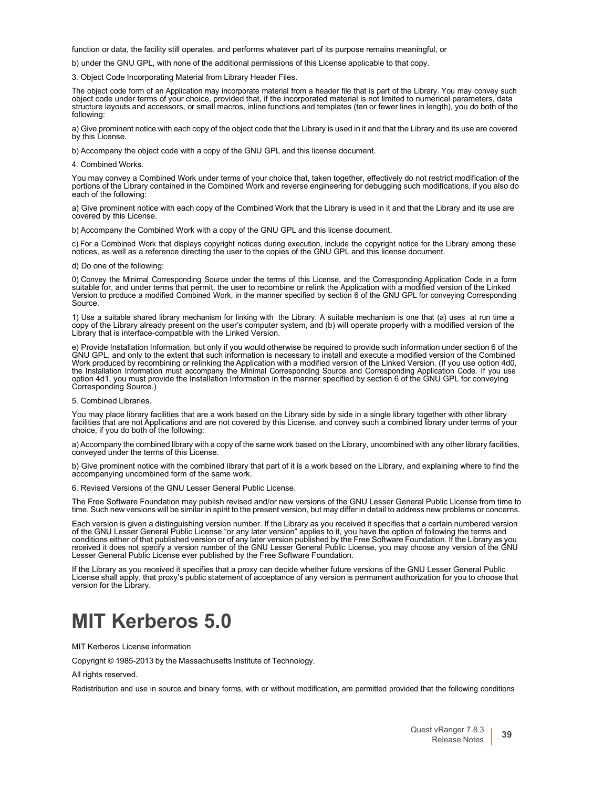function or data, the facility still operates, and performs whatever part of its purpose remains meaningful, or

b) under the GNU GPL, with none of the additional permissions of this License applicable to that copy.

3. Object Code Incorporating Material from Library Header Files.

The object code form of an Application may incorporate material from a header file that is part of the Library. You may convey such object code under terms of your choice, provided that, if the incorporated material is not limited to numerical parameters, data structure layouts and accessors, or small macros, inline functions and templates (ten or fewer lines in length), you do both of the following:

a) Give prominent notice with each copy of the object code that the Library is used in it and that the Library and its use are covered by this License.

b) Accompany the object code with a copy of the GNU GPL and this license document.

4. Combined Works.

You may convey a Combined Work under terms of your choice that, taken together, effectively do not restrict modification of the portions of the Library contained in the Combined Work and reverse engineering for debugging such modifications, if you also do each of the following:

a) Give prominent notice with each copy of the Combined Work that the Library is used in it and that the Library and its use are covered by this License.

b) Accompany the Combined Work with a copy of the GNU GPL and this license document.

c) For a Combined Work that displays copyright notices during execution, include the copyright notice for the Library among these notices, as well as a reference directing the user to the copies of the GNU GPL and this license document.

d) Do one of the following:

0) Convey the Minimal Corresponding Source under the terms of this License, and the Corresponding Application Code in a form suitable for, and under terms that permit, the user to recombine or relink the Application with a modified version of the Linked Version to produce a modified Combined Work, in the manner specified by section 6 of the GNU GPL for conveying Corresponding Source.

1) Use a suitable shared library mechanism for linking with the Library. A suitable mechanism is one that (a) uses at run time a copy of the Library already present on the user's computer system, and (b) will operate properly with a modified version of the Library that is interface-compatible with the Linked Version.

e) Provide Installation Information, but only if you would otherwise be required to provide such information under section 6 of the GNU GPL, and only to the extent that such information is necessary to install and execute a modified version of the Combined<br>Work produced by recombining or relinking the Application with a modified version of the Linked V option 4d1, you must provide the Installation Information in the manner specified by section 6 of the GNU GPL for conveying Corresponding Source.)

5. Combined Libraries.

You may place library facilities that are a work based on the Library side by side in a single library together with other library facilities that are not Applications and are not covered by this License, and convey such a combined library under terms of your choice, if you do both of the following:

a) Accompany the combined library with a copy of the same work based on the Library, uncombined with any other library facilities, conveyed under the terms of this License

b) Give prominent notice with the combined library that part of it is a work based on the Library, and explaining where to find the accompanying uncombined form of the same work.

Revised Versions of the GNU Lesser General Public License.

The Free Software Foundation may publish revised and/or new versions of the GNU Lesser General Public License from time to time. Such new versions will be similar in spirit to the present version, but may differ in detail to address new problems or concerns.

Each version is given a distinguishing version number. If the Library as you received it specifies that a certain numbered version<br>of the GNU Lesser General Public License "or any later version" applies to it, you have the received it does not specify a version number of the GNU Lesser General Public License, you may choose any version of the GNU Lesser General Public License ever published by the Free Software Foundation.

If the Library as you received it specifies that a proxy can decide whether future versions of the GNU Lesser General Public License shall apply, that proxy's public statement of acceptance of any version is permanent authorization for you to choose that version for the Library.

### <span id="page-39-0"></span>**MIT Kerberos 5.0**

MIT Kerberos License information

Copyright © 1985-2013 by the Massachusetts Institute of Technology.

All rights reserved.

Redistribution and use in source and binary forms, with or without modification, are permitted provided that the following conditions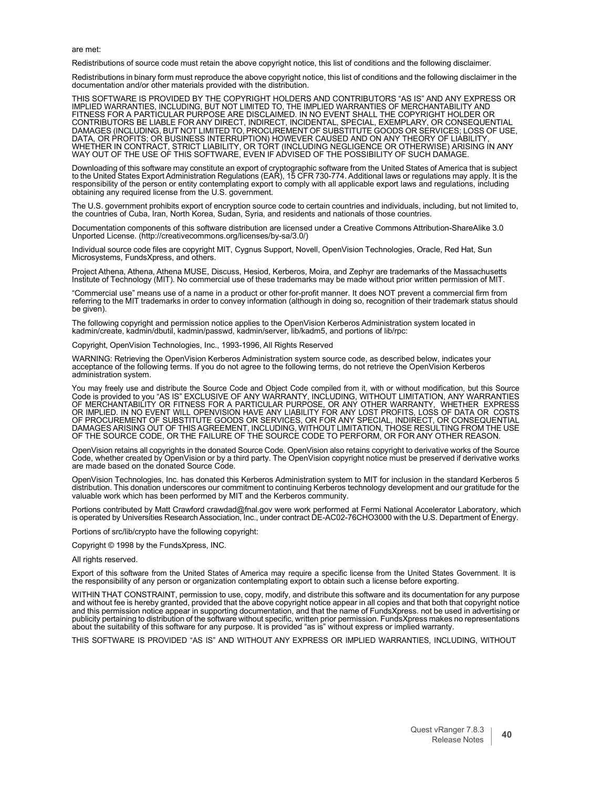are met:

Redistributions of source code must retain the above copyright notice, this list of conditions and the following disclaimer.

Redistributions in binary form must reproduce the above copyright notice, this list of conditions and the following disclaimer in the documentation and/or other materials provided with the distribution.

THIS SOFTWARE IS PROVIDED BY THE COPYRIGHT HOLDERS AND CONTRIBUTORS "AS IS" AND ANY EXPRESS OR IMPLIED WARRANTIES, INCLUDING, BUT NOT LIMITED TO, THE IMPLIED WARRANTIES OF MERCHANTABILITY AND FITNESS FOR A PARTICULAR PURPOSE ARE DISCLAIMED. IN NO EVENT SHALL THE COPYRIGHT HOLDER OR CONTRIBUTORS BE LIABLE FOR ANY DIRECT, INDIRECT, INCIDENTAL, SPECIAL, EXEMPLARY, OR CONSEQUENTIAL DAMAGES (INCLUDING, BUT NOT LIMITED TO, PROCUREMENT OF SUBSTITUTE GOODS OR SERVICES; LOSS OF USE, DATA, OR PROFITS; OR BUSINESS INTERRUPTION) HOWEVER CAUSED AND ON ANY THEORY OF LIABILITY, WHETHER IN CONTRACT, STRICT LIABILITY, OR TORT (INCLUDING NEGLIGENCE OR OTHERWISE) ARISING IN ANY WAY OUT OF THE USE OF THIS SOFTWARE, EVEN IF ADVISED OF THE POSSIBILITY OF SUCH DAMAGE.

Downloading of this software may constitute an export of cryptographic software from the United States of America that is subject to the United States Export Administration Regulations (EAR), 15 CFR 730-774. Additional laws or regulations may apply. It is the responsibility of the person or entity contemplating export to comply with all applicable export laws and regulations, including obtaining any required license from the U.S. government.

The U.S. government prohibits export of encryption source code to certain countries and individuals, including, but not limited to,<br>the countries of Cuba, Iran, North Korea, Sudan, Syria, and residents and nationals of tho

Documentation components of this software distribution are licensed under a Creative Commons Attribution-ShareAlike 3.0 Unported License[. \(http://creativecommons.org/licenses/by-sa/3.0/\)](http://creativecommons.org/licenses/by-sa/3.0/))

Individual source code files are copyright MIT, Cygnus Support, Novell, OpenVision Technologies, Oracle, Red Hat, Sun Microsystems, FundsXpress, and others.

Project Athena, Athena, Athena MUSE, Discuss, Hesiod, Kerberos, Moira, and Zephyr are trademarks of the Massachusetts<br>Institute of Technology (MIT). No commercial use of these trademarks may be made without prior written p

"Commercial use" means use of a name in a product or other for-profit manner. It does NOT prevent a commercial firm from referring to the MIT trademarks in order to convey information (although in doing so, recognition of their trademark status should be given).

The following copyright and permission notice applies to the OpenVision Kerberos Administration system located in kadmin/create, kadmin/dbutil, kadmin/passwd, kadmin/server, lib/kadm5, and portions of lib/rpc:

Copyright, OpenVision Technologies, Inc., 1993-1996, All Rights Reserved

WARNING: Retrieving the OpenVision Kerberos Administration system source code, as described below, indicates your acceptance of the following terms. If you do not agree to the following terms, do not retrieve the OpenVision Kerberos administration system.

You may freely use and distribute the Source Code and Object Code compiled from it, with or without modification, but this Source Code is provided to you "AS IS" EXCLUSIVE OF ANY WARRANTY, INCLUDING, WITHOUT LIMITATION, ANY WARRANTIES OF MERCHANTABILITY OR FITNESS FOR A PARTICULAR PURPOSE, OR ANY OTHER WARRANTY, WHETHER EXPRESS OR IMPLIED. IN NO EVENT WILL OPENVISION HAVE ANY LIABILITY FOR ANY LOST PROFITS, LOSS OF DATA OR COSTS OF PROCUREMENT OF SUBSTITUTE GOODS OR SERVICES, OR FOR ANY SPECIAL, INDIRECT, OR CONSEQUENTIAL DAMAGES ARISING OUT OF THIS AGREEMENT, INCLUDING, WITHOUT LIMITATION, THOSE RESULTING FROM THE USE OF THE SOURCE CODE, OR THE FAILURE OF THE SOURCE CODE TO PERFORM, OR FOR ANY OTHER REASON.

OpenVision retains all copyrights in the donated Source Code. OpenVision also retains copyright to derivative works of the Source<br>Code, whether created by OpenVision or by a third party. The OpenVision copyright notice mu

OpenVision Technologies, Inc. has donated this Kerberos Administration system to MIT for inclusion in the standard Kerberos 5 distribution. This donation underscores our commitment to continuing Kerberos technology development and our gratitude for the valuable work which has been performed by MIT and the Kerberos community.

Portions contributed by Matt Crawford [crawdad@fnal.gov w](mailto:crawdad@fnal.gov)ere work performed at Fermi National Accelerator Laboratory, which is operated by Universities Research Association, Inc., under contract DE-AC02-76CHO3000 with the U.S. Department of Energy.

Portions of src/lib/crypto have the following copyright:

Copyright © 1998 by the FundsXpress, INC.

All rights reserved.

Export of this software from the United States of America may require a specific license from the United States Government. It is the responsibility of any person or organization contemplating export to obtain such a license before exporting.

WITHIN THAT CONSTRAINT, permission to use, copy, modify, and distribute this software and its documentation for any purpose and without fee is hereby granted, provided that the above copyright notice appear in all copies and that both that copyright notice publicity pertaining to distribution of the software without specific, written prior permission. FundsXpress makes no representations about the suitability of this software for any purpose. It is provided "as is" without express or implied warranty.

THIS SOFTWARE IS PROVIDED "AS IS" AND WITHOUT ANY EXPRESS OR IMPLIED WARRANTIES, INCLUDING, WITHOUT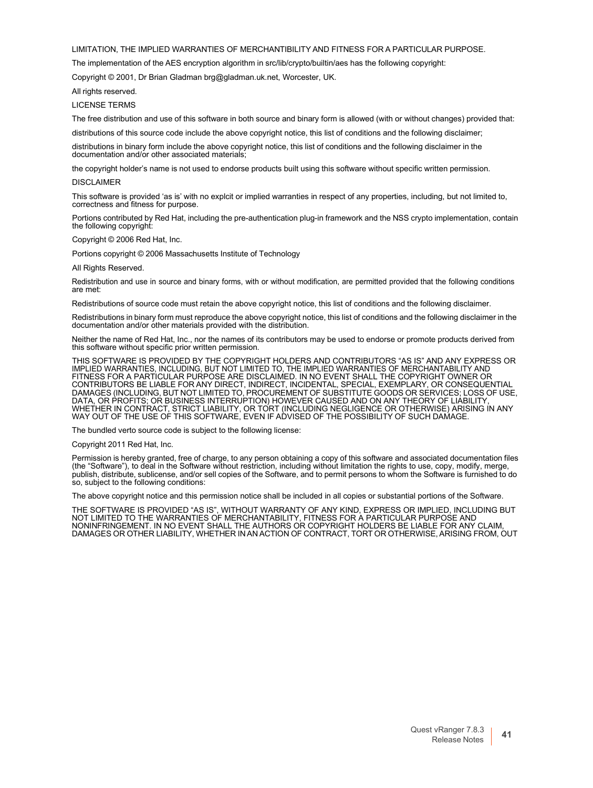LIMITATION, THE IMPLIED WARRANTIES OF MERCHANTIBILITY AND FITNESS FOR A PARTICULAR PURPOSE.

The implementation of the AES encryption algorithm in src/lib/crypto/builtin/aes has the following copyright:

Copyright © 2001, Dr Brian Gladman [brg@gladman.uk.net, W](mailto:brg@gladman.uk.net)orcester, UK.

All rights reserved.

#### LICENSE TERMS

The free distribution and use of this software in both source and binary form is allowed (with or without changes) provided that:

distributions of this source code include the above copyright notice, this list of conditions and the following disclaimer;

distributions in binary form include the above copyright notice, this list of conditions and the following disclaimer in the documentation and/or other associated materials;

the copyright holder's name is not used to endorse products built using this software without specific written permission. DISCLAIMER

This software is provided 'as is' with no explcit or implied warranties in respect of any properties, including, but not limited to, correctness and fitness for purpose.

Portions contributed by Red Hat, including the pre-authentication plug-in framework and the NSS crypto implementation, contain the following copyright:

Copyright © 2006 Red Hat, Inc.

Portions copyright © 2006 Massachusetts Institute of Technology

All Rights Reserved.

Redistribution and use in source and binary forms, with or without modification, are permitted provided that the following conditions are met:

Redistributions of source code must retain the above copyright notice, this list of conditions and the following disclaimer.

Redistributions in binary form must reproduce the above copyright notice, this list of conditions and the following disclaimer in the documentation and/or other materials provided with the distribution.

Neither the name of Red Hat, Inc., nor the names of its contributors may be used to endorse or promote products derived from this software without specific prior written permission.

THIS SOFTWARE IS PROVIDED BY THE COPYRIGHT HOLDERS AND CONTRIBUTORS "AS IS" AND ANY EXPRESS OR<br>IMPLIED WARRANTIES, INCLUDING, BUT NOT LIMITED TO, THE IMPLIED WARRANTIES OF MERCHANTABILITY AND<br>FITNESS FOR A PARTICULAR PURPO DAMAGES (INCLUDING, BUT NOT LIMITED TO, PROCUREMENT OF SUBSTITUTE GOODS OR SERVICES; LOSS OF USE, DATA, OR PROFITS; OR BUSINESS INTERRUPTION) HOWEVER CAUSED AND ON ANY THEORY OF LIABILITY, WHETHER IN CONTRACT, STRICT LIABILITY, OR TORT (INCLUDING NEGLIGENCE OR OTHERWISE) ARISING IN ANY WAY OUT OF THE USE OF THIS SOFTWARE, EVEN IF ADVISED OF THE POSSIBILITY OF SUCH DAMAGE.

The bundled verto source code is subject to the following license:

#### Copyright 2011 Red Hat, Inc.

Permission is hereby granted, free of charge, to any person obtaining a copy of this software and associated documentation files (the "Software"), to deal in the Software without restriction, including without limitation the rights to use, copy, modify, merge, publish, distribute, sublicense, and/or sell copies of the Software, and to permit persons to whom the Software is furnished to do so, subject to the following conditions:

The above copyright notice and this permission notice shall be included in all copies or substantial portions of the Software.

THE SOFTWARE IS PROVIDED "AS IS", WITHOUT WARRANTY OF ANY KIND, EXPRESS OR IMPLIED, INCLUDING BUT NOT LIMITED TO THE WARRANTIES OF MERCHANTABILITY, FITNESS FOR A PARTICULAR PURPOSE AND NONINFRINGEMENT. IN NO EVENT SHALL THE AUTHORS OR COPYRIGHT HOLDERS BE LIABLE FOR ANY CLAIM, DAMAGES OR OTHER LIABILITY, WHETHER IN AN ACTION OF CONTRACT, TORT OR OTHERWISE, ARISING FROM, OUT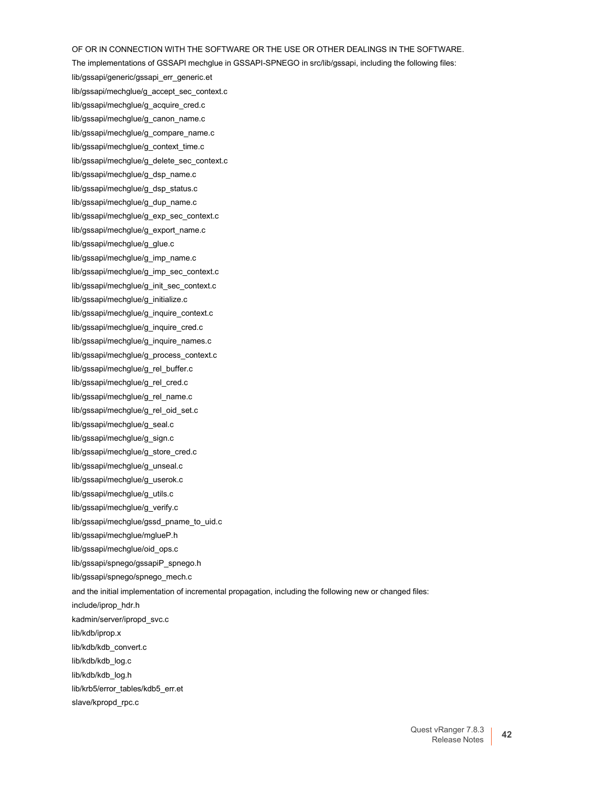OF OR IN CONNECTION WITH THE SOFTWARE OR THE USE OR OTHER DEALINGS IN THE SOFTWARE.

The implementations of GSSAPI mechglue in GSSAPI-SPNEGO in src/lib/gssapi, including the following files:

lib/gssapi/generic/gssapi\_err\_generic.et

lib/gssapi/mechglue/g\_accept\_sec\_context.c lib/gssapi/mechglue/g\_acquire\_cred.c

lib/gssapi/mechglue/g\_canon\_name.c

lib/gssapi/mechglue/g\_compare\_name.c

lib/gssapi/mechglue/g\_context\_time.c

lib/gssapi/mechglue/g\_delete\_sec\_context.c

lib/gssapi/mechglue/g\_dsp\_name.c

lib/gssapi/mechglue/g\_dsp\_status.c

lib/gssapi/mechglue/g\_dup\_name.c

lib/gssapi/mechglue/g\_exp\_sec\_context.c

lib/gssapi/mechglue/g\_export\_name.c

lib/gssapi/mechglue/g\_glue.c

lib/gssapi/mechglue/g\_imp\_name.c

lib/gssapi/mechglue/g\_imp\_sec\_context.c

lib/gssapi/mechglue/g\_init\_sec\_context.c

lib/gssapi/mechglue/g\_initialize.c

lib/gssapi/mechglue/g\_inquire\_context.c

lib/gssapi/mechglue/g\_inquire\_cred.c

lib/gssapi/mechglue/g\_inquire\_names.c

lib/gssapi/mechglue/g\_process\_context.c

lib/gssapi/mechglue/g\_rel\_buffer.c

lib/gssapi/mechglue/g\_rel\_cred.c

lib/gssapi/mechglue/g\_rel\_name.c

lib/gssapi/mechglue/g\_rel\_oid\_set.c

lib/gssapi/mechglue/g\_seal.c

lib/gssapi/mechglue/g\_sign.c

lib/gssapi/mechglue/g\_store\_cred.c

lib/gssapi/mechglue/g\_unseal.c

lib/gssapi/mechglue/g\_userok.c

lib/gssapi/mechglue/g\_utils.c

lib/gssapi/mechglue/g\_verify.c

lib/gssapi/mechglue/gssd\_pname\_to\_uid.c

lib/gssapi/mechglue/mglueP.h

lib/gssapi/mechglue/oid\_ops.c

lib/gssapi/spnego/gssapiP\_spnego.h

lib/gssapi/spnego/spnego\_mech.c

and the initial implementation of incremental propagation, including the following new or changed files:

include/iprop\_hdr.h

kadmin/server/ipropd\_svc.c

lib/kdb/iprop.x

lib/kdb/kdb\_convert.c

lib/kdb/kdb\_log.c

lib/kdb/kdb\_log.h

lib/krb5/error\_tables/kdb5\_err.et

slave/kpropd\_rpc.c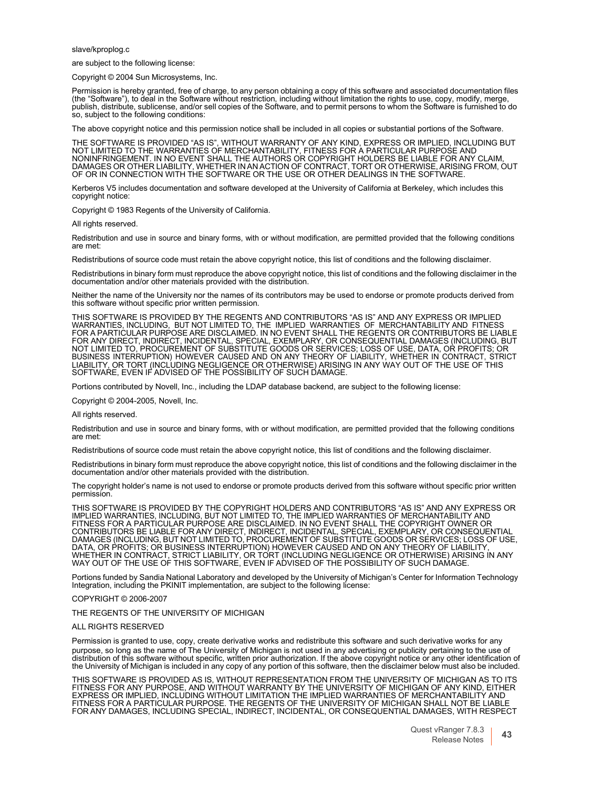slave/kproplog.c

are subject to the following license:

Copyright © 2004 Sun Microsystems, Inc.

Permission is hereby granted, free of charge, to any person obtaining a copy of this software and associated documentation files (the "Software"), to deal in the Software without restriction, including without limitation the rights to use, copy, modify, merge, publish, distribute, sublicense, and/or sell copies of the Software, and to permit persons to whom the Software is furnished to do so, subject to the following conditions:

The above copyright notice and this permission notice shall be included in all copies or substantial portions of the Software.

THE SOFTWARE IS PROVIDED "AS IS", WITHOUT WARRANTY OF ANY KIND, EXPRESS OR IMPLIED, INCLUDING BUT<br>NOT LIMITED TO THE WARRANTIES OF MERCHANTABILITY, FITNESS FOR A PARTICULAR PURPOSE AND<br>NONINFRINGEMENT. IN NO EVENT SHALL TH DAMAGES OR OTHER LIABILITY, WHETHER IN AN ACTION OF CONTRACT, TORT OR OTHERWISE, ARISING FROM, OUT OF OR IN CONNECTION WITH THE SOFTWARE OR THE USE OR OTHER DEALINGS IN THE SOFTWARE.

Kerberos V5 includes documentation and software developed at the University of California at Berkeley, which includes this copyright notice:

Copyright © 1983 Regents of the University of California.

All rights reserved.

Redistribution and use in source and binary forms, with or without modification, are permitted provided that the following conditions are met:

Redistributions of source code must retain the above copyright notice, this list of conditions and the following disclaimer.

Redistributions in binary form must reproduce the above copyright notice, this list of conditions and the following disclaimer in the documentation and/or other materials provided with the distribution.

Neither the name of the University nor the names of its contributors may be used to endorse or promote products derived from this software without specific prior written permission.

THIS SOFTWARE IS PROVIDED BY THE REGENTS AND CONTRIBUTORS "AS IS" AND ANY EXPRESS OR IMPLIED<br>WARRANTIES, INCLUDING, BUT NOT LIMITED TO, THE IMPLIED WARRANTIES OF MERCHANTABILITY AND FITNESS<br>FOR A PARTICULAR PURPOSE A FOR ANY DIRECT, INDIRECT, INCIDENTAL, SPECIAL, EXEMPLARY, OR CONSEQUENTIAL DAMAGES (INCLUDING, BUT NOT LIMITED TO, PROCUREMENT OF SUBSTITUTE GOODS OR SERVICES; LOSS OF USE, DATA, OR PROFITS; OR<br>BUSINESS INTERRUPTION) HOWEVER CAUSED AND ON ANY THEORY OF LIABILITY, WHETHER IN CONTRACT, STRICT<br>LIABILITY, OR TORT (INCLUDING SOFTWARE, EVEN IF ADVISED OF THE POSSIBILITY OF SUCH DAMAGE.

Portions contributed by Novell, Inc., including the LDAP database backend, are subject to the following license:

Copyright © 2004-2005, Novell, Inc.

All rights reserved.

Redistribution and use in source and binary forms, with or without modification, are permitted provided that the following conditions are met:

Redistributions of source code must retain the above copyright notice, this list of conditions and the following disclaimer.

Redistributions in binary form must reproduce the above copyright notice, this list of conditions and the following disclaimer in the documentation and/or other materials provided with the distribution.

The copyright holder's name is not used to endorse or promote products derived from this software without specific prior written permission.

THIS SOFTWARE IS PROVIDED BY THE COPYRIGHT HOLDERS AND CONTRIBUTORS "AS IS" AND ANY EXPRESS OR<br>IMPLIED WARRANTIES, INCLUDING, BUT NOT LIMITED TO, THE IMPLIED WARRANTIES OF MERCHANTABILITY AND<br>FITNESS FOR A PARTICULAR PURPO DAMAGES (INCLUDING, BUT NOT LIMITED TO, PROCUREMENT OF SUBSTITUTE GOODS OR SERVICES; LOSS OF USE, DATA, OR PROFITS; OR BUSINESS INTERRUPTION) HOWEVER CAUSED AND ON ANY THEORY OF LIABILITY, WHETHER IN CONTRACT, STRICT LIABILITY, OR TORT (INCLUDING NEGLIGENCE OR OTHERWISE) ARISING IN ANY WAY OUT OF THE USE OF THIS SOFTWARE, EVEN IF ADVISED OF THE POSSIBILITY OF SUCH DAMAGE.

Portions funded by Sandia National Laboratory and developed by the University of Michigan's Center for Information Technology Integration, including the PKINIT implementation, are subject to the following license:

#### COPYRIGHT © 2006-2007

THE REGENTS OF THE UNIVERSITY OF MICHIGAN

#### ALL RIGHTS RESERVED

purpose, so long as the name of The University of Michigan is not used in any advertising or publicity pertaining to the use of distribution of this software without specific, written prior authorization. If the above copyright notice or any other identification of the University of Michigan is included in any copy of any portion of this software, then the disclaimer below must also be included. Permission is granted to use, copy, create derivative works and redistribute this software and such derivative works for any

THIS SOFTWARE IS PROVIDED AS IS, WITHOUT REPRESENTATION FROM THE UNIVERSITY OF MICHIGAN AS TO ITS FITNESS FOR ANY PURPOSE, AND WITHOUT WARRANTY BY THE UNIVERSITY OF MICHIGAN OF ANY KIND, EITHER EXPRESS OR IMPLIED, INCLUDING WITHOUT LIMITATION THE IMPLIED WARRANTIES OF MERCHANTABILITY AND FITNESS FOR A PARTICULAR PURPOSE. THE REGENTS OF THE UNIVERSITY OF MICHIGAN SHALL NOT BE LIABLE FOR ANY DAMAGES, INCLUDING SPECIAL, INDIRECT, INCIDENTAL, OR CONSEQUENTIAL DAMAGES, WITH RESPECT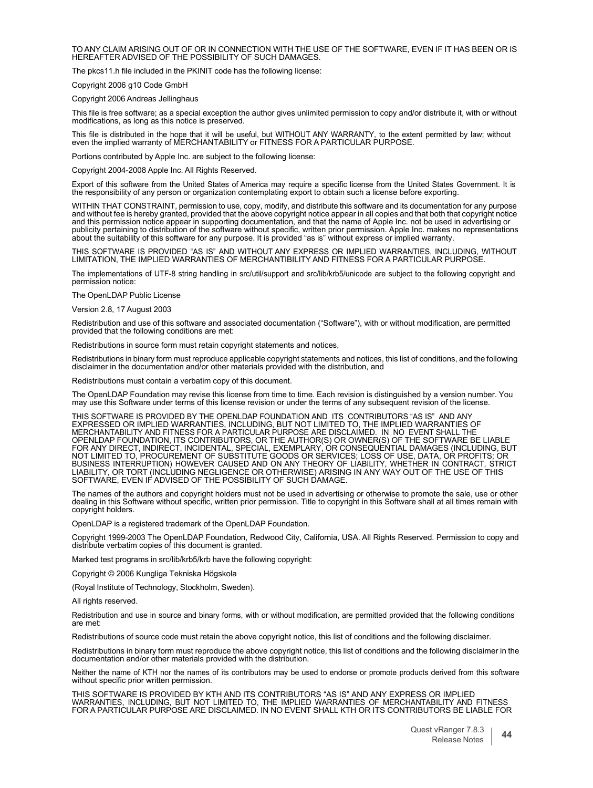TO ANY CLAIM ARISING OUT OF OR IN CONNECTION WITH THE USE OF THE SOFTWARE, EVEN IF IT HAS BEEN OR IS HEREAFTER ADVISED OF THE POSSIBILITY OF SUCH DAMAGES.

The pkcs11.h file included in the PKINIT code has the following license:

Copyright 2006 g10 Code GmbH

Copyright 2006 Andreas Jellinghaus

This file is free software; as a special exception the author gives unlimited permission to copy and/or distribute it, with or without modifications, as long as this notice is preserved.

This file is distributed in the hope that it will be useful, but WITHOUT ANY WARRANTY, to the extent permitted by law; without even the implied warranty of MERCHANTABILITY or FITNESS FOR <sup>A</sup> PARTICULAR PURPOSE.

Portions contributed by Apple Inc. are subject to the following license:

Copyright 2004-2008 Apple Inc. All Rights Reserved.

Export of this software from the United States of America may require a specific license from the United States Government. It is<br>the responsibility of any person or organization contemplating export to obtain such a licen

WITHIN THAT CONSTRAINT, permission to use, copy, modify, and distribute this software and its documentation for any purpose and without fee is hereby granted, provided that the above copyright notice appear in all copies and that both that copyright notice<br>and this permission notice appear in supporting documentation, and that the name of Apple publicity pertaining to distribution of the software without specific, written prior permission. Apple Inc. makes no representations about the suitability of this software for any purpose. It is provided "as is" without express or implied warranty.

THIS SOFTWARE IS PROVIDED "AS IS" AND WITHOUT ANY EXPRESS OR IMPLIED WARRANTIES, INCLUDING, WITHOUT LIMITATION, THE IMPLIED WARRANTIES OF MERCHANTIBILITY AND FITNESS FOR A PARTICULAR PURPOSE.

The implementations of UTF-8 string handling in src/util/support and src/lib/krb5/unicode are subject to the following copyright and permission notice:

The OpenLDAP Public License

Version 2.8, 17 August 2003

Redistribution and use of this software and associated documentation ("Software"), with or without modification, are permitted provided that the following conditions are met:

Redistributions in source form must retain copyright statements and notices,

Redistributions in binary form must reproduce applicable copyright statements and notices, this list of conditions, and the following disclaimer in the documentation and/or other materials provided with the distribution, and

Redistributions must contain a verbatim copy of this document.

The OpenLDAP Foundation may revise this license from time to time. Each revision is distinguished by a version number. You<br>may use this Software under terms of this license revision or under the terms of any subsequent rev

THIS SOFTWARE IS PROVIDED BY THE OPENLDAP FOUNDATION AND ITS CONTRIBUTORS "AS IS" AND ANY EXPRESSED OR IMPLIED WARRANTIES, INCLUDING, BUT NOT LIMITED TO, THE IMPLIED WARRANTIES OF<br>MERCHANTABILITY AND FITNESS FOR A PARTICULAR PURPOSE ARE DISCLAIMED. IN NO EVENT SHALL THE<br>OPENLDAP FOUNDATION, ITS CONTRIBUTORS, FOR ANY DIRECT, INDIRECT, INCIDENTAL, SPECIAL, EXEMPLARY, OR CONSEQUENTIAL DAMAGES (INCLUDING, BUT<br>NOT LIMITED TO, PROCUREMENT OF SUBSTITUTE GOODS OR SERVICES; LOSS OF USE, DATA, OR PROFITS; OR<br>BUSINESS INTERRUPTION) HOWEV SOFTWARE, EVEN IF ADVISED OF THE POSSIBILITY OF SUCH DAMAGE.

The names of the authors and copyright holders must not be used in advertising or otherwise to promote the sale, use or other<br>dealing in this Software without specific, written prior permission. Title to copyright in this copyright holders.

OpenLDAP is a registered trademark of the OpenLDAP Foundation.

Copyright 1999-2003 The OpenLDAP Foundation, Redwood City, California, USA. All Rights Reserved. Permission to copy and distribute verbatim copies of this document is granted.

Marked test programs in src/lib/krb5/krb have the following copyright:

Copyright © 2006 Kungliga Tekniska Högskola

(Royal Institute of Technology, Stockholm, Sweden).

All rights reserved.

Redistribution and use in source and binary forms, with or without modification, are permitted provided that the following conditions are met:

Redistributions of source code must retain the above copyright notice, this list of conditions and the following disclaimer.

Redistributions in binary form must reproduce the above copyright notice, this list of conditions and the following disclaimer in the documentation and/or other materials provided with the distribution.

Neither the name of KTH nor the names of its contributors may be used to endorse or promote products derived from this software without specific prior written permission.

THIS SOFTWARE IS PROVIDED BY KTH AND ITS CONTRIBUTORS "AS IS" AND ANY EXPRESS OR IMPLIED WARRANTIES, INCLUDING, BUT NOT LIMITED TO, THE IMPLIED WARRANTIES OF MERCHANTABILITY AND FITNESS FOR A PARTICULAR PURPOSE ARE DISCLAIMED. IN NO EVENT SHALL KTH OR ITS CONTRIBUTORS BE LIABLE FOR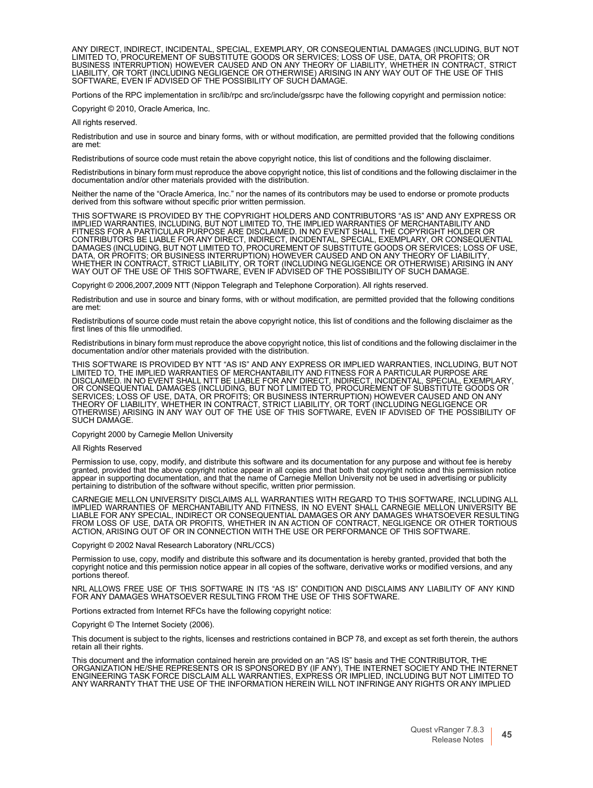ANY DIRECT, INDIRECT, INCIDENTAL, SPECIAL, EXEMPLARY, OR CONSEQUENTIAL DAMAGES (INCLUDING, BUT NOT<br>LIMITED TO, PROCUREMENT OF SUBSTITUTE GOODS OR SERVICES; LOSS OF USE, DATA, OR PROFITS; OR<br>BUSINESS INTERRUPTION) HOWEVER C SOFTWARE, EVEN IF ADVISED OF THE POSSIBILITY OF SUCH DAMAGE.

Portions of the RPC implementation in src/lib/rpc and src/include/gssrpc have the following copyright and permission notice:

Copyright © 2010, Oracle America, Inc.

All rights reserved.

Redistribution and use in source and binary forms, with or without modification, are permitted provided that the following conditions are met:

Redistributions of source code must retain the above copyright notice, this list of conditions and the following disclaimer.

Redistributions in binary form must reproduce the above copyright notice, this list of conditions and the following disclaimer in the documentation and/or other materials provided with the distribution.

Neither the name of the "Oracle America, Inc." nor the names of its contributors may be used to endorse or promote products derived from this software without specific prior written permission.

THIS SOFTWARE IS PROVIDED BY THE COPYRIGHT HOLDERS AND CONTRIBUTORS "AS IS" AND ANY EXPRESS OR IMPLIED WARRANTIES, INCLUDING, BUT NOT LIMITED TO, THE IMPLIED WARRANTIES OF MERCHANTABILITY AND FITNESS FOR A PARTICULAR PURPOSE ARE DISCLAIMED. IN NO EVENT SHALL THE COPYRIGHT HOLDER OR CONTRIBUTORS BE LIABLE FOR ANY DIRECT, INDIRECT, INCIDENTAL, SPECIAL, EXEMPLARY, OR CONSEQUENTIAL DAMAGES (INCLUDING, BUT NOT LIMITED TO, PROCUREMENT OF SUBSTITUTE GOODS OR SERVICES; LOSS OF USE,<br>DATA, OR PROFITS; OR BUSINESS INTERRUPTION) HOWEVER CAUSED AND ON ANY THEORY OF LIABILITY,<br>WHETHER IN CONTRACT, STRICT LIABI WAY OUT OF THE USE OF THIS SOFTWARE, EVEN IF ADVISED OF THE POSSIBILITY OF SUCH DAMAGE.

Copyright © 2006,2007,2009 NTT (Nippon Telegraph and Telephone Corporation). All rights reserved.

Redistribution and use in source and binary forms, with or without modification, are permitted provided that the following conditions are met:

Redistributions of source code must retain the above copyright notice, this list of conditions and the following disclaimer as the first lines of this file unmodified.

Redistributions in binary form must reproduce the above copyright notice, this list of conditions and the following disclaimer in the documentation and/or other materials provided with the distribution.

THIS SOFTWARE IS PROVIDED BY NTT "AS IS" AND ANY EXPRESS OR IMPLIED WARRANTIES, INCLUDING, BUT NOT<br>LIMITED TO, THE IMPLIED WARRANTIES OF MERCHANTABILITY AND FITNESS FOR A PARTICULAR PURPOSE ARE<br>DISCLAIMED. IN NO EVENT SHAL SERVICES; LOSS OF USE, DATA, OR PROFITS; OR BUSINESS INTERRUPTION) HOWEVER CAUSED AND ON ANY<br>THEORY OF LIABILITY, WHETHER IN CONTRACT, STRICT LIABILITY, OR TORT (INCLUDING NEGLIGENCE OR<br>OTHERWISE) ARISING IN ANY WAY OUT OF SUCH DAMAGE.

#### Copyright 2000 by Carnegie Mellon University

#### All Rights Reserved

Permission to use, copy, modify, and distribute this software and its documentation for any purpose and without fee is hereby granted, provided that the above copyright notice appear in all copies and that both that copyright notice and this permission notice<br>appear in supporting documentation, and that the name of Carnegie Mellon University not pertaining to distribution of the software without specific, written prior permission.

CARNEGIE MELLON UNIVERSITY DISCLAIMS ALL WARRANTIES WITH REGARD TO THIS SOFTWARE, INCLUDING ALL IMPLIED WARRANTIES OF MERCHANTABILITY AND FITNESS, IN NO EVENT SHALL CARNEGIE MELLON UNIVERSITY BE<br>LIABLE FOR ANY SPECIAL, INDIRECT OR CONSEQUENTIAL DAMAGES OR ANY DAMAGES WHATSOEVER RESULTING<br>FROM LOSS OF USE, DATA OR PRO ACTION, ARISING OUT OF OR IN CONNECTION WITH THE USE OR PERFORMANCE OF THIS SOFTWARE.

Copyright © 2002 Naval Research Laboratory (NRL/CCS)

Permission to use, copy, modify and distribute this software and its documentation is hereby granted, provided that both the copyright notice and this permission notice appear in all copies of the software, derivative works or modified versions, and any portions thereof.

NRL ALLOWS FREE USE OF THIS SOFTWARE IN ITS "AS IS" CONDITION AND DISCLAIMS ANY LIABILITY OF ANY KIND FOR ANY DAMAGES WHATSOEVER RESULTING FROM THE USE OF THIS SOFTWARE.

Portions extracted from Internet RFCs have the following copyright notice:

Copyright © The Internet Society (2006).

This document is subject to the rights, licenses and restrictions contained in BCP 78, and except as set forth therein, the authors retain all their rights.

This document and the information contained herein are provided on an "AS IS" basis and THE CONTRIBUTOR, THE ORGANIZATION HE/SHE REPRESENTS OR IS SPONSORED BY (IF ANY), THE INTERNET SOCIETY AND THE INTERNET ENGINEERING TASK FORCE DISCLAIM ALL WARRANTIES, EXPRESS OR IMPLIED, INCLUDING BUT NOT LIMITED TO ANY WARRANTY THAT THE USE OF THE INFORMATION HEREIN WILL NOT INFRINGE ANY RIGHTS OR ANY IMPLIED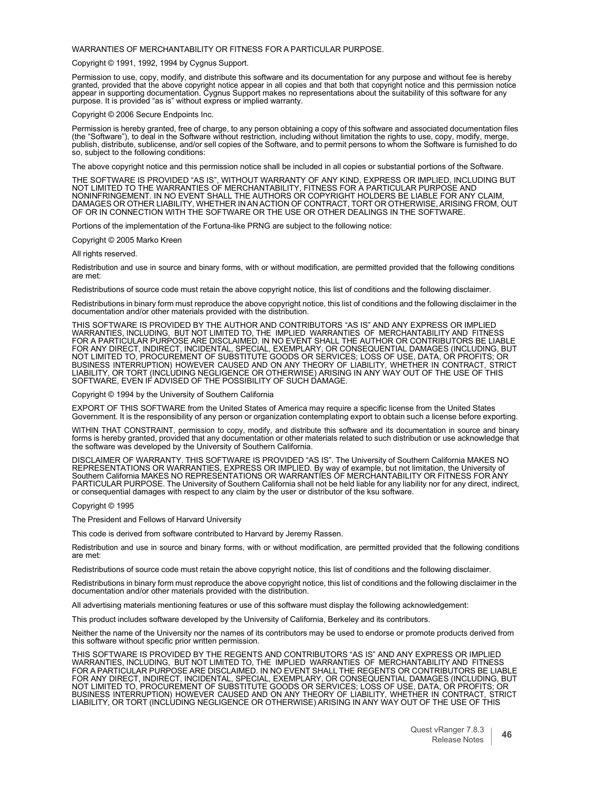WARRANTIES OF MERCHANTABILITY OR FITNESS FOR A PARTICULAR PURPOSE.

Copyright © 1991, 1992, 1994 by Cygnus Support.

Permission to use, copy, modify, and distribute this software and its documentation for any purpose and without fee is hereby granted, provided that the above copyright notice appear in all copies and that both that copyright notice and this permission notice<br>appear in supporting documentation. Cygnus Support makes no representations about the su purpose. It is provided "as is" without express or implied warranty.

Copyright © 2006 Secure Endpoints Inc.

Permission is hereby granted, free of charge, to any person obtaining a copy of this software and associated documentation files (the "Software"), to deal in the Software without restriction, including without limitation the rights to use, copy, modify, merge,<br>publish, distribute, sublicense, and/or sell copies of the Software, and to permit persons so, subject to the following conditions:

The above copyright notice and this permission notice shall be included in all copies or substantial portions of the Software.

THE SOFTWARE IS PROVIDED "AS IS", WITHOUT WARRANTY OF ANY KIND, EXPRESS OR IMPLIED, INCLUDING BUT<br>NOT LIMITED TO THE WARRANTIES OF MERCHANTABILITY, FITNESS FOR A PARTICULAR PURPOSE AND NONINFRINGEMENT. IN NO EVENT SHALL THE AUTHORS OR COPYRIGHT HOLDERS BE LIABLE FOR ANY CLAIM, DAMAGES OR OTHER LIABILITY, WHETHER IN AN ACTION OF CONTRACT, TORT OR OTHERWISE, ARISING FROM, OUT OF OR IN CONNECTION WITH THE SOFTWARE OR THE USE OR OTHER DEALINGS IN THE SOFTWARE.

Portions of the implementation of the Fortuna-like PRNG are subject to the following notice:

Copyright © 2005 Marko Kreen

All rights reserved.

Redistribution and use in source and binary forms, with or without modification, are permitted provided that the following conditions are met:

Redistributions of source code must retain the above copyright notice, this list of conditions and the following disclaimer.

Redistributions in binary form must reproduce the above copyright notice, this list of conditions and the following disclaimer in the documentation and/or other materials provided with the distribution.

THIS SOFTWARE IS PROVIDED BY THE AUTHOR AND CONTRIBUTORS "AS IS" AND ANY EXPRESS OR IMPLIED<br>WARRANTIES, INCLUDING, BUT NOT LIMITED TO, THE IMPLIED WARRANTIES OF MERCHANTABILITY AND FITNESS<br>FOR A PARTICULAR PURPOSE AR FOR ANY DIRECT, INDIRECT, INCIDENTAL, SPECIAL, EXEMPLARY, OR CONSEQUENTIAL DAMAGES (INCLUDING, BUT<br>NOT LIMITED TO, PROCUREMENT OF SUBSTITUTE GOODS OR SERVICES; LOSS OF USE, DATA, OR PROFITS; OR<br>BUSINESS INTERRUPTION) HOWEV SOFTWARE, EVEN IF ADVISED OF THE POSSIBILITY OF SUCH DAMAGE.

Copyright © 1994 by the University of Southern California

EXPORT OF THIS SOFTWARE from the United States of America may require a specific license from the United States Government. It is the responsibility of any person or organization contemplating export to obtain such a license before exporting.

WITHIN THAT CONSTRAINT, permission to copy, modify, and distribute this software and its documentation in source and binary forms is hereby granted, provided that any documentation or other materials related to such distribution or use acknowledge that the software was developed by the University of Southern California.

DISCLAIMER OF WARRANTY. THIS SOFTWARE IS PROVIDED "AS IS". The University of Southern California MAKES NO REPRESENTATIONS OR WARRANTIES, EXPRESS OR IMPLIED. By way of example, but not limitation, the University of Southern California MAKES NO REPRESENTATIONS OR WARRANTIES OF MERCHANTABILITY OR FITNESS FOR ANY<br>PARTICULAR PURPOSE. The University of Southern California shall not be held liable for any liability nor for any direct, indi or consequential damages with respect to any claim by the user or distributor of the ksu software.

Copyright © 1995

The President and Fellows of Harvard University

This code is derived from software contributed to Harvard by Jeremy Rassen.

Redistribution and use in source and binary forms, with or without modification, are permitted provided that the following conditions are met:

Redistributions of source code must retain the above copyright notice, this list of conditions and the following disclaimer.

Redistributions in binary form must reproduce the above copyright notice, this list of conditions and the following disclaimer in the documentation and/or other materials provided with the distribution.

All advertising materials mentioning features or use of this software must display the following acknowledgement:

This product includes software developed by the University of California, Berkeley and its contributors.

Neither the name of the University nor the names of its contributors may be used to endorse or promote products derived from this software without specific prior written permission.

THIS SOFTWARE IS PROVIDED BY THE REGENTS AND CONTRIBUTORS "AS IS" AND ANY EXPRESS OR IMPLIED<br>WARRANTIES, INCLUDING, BUT NOT LIMITED TO, THE IMPLIED WARRANTIES OF MERCHANTABILITY AND FITNESS<br>FOR A PARTICULAR PURPOSE A NOT LIMITED TO, PROCUREMENT OF SUBSTITUTE GOODS OR SERVICES; LOSS OF USE, DATA, OR PROFITS; OR<br>BUSINESS INTERRUPTION) HOWEVER CAUSED AND ON ANY THEORY OF LIABILITY, WHETHER IN CONTRACT, STRICT<br>LIABILITY, OR TORT (INCLUDING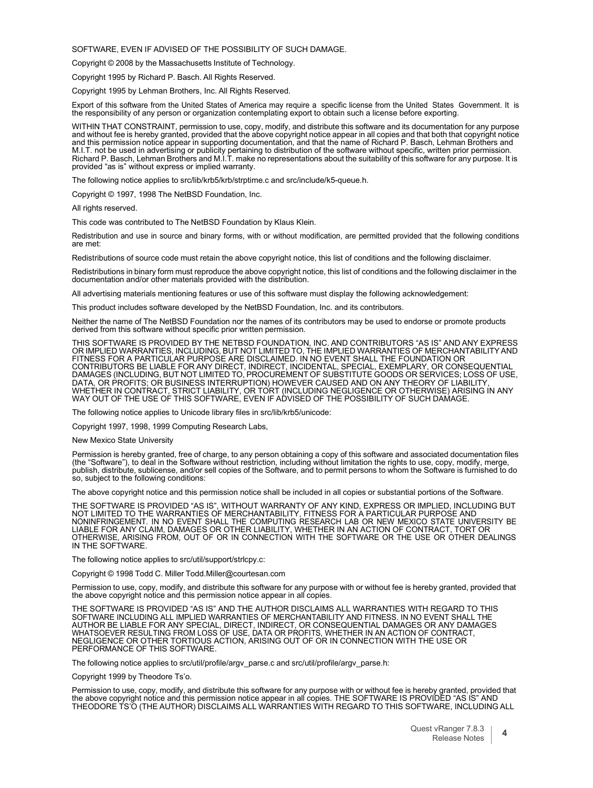SOFTWARE, EVEN IF ADVISED OF THE POSSIBILITY OF SUCH DAMAGE.

Copyright © 2008 by the Massachusetts Institute of Technology.

Copyright 1995 by Richard P. Basch. All Rights Reserved.

Copyright 1995 by Lehman Brothers, Inc. All Rights Reserved.

Export of this software from the United States of America may require a specific license from the United States Government. It is the responsibility of any person or organization contemplating export to obtain such a license before exporting.

WITHIN THAT CONSTRAINT, permission to use, copy, modify, and distribute this software and its documentation for any purpose and without fee is hereby granted, provided that the above copyright notice appear in all copies and that both that copyright notice and this permission notice appear in supporting documentation, and that the name of Richard P. Basch, Lehman Brothers and<br>M.I.T. not be used in advertising or publicity pertaining to distribution of the software without sp Richard P. Basch, Lehman Brothers and M.I.T. make no representations about the suitability of this software for any purpose. It is provided "as is" without express or implied warranty.

The following notice applies to src/lib/krb5/krb/strptime.c and src/include/k5-queue.h.

Copyright © 1997, 1998 The NetBSD Foundation, Inc.

All rights reserved.

This code was contributed to The NetBSD Foundation by Klaus Klein.

Redistribution and use in source and binary forms, with or without modification, are permitted provided that the following conditions are met:

Redistributions of source code must retain the above copyright notice, this list of conditions and the following disclaimer.

Redistributions in binary form must reproduce the above copyright notice, this list of conditions and the following disclaimer in the documentation and/or other materials provided with the distribution.

All advertising materials mentioning features or use of this software must display the following acknowledgement:

This product includes software developed by the NetBSD Foundation, Inc. and its contributors.

Neither the name of The NetBSD Foundation nor the names of its contributors may be used to endorse or promote products derived from this software without specific prior written permission.

THIS SOFTWARE IS PROVIDED BY THE NETBSD FOUNDATION, INC. AND CONTRIBUTORS "AS IS" AND ANY EXPRESS<br>OR IMPLIED WARRANTIES, INCLUDING, BUT NOT LIMITED TO, THE IMPLIED WARRANTIES OF MERCHANTABILITY AND<br>FITNESS FOR A PARTICULAR CONTRIBUTORS BE LIABLE FOR ANY DIRECT, INDIRECT, INCIDENTAL, SPECIAL, EXEMPLARY, OR CONSEQUENTIAL DAMAGES (INCLUDING, BUT NOT LIMITED TO, PROCUREMENT OF SUBSTITUTE GOODS OR SERVICES; LOSS OF USE, DATA, OR PROFITS; OR BUSINESS INTERRUPTION) HOWEVER CAUSED AND ON ANY THEORY OF LIABILITY,<br>WHETHER IN CONTRACT, STRICT LIABILITY, OR TORT (INCLUDING NEGLIGENCE OR OTHERWISE) ARISING IN ANY<br>WAY OUT OF THE USE OF THIS SOFTWA

The following notice applies to Unicode library files in src/lib/krb5/unicode:

Copyright 1997, 1998, 1999 Computing Research Labs,

New Mexico State University

Permission is hereby granted, free of charge, to any person obtaining a copy of this software and associated documentation files<br>(the "Software"), to deal in the Software without restriction, including without limitation t publish, distribute, sublicense, and/or sell copies of the Software, and to permit persons to whom the Software is furnished to do so, subject to the following conditions:

The above copyright notice and this permission notice shall be included in all copies or substantial portions of the Software.

THE SOFTWARE IS PROVIDED "AS IS", WITHOUT WARRANTY OF ANY KIND, EXPRESS OR IMPLIED, INCLUDING BUT<br>NOT LIMITED TO THE WARRANTIES OF MERCHANTABILITY, FITNESS FOR A PARTICULAR PURPOSE AND<br>NONINFRINGEMENT. IN NO EVENT SHALL TH IN THE SOFTWARE.

The following notice applies to src/util/support/strlcpy.c:

Copyright © 1998 Todd C. Miller [Todd.Miller@courtesan.com](mailto:Todd.Miller@courtesan.com)

Permission to use, copy, modify, and distribute this software for any purpose with or without fee is hereby granted, provided that the above copyright notice and this permission notice appear in all copies.

THE SOFTWARE IS PROVIDED "AS IS" AND THE AUTHOR DISCLAIMS ALL WARRANTIES WITH REGARD TO THIS SOFTWARE INCLUDING ALL IMPLIED WARRANTIES OF MERCHANTABILITY AND FITNESS. IN NO EVENT SHALL THE<br>AUTHOR BE LIABLE FOR ANY SPECIAL, DIRECT, INDIRECT, OR CONSEQUENTIAL DAMAGES OR ANY DAMAGES<br>WHATSOEVER RESULTING FROM LOSS OF NEGLIGENCE OR OTHER TORTIOUS ACTION, ARISING OUT OF OR IN CONNECTION WITH THE USE OR PERFORMANCE OF THIS SOFTWARE.

The following notice applies to src/util/profile/argv\_parse.c and src/util/profile/argv\_parse.h:

Copyright 1999 by Theodore Ts'o.

Permission to use, copy, modify, and distribute this software for any purpose with or without fee is hereby granted, provided that the above copyright notice and this permission notice appear in all copies. THE SOFTWARE IS PROVIDED "AS IS" AND THEODORE TS'O (THE AUTHOR) DISCLAIMS ALL WARRANTIES WITH REGARD TO THIS SOFTWARE, INCLUDING ALL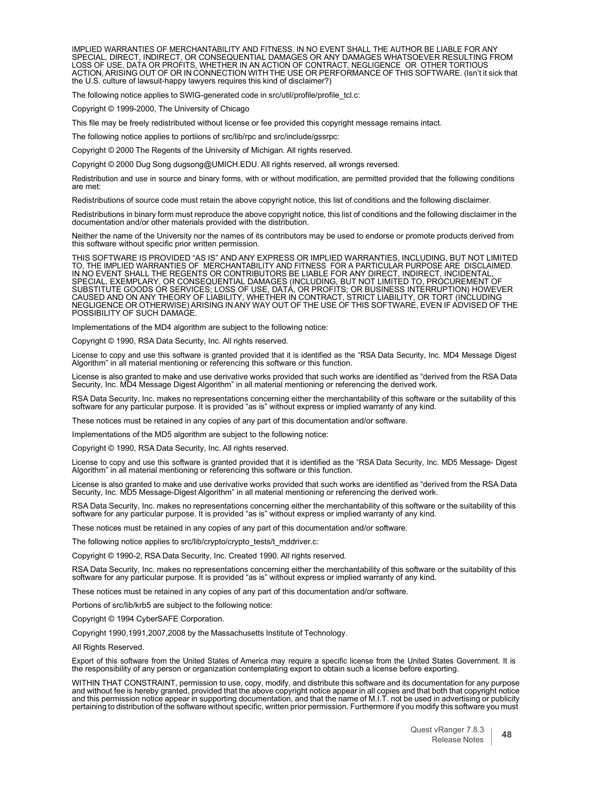IMPLIED WARRANTIES OF MERCHANTABILITY AND FITNESS. IN NO EVENT SHALL THE AUTHOR BE LIABLE FOR ANY<br>SPECIAL, DIRECT, INDIRECT, OR CONSEQUENTIAL DAMAGES OR ANY DAMAGES WHATSOEVER RESULTING FROM<br>LOSS OF USE, DATA OR PROFITS, W the U.S. culture of lawsuit-happy lawyers requires this kind of disclaimer?)

The following notice applies to SWIG-generated code in src/util/profile/profile\_tcl.c:

Copyright © 1999-2000, The University of Chicago

This file may be freely redistributed without license or fee provided this copyright message remains intact.

The following notice applies to portiions of src/lib/rpc and src/include/gssrpc:

Copyright © 2000 The Regents of the University of Michigan. All rights reserved.

Copyright © 2000 Dug Song [dugsong@UMICH.EDU.](mailto:dugsong@UMICH.EDU) All rights reserved, all wrongs reversed.

Redistribution and use in source and binary forms, with or without modification, are permitted provided that the following conditions are met:

Redistributions of source code must retain the above copyright notice, this list of conditions and the following disclaimer.

Redistributions in binary form must reproduce the above copyright notice, this list of conditions and the following disclaimer in the documentation and/or other materials provided with the distribution.

Neither the name of the University nor the names of its contributors may be used to endorse or promote products derived from this software without specific prior written permission.

THIS SOFTWARE IS PROVIDED "AS IS" AND ANY EXPRESS OR IMPLIED WARRANTIES, INCLUDING, BUT NOT LIMITED TO, THE IMPLIED WARRANTIES OF MERCHANTABILITY AND FITNESS FOR A PARTICULAR PURPOSE ARE DISCLAIMED. IN NO EVENT SHALL THE REGENTS OR CONTRIBUTORS BE LIABLE FOR ANY DIRECT, INDIRECT, INCIDENTAL, SPECIAL, EXEMPLARY, OR CONSEQUENTIAL DAMAGES (INCLUDING, BUT NOT LIMITED TO, PROCUREMENT OF SUBSTITUTE GOODS OR SERVICES; LOSS OF USE, DATÁ, OR PROFITS; OR BUSINESS INTERRUPTION) HOWEVER<br>CAUSED AND ON ANY THEORY OF LIABILITY, WHETHER IN CONTRACT, STRICT LIABILITY, OR TORT (INCLUDING NEGLIGENCE OR OTHERWISE) ARISING IN ANY WAY OUT OF THE USE OF THIS SOFTWARE, EVEN IF ADVISED OF THE POSSIBILITY OF SUCH DAMAGE.

Implementations of the MD4 algorithm are subject to the following notice:

Copyright © 1990, RSA Data Security, Inc. All rights reserved.

License to copy and use this software is granted provided that it is identified as the "RSA Data Security, Inc. MD4 Message Digest<br>Algorithm" in all material mentioning or referencing this software or this function.

License is also granted to make and use derivative works provided that such works are identified as "derived from the RSA Data Security, Inc. MD4 Message Digest Algorithm" in all material mentioning or referencing the derived work.

RSA Data Security, Inc. makes no representations concerning either the merchantability of this software or the suitability of this software for any particular purpose. It is provided "as is" without express or implied warranty of any kind.

These notices must be retained in any copies of any part of this documentation and/or software.

Implementations of the MD5 algorithm are subject to the following notice:

Copyright © 1990, RSA Data Security, Inc. All rights reserved.

License to copy and use this software is granted provided that it is identified as the "RSA Data Security, Inc. MD5 Message- Digest Algorithm" in all material mentioning or referencing this software or this function.

License is also granted to make and use derivative works provided that such works are identified as "derived from the RSA Data<br>Security, Inc. MD5 Message-Digest Algorithm" in all material mentioning or referencing the deri

RSA Data Security, Inc. makes no representations concerning either the merchantability of this software or the suitability of this<br>software for any particular purpose. It is provided "as is" without express or implied warr

These notices must be retained in any copies of any part of this documentation and/or software.

The following notice applies to src/lib/crypto/crypto\_tests/t\_mddriver.c:

Copyright © 1990-2, RSA Data Security, Inc. Created 1990. All rights reserved.

RSA Data Security, Inc. makes no representations concerning either the merchantability of this software or the suitability of this software for any particular purpose. It is provided "as is" without express or implied warranty of any kind.

These notices must be retained in any copies of any part of this documentation and/or software.

Portions of src/lib/krb5 are subject to the following notice:

Copyright © 1994 CyberSAFE Corporation.

Copyright 1990,1991,2007,2008 by the Massachusetts Institute of Technology.

All Rights Reserved.

Export of this software from the United States of America may require a specific license from the United States Government. It is the responsibility of any person or organization contemplating export to obtain such a license before exporting.

WITHIN THAT CONSTRAINT, permission to use, copy, modify, and distribute this software and its documentation for any purpose and without fee is hereby granted, provided that the above copyright notice appear in all copies and that both that copyright notice and this permission notice appear in supporting documentation, and that the name of M.I.T. not be used in advertising or publicity pertaining to distribution of the software without specific, written prior permission. Furthermore if you modify this software you must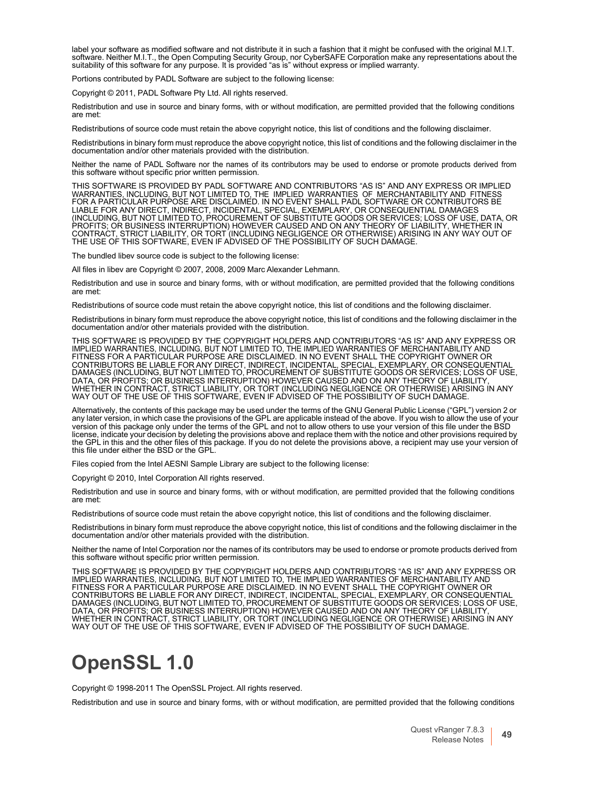label your software as modified software and not distribute it in such a fashion that it might be confused with the original M.I.T. software. Neither M.I.T., the Open Computing Security Group, nor CyberSAFE Corporation make any representations about the suitability of this software for any purpose. It is provided "as is" without express or implied warranty.

Portions contributed by PADL Software are subject to the following license:

Copyright © 2011, PADL Software Pty Ltd. All rights reserved.

Redistribution and use in source and binary forms, with or without modification, are permitted provided that the following conditions are met:

Redistributions of source code must retain the above copyright notice, this list of conditions and the following disclaimer.

Redistributions in binary form must reproduce the above copyright notice, this list of conditions and the following disclaimer in the documentation and/or other materials provided with the distribution.

Neither the name of PADL Software nor the names of its contributors may be used to endorse or promote products derived from this software without specific prior written permission.

THIS SOFTWARE IS PROVIDED BY PADL SOFTWARE AND CONTRIBUTORS "AS IS" AND ANY EXPRESS OR IMPLIED WARRANTIES, INCLUDING, BUT NOT LIMITED TO, THE IMPLIED WARRANTIES OF MERCHANTABILITY AND FITNESS FOR A PARTICULAR PURPOSE ARE DISCLAIMED. IN NO EVENT SHALL PADL SOFTWARE OR CONTRIBUTORS BE LIABLE FOR ANY DIRECT, INDIRECT, INCIDENTAL, SPECIAL, EXEMPLARY, OR CONSEQUENTIAL DAMAGES (INCLUDING, BUT NOT LIMITED TO, PROCUREMENT OF SUBSTITUTE GOODS OR SERVICES; LOSS OF USE, DATA, OR PROFITS; OR BUSINESS INTERRUPTION) HOWEVER CAUSED AND ON ANY THEORY OF LIABILITY, WHETHER IN CONTRACT, STRICT LIABILITY, OR TORT (INCLUDING NEGLIGENCE OR OTHERWISE) ARISING IN ANY WAY OUT OF THE USE OF THIS SOFTWARE, EVEN IF ADVISED OF THE POSSIBILITY OF SUCH DAMAGE.

The bundled libev source code is subject to the following license:

All files in libev are Copyright © 2007, 2008, 2009 Marc Alexander Lehmann.

Redistribution and use in source and binary forms, with or without modification, are permitted provided that the following conditions are met:

Redistributions of source code must retain the above copyright notice, this list of conditions and the following disclaimer.

Redistributions in binary form must reproduce the above copyright notice, this list of conditions and the following disclaimer in the documentation and/or other materials provided with the distribution.

THIS SOFTWARE IS PROVIDED BY THE COPYRIGHT HOLDERS AND CONTRIBUTORS "AS IS" AND ANY EXPRESS OR IMPLIED WARRANTIES, INCLUDING, BUT NOT LIMITED TO, THE IMPLIED WARRANTIES OF MERCHANTABILITY AND FITNESS FOR A PARTICULAR PURPOSE ARE DISCLAIMED. IN NO EVENT SHALL THE COPYRIGHT OWNER OR CONTRIBUTORS BE LIABLE FOR ANY DIRECT, INDIRECT, INCIDENTAL, SPECIAL, EXEMPLARY, OR CONSEQUENTIAL DAMAGES (INCLUDING, BUT NOT LIMITED TO, PROCUREMENT OF SUBSTITUTE GOODS OR SERVICES; LOSS OF USE, DATA, OR PROFITS; OR BUSINESS INTERRUPTION) HOWEVER CAUSED AND ON ANY THEORY OF LIABILITY,<br>WHETHER IN CONTRACT, STRICT LIABILITY, OR TORT (INCLUDING NEGLIGENCE OR OTHERWISE) ARISING IN ANY<br>WAY OUT OF THE USE OF THIS SOFTWA

Alternatively, the contents of this package may be used under the terms of the GNU General Public License ("GPL") version 2 or any later version, in which case the provisions of the GPL are applicable instead of the above. version of this package only under the terms of the GPL and not to allow others to use your version of this file under the BSD license, indicate your decision by deleting the provisions above and replace them with the notice and other provisions required by the GPL in this and the other files of this package. If you do not delete the provisions above, a recipient may use your version of this file under either the BSD or the GPL.

Files copied from the Intel AESNI Sample Library are subject to the following license:

Copyright © 2010, Intel Corporation All rights reserved.

Redistribution and use in source and binary forms, with or without modification, are permitted provided that the following conditions are met:

Redistributions of source code must retain the above copyright notice, this list of conditions and the following disclaimer.

Redistributions in binary form must reproduce the above copyright notice, this list of conditions and the following disclaimer in the documentation and/or other materials provided with the distribution.

Neither the name of Intel Corporation nor the names of its contributors may be used to endorse or promote products derived from this software without specific prior written permission.

THIS SOFTWARE IS PROVIDED BY THE COPYRIGHT HOLDERS AND CONTRIBUTORS "AS IS" AND ANY EXPRESS OR<br>IMPLIED WARRANTIES, INCLUDING, BUT NOT LIMITED TO, THE IMPLIED WARRANTIES OF MERCHANTABILITY AND<br>FITNESS FOR A PARTICULAR PURPO CONTRIBUTORS BE LIABLE FOR ANY DIRECT, INDIRECT, INCIDENTAL, SPECIAL, EXEMPLARY, OR CONSEQUENTIAL<br>DAMAGES (INCLUDING, BUT NOT LIMITED TO, PROCUREMENT OF SUBSTITUTE GOODS OR SERVICES; LOSS OF USE,<br>DATA, OR PROFITS; OR BUSIN WHETHER IN CONTRACT, STRICT LIABILITY, OR TORT (INCLUDING NEGLIGENCE OR OTHERWISE) ARISING IN ANY WAY OUT OF THE USE OF THIS SOFTWARE, EVEN IF ADVISED OF THE POSSIBILITY OF SUCH DAMAGE.

### **OpenSSL 1.0**

Copyright © 1998-2011 The OpenSSL Project. All rights reserved.

Redistribution and use in source and binary forms, with or without modification, are permitted provided that the following conditions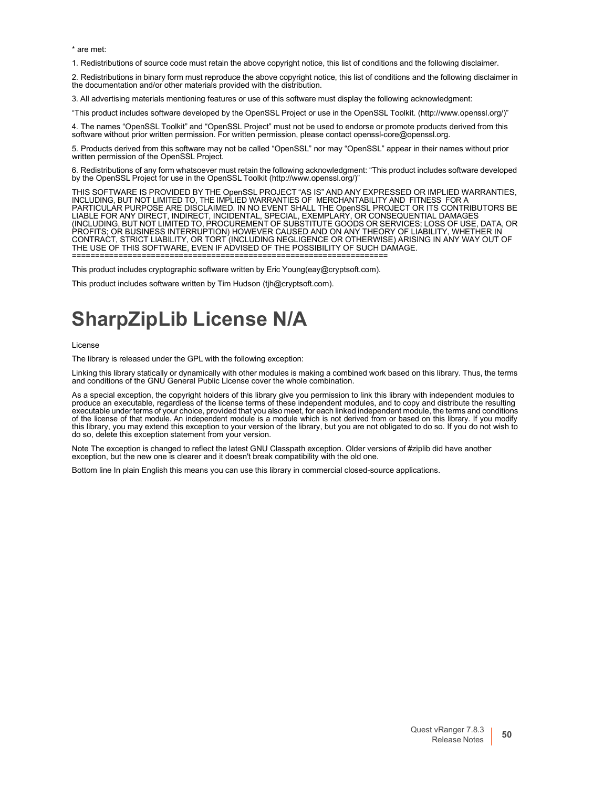\* are met:

1. Redistributions of source code must retain the above copyright notice, this list of conditions and the following disclaimer.

2. Redistributions in binary form must reproduce the above copyright notice, this list of conditions and the following disclaimer in the documentation and/or other materials provided with the distribution.

3. All advertising materials mentioning features or use of this software must display the following acknowledgment:

"This product includes software developed by the OpenSSL Project or use in the OpenSSL Toolkit. [\(http://www.openssl.org/\)"](http://www.openssl.org/))

4. The names "OpenSSL Toolkit" and "OpenSSL Project" must not be used to endorse or promote products derived from this<br>software without prior written permission. For written permission, please contact openssl-core@openssl.

5. Products derived from this software may not be called "OpenSSL" nor may "OpenSSL" appear in their names without prior written permission of the OpenSSL Project.

6. Redistributions of any form whatsoever must retain the following acknowledgment: "This product includes software developed by the OpenSSL Project for use in the OpenSSL Toolki[t \(http://www.openssl.org/\)"](http://www.openssl.org/))

THIS SOFTWARE IS PROVIDED BY THE OpenSSL PROJECT "AS IS" AND ANY EXPRESSED OR IMPLIED WARRANTIES,<br>INCLUDING, BUT NOT LIMITED TO, THE IMPLIED WARRANTIES OF MERCHANTABILITY AND FITNESS FOR A<br>PARTICULAR PURPOSE ARE DISCLAI (INCLUDING, BUT NOT LIMITED TO, PROCUREMENT OF SUBSTITUTE GOODS OR SERVICES; LOSS OF USE, DATA, OR PROFITS; OR BUSINESS INTERRUPTION) HOWEVER CAUSED AND ON ANY THEORY OF LIABILITY, WHETHER IN CONTRACT, STRICT LIABILITY, OR TORT (INCLUDING NEGLIGENCE OR OTHERWISE) ARISING IN ANY WAY OUT OF THE USE OF THIS SOFTWARE, EVEN IF ADVISED OF THE POSSIBILITY OF SUCH DAMAGE. ====================================================================

This product includes cryptographic software written by Eric Young(eay@cryptsoft.com).

This product includes software written by Tim Hudson (tjh@cryptsoft.com).

## <span id="page-50-0"></span>**SharpZipLib License N/A**

License

The library is released under the GPL with the following exception:

Linking this library statically or dynamically with other modules is making a combined work based on this library. Thus, the terms and conditions of the GNU General Public License cover the whole combination.

As a special exception, the copyright holders of this library give you permission to link this library with independent modules to<br>produce an executable, regardless of the license terms of these independent modules, and to executable under terms of your choice, provided that you also meet, for each linked independent module, the terms and conditions<br>of the license of that module. An independent module is a module which is not derived from or do so, delete this exception statement from your version.

Note The exception is changed to reflect the latest GNU Classpath exception. Older versions of #ziplib did have another exception, but the new one is clearer and it doesn't break compatibility with the old one.

Bottom line In plain English this means you can use this library in commercial closed-source applications.